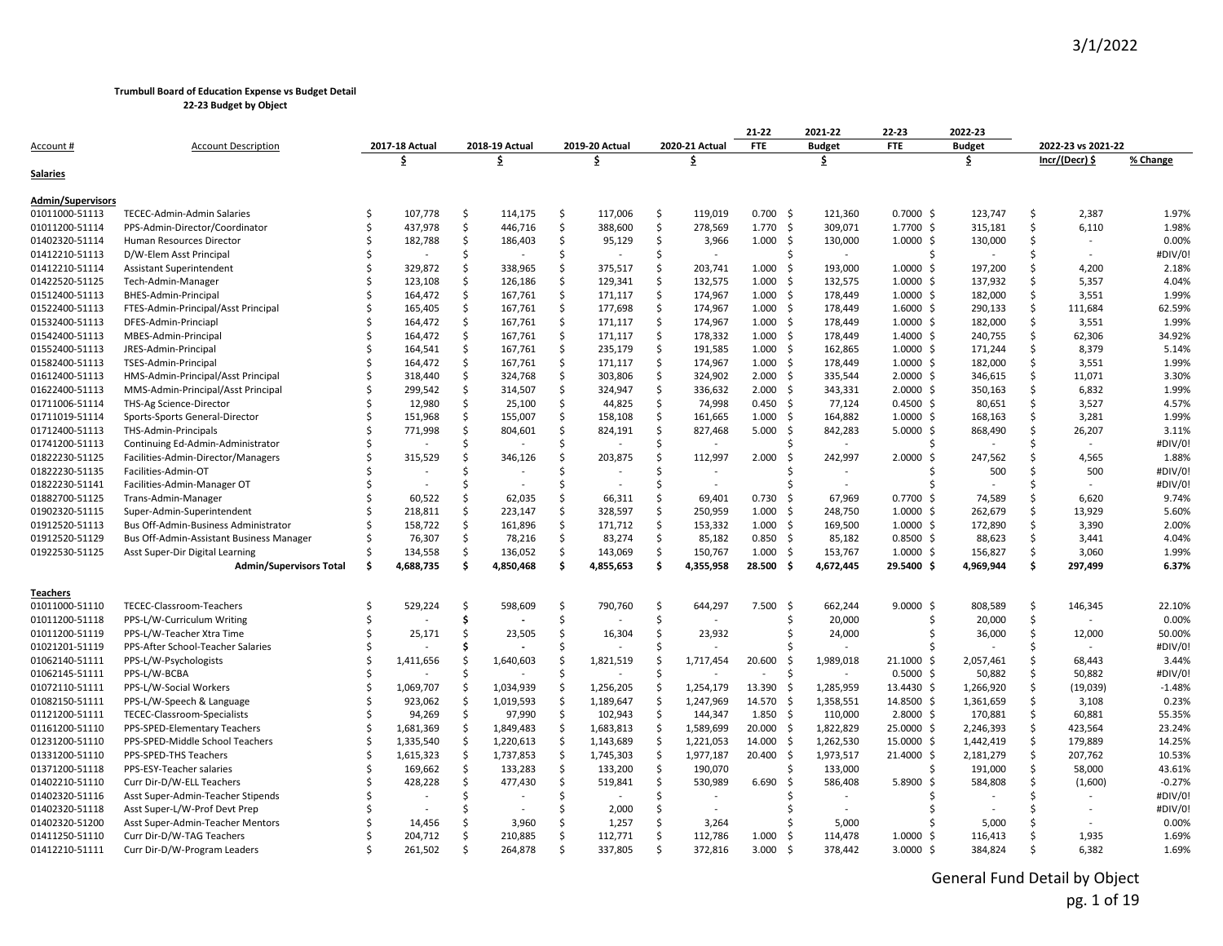**22-23 Budget by Object**

|                                            |                                          |    |                |          |                |     |                |    |                | 21-22         | 2021-22       | 22-23                | 2022-23       |         |                    |          |
|--------------------------------------------|------------------------------------------|----|----------------|----------|----------------|-----|----------------|----|----------------|---------------|---------------|----------------------|---------------|---------|--------------------|----------|
| Account #                                  | <b>Account Description</b>               |    | 2017-18 Actual |          | 2018-19 Actual |     | 2019-20 Actual |    | 2020-21 Actual | <b>FTE</b>    | <b>Budget</b> | <b>FTE</b>           | <b>Budget</b> |         | 2022-23 vs 2021-22 |          |
|                                            |                                          |    | \$             |          | \$             |     | \$             |    | \$             |               | \$            |                      | \$            |         | Incr/(Decr) \$     | % Change |
| <u>Salaries</u>                            |                                          |    |                |          |                |     |                |    |                |               |               |                      |               |         |                    |          |
|                                            |                                          |    |                |          |                |     |                |    |                |               |               |                      |               |         |                    |          |
| <b>Admin/Supervisors</b><br>01011000-51113 | TECEC-Admin-Admin Salaries               | Ŝ. | 107,778        | Ś.       | 114,175        | \$  | 117,006        | Ś. | 119,019        | $0.700$ \$    | 121,360       | $0.7000$ \$          | 123,747       | Ŝ       | 2,387              | 1.97%    |
| 01011200-51114                             | PPS-Admin-Director/Coordinator           | \$ | 437,978        | Ŝ.       | 446,716        | Ś.  | 388,600        | Ŝ. | 278,569        | 1.770<br>- Ś  | 309,071       | 1.7700 \$            | 315,181       | Ŝ       | 6,110              | 1.98%    |
| 01402320-51114                             | Human Resources Director                 | Ś  | 182,788        | \$       | 186,403        | \$  | 95,129         | \$ | 3,966          | 1.000<br>-\$  | 130,000       | $1.0000 \; \text{S}$ | 130,000       | S       |                    | 0.00%    |
| 01412210-51113                             | D/W-Elem Asst Principal                  | \$ |                | Ŝ        |                | Ś.  |                | Ś  |                |               |               |                      |               |         |                    | #DIV/0!  |
| 01412210-51114                             | <b>Assistant Superintendent</b>          |    | 329,872        | Ŝ        | 338,965        | Ś.  | 375,517        | Ś. | 203,741        | 1.000<br>- Ś  | 193,000       | $1.0000 \;$ \$       | 197,200       | Ŝ       | 4,200              | 2.18%    |
| 01422520-51125                             | Tech-Admin-Manager                       | ς. | 123,108        | Ŝ.       | 126,186        | Ś.  | 129,341        | \$ | 132,575        | 1.000<br>- S  | 132,575       | $1.0000 \;$ \$       | 137,932       | Ŝ       | 5,357              | 4.04%    |
| 01512400-51113                             | BHES-Admin-Principal                     |    | 164,472        | Ŝ.       | 167,761        | Ś.  | 171,117        | Ś. | 174,967        | 1.000<br>-\$  | 178,449       | $1.0000 \;$ \$       | 182,000       | Ŝ.      | 3,551              | 1.99%    |
| 01522400-51113                             | FTES-Admin-Principal/Asst Principal      | Ś  | 165,405        | \$       | 167,761        | \$  | 177,698        | \$ | 174,967        | 1.000<br>-\$  | 178,449       | $1.6000 \; \text{S}$ | 290,133       | \$      | 111,684            | 62.59%   |
| 01532400-51113                             | DFES-Admin-Princiapl                     |    | 164,472        | Ŝ.       | 167,761        | \$  | 171,117        | \$ | 174,967        | 1.000<br>- Ś  | 178,449       | $1.0000 \;$ \$       | 182,000       | Ś.      | 3,551              | 1.99%    |
| 01542400-51113                             |                                          |    |                | Ŝ        |                | Ś.  |                | Ŝ. | 178,332        | 1.000<br>- S  | 178,449       |                      |               | Ŝ       |                    | 34.92%   |
| 01552400-51113                             | MBES-Admin-Principal                     | \$ | 164,472        | Ŝ.       | 167,761        | \$  | 171,117        | \$ |                | - S           |               | $1.4000$ \$          | 240,755       | \$      | 62,306<br>8,379    | 5.14%    |
|                                            | JRES-Admin-Principal                     |    | 164,541        |          | 167,761        | \$  | 235,179        | Ś. | 191,585        | 1.000<br>- S  | 162,865       | $1.0000 \;$ \$       | 171,244       |         |                    |          |
| 01582400-51113                             | TSES-Admin-Principal                     |    | 164,472        | Ŝ.<br>Ś. | 167,761        | \$  | 171,117        | Ś. | 174,967        | 1.000<br>- S  | 178,449       | $1.0000 \;$ \$       | 182,000       | Ŝ<br>Ś. | 3,551              | 1.99%    |
| 01612400-51113                             | HMS-Admin-Principal/Asst Principal       |    | 318,440        |          | 324,768        | Ś.  | 303,806        |    | 324,902        | 2.000         | 335,544       | $2.0000$ \$          | 346,615       |         | 11,071             | 3.30%    |
| 01622400-51113                             | MMS-Admin-Principal/Asst Principal       |    | 299,542        | Ŝ        | 314,507        |     | 324,947        | \$ | 336,632        | 2.000<br>- S  | 343,331       | $2.0000 \,$ \$       | 350,163       | Ŝ       | 6,832              | 1.99%    |
| 01711006-51114                             | THS-Ag Science-Director                  |    | 12,980         | Ŝ.       | 25,100         | \$  | 44,825         | \$ | 74,998         | 0.450<br>-\$  | 77,124        | $0.4500$ \$          | 80,651        | S       | 3,527              | 4.57%    |
| 01711019-51114                             | Sports-Sports General-Director           |    | 151,968        | Ŝ.       | 155,007        | \$  | 158,108        | \$ | 161,665        | 1.000<br>Ś    | 164,882       | $1.0000 \;$ \$       | 168,163       | S       | 3,281              | 1.99%    |
| 01712400-51113                             | THS-Admin-Principals                     |    | 771,998        |          | 804,601        | \$  | 824,191        | \$ | 827,468        | 5.000<br>-Ś   | 842,283       | $5.0000$ \$          | 868,490       | Ŝ.      | 26,207             | 3.11%    |
| 01741200-51113                             | Continuing Ed-Admin-Administrator        |    |                | ς.       |                | Ś.  |                | Ŝ. |                |               |               |                      |               | Ŝ       |                    | #DIV/0!  |
| 01822230-51125                             | Facilities-Admin-Director/Managers       |    | 315,529        | Ŝ        | 346,126        | \$  | 203,875        | \$ | 112,997        | 2.000<br>-S   | 242,997       | 2.0000               | 247,562       | Ŝ       | 4,565              | 1.88%    |
| 01822230-51135                             | Facilities-Admin-OT                      |    |                |          |                | Ś.  |                | Ś  |                |               |               |                      | 500           | S       | 500                | #DIV/0!  |
| 01822230-51141                             | Facilities-Admin-Manager OT              |    |                | -S       |                | \$  |                | Ś  |                |               |               |                      |               | Ŝ.      |                    | #DIV/0!  |
| 01882700-51125                             | Trans-Admin-Manager                      |    | 60,522         | ς.       | 62,035         | Ś.  | 66,311         | Ŝ. | 69,401         | 0.730<br>-Ś   | 67,969        | 0.7700               | 74,589        | Ŝ       | 6,620              | 9.74%    |
| 01902320-51115                             | Super-Admin-Superintendent               |    | 218,811        | Ŝ.       | 223,147        | Ś.  | 328,597        | \$ | 250,959        | 1.000<br>- S  | 248,750       | $1.0000 \;$ \$       | 262,679       | Ŝ       | 13,929             | 5.60%    |
| 01912520-51113                             | Bus Off-Admin-Business Administrator     | \$ | 158,722        | Ŝ.       | 161,896        | Ś.  | 171,712        | \$ | 153,332        | 1.000<br>Ś    | 169,500       | $1.0000$ \$          | 172,890       | Ŝ.      | 3,390              | 2.00%    |
| 01912520-51129                             | Bus Off-Admin-Assistant Business Manager | Ś  | 76,307         | Ŝ.       | 78,216         | \$  | 83,274         | \$ | 85,182         | 0.850<br>-\$  | 85,182        | $0.8500$ \$          | 88,623        | Ŝ.      | 3,441              | 4.04%    |
| 01922530-51125                             | Asst Super-Dir Digital Learning          |    | 134,558        | Ŝ        | 136,052        | Ś.  | 143,069        | Ś. | 150,767        | 1.000<br>- S  | 153,767       | $1.0000 \;$ \$       | 156,827       | Ŝ       | 3,060              | 1.99%    |
|                                            | <b>Admin/Supervisors Total</b>           | Ŝ. | 4,688,735      | \$.      | 4,850,468      | \$  | 4,855,653      | \$ | 4,355,958      | 28.500<br>-\$ | 4,672,445     | 29.5400 \$           | 4,969,944     | \$      | 297,499            | 6.37%    |
| Teachers                                   |                                          |    |                |          |                |     |                |    |                |               |               |                      |               |         |                    |          |
| 01011000-51110                             | TECEC-Classroom-Teachers                 |    | 529,224        | .S       | 598,609        | Ś.  | 790,760        | Ś  | 644,297        | 7.500<br>-\$  | 662,244       | 9.0000S              | 808,589       | Ŝ.      | 146,345            | 22.10%   |
| 01011200-51118                             | PPS-L/W-Curriculum Writing               |    |                | Ŝ        |                | \$  |                | Ŝ. |                |               | 20,000        |                      | 20,000        | \$      |                    | 0.00%    |
| 01011200-51119                             | PPS-L/W-Teacher Xtra Time                |    | 25,171         | Ŝ        | 23,505         | \$  | 16,304         | \$ | 23,932         | Ś             | 24,000        |                      | 36,000        | \$      | 12,000             | 50.00%   |
| 01021201-51119                             | PPS-After School-Teacher Salaries        |    |                |          |                | Ś   |                |    |                |               |               |                      |               |         |                    | #DIV/0!  |
| 01062140-51111                             | PPS-L/W-Psychologists                    |    | 1,411,656      |          | 1,640,603      | Ś   | 1,821,519      | Ś  | 1.717.454      | 20.600<br>- S | 1,989,018     | 21.1000              | 2,057,461     | Ŝ       | 68.443             | 3.44%    |
| 01062145-51111                             | PPS-L/W-BCBA                             |    |                |          |                | Ś   |                | Ŝ  |                | Ś             |               | $0.5000$ \$          | 50,882        | \$      | 50,882             | #DIV/0!  |
| 01072110-51111                             | PPS-L/W-Social Workers                   |    | 1,069,707      |          | 1,034,939      | \$. | 1,256,205      | Ś  | 1,254,179      | 13.390<br>-Ś  | 1,285,959     | 13.4430 \$           | 1,266,920     | \$      | (19,039)           | $-1.48%$ |
| 01082150-51111                             | PPS-L/W-Speech & Language                | Ś  | 923,062        | .S       | 1,019,593      | Ś.  | 1,189,647      | Ś. | 1,247,969      | 14.570<br>- S | 1,358,551     | 14.8500 \$           | 1,361,659     | Ś.      | 3,108              | 0.23%    |
| 01121200-51111                             | TECEC-Classroom-Specialists              |    | 94,269         | .S       | 97,990         | Ś.  | 102,943        | Ŝ. | 144,347        | 1.850<br>- S  | 110,000       | $2.8000$ \$          | 170,881       | Ŝ.      | 60,881             | 55.35%   |
| 01161200-51110                             | PPS-SPED-Elementary Teachers             |    | 1,681,369      | .S       | 1,849,483      | Ś.  | 1,683,813      | \$ | 1,589,699      | 20.000<br>- Ś | 1,822,829     | 25.0000 \$           | 2,246,393     | \$      | 423,564            | 23.24%   |
| 01231200-51110                             | PPS-SPED-Middle School Teachers          | Ŝ. | 1,335,540      | Ś.       | 1,220,613      | \$  | 1,143,689      | \$ | 1,221,053      | 14.000<br>- Ś | 1,262,530     | 15.0000 \$           | 1,442,419     | \$      | 179,889            | 14.25%   |
| 01331200-51110                             | PPS-SPED-THS Teachers                    | Ŝ  | 1,615,323      | .S       | 1,737,853      | Ś.  | 1,745,303      | Ŝ. | 1,977,187      | 20.400<br>- S | 1,973,517     | 21.4000 \$           | 2,181,279     | Ŝ       | 207,762            | 10.53%   |
| 01371200-51118                             | PPS-ESY-Teacher salaries                 |    | 169,662        | Ŝ.       | 133,283        | Ś.  | 133,200        | Ś. | 190,070        |               | 133,000       |                      | 191,000       | Ŝ.      | 58,000             | 43.61%   |
| 01402210-51110                             | Curr Dir-D/W-ELL Teachers                |    | 428,228        | Ŝ        | 477,430        | Ś.  | 519,841        | \$ | 530,989        | 6.690<br>Ś    | 586,408       | 5.8900<br>-S         | 584,808       | Ŝ.      | (1,600)            | $-0.27%$ |
| 01402320-51116                             | Asst Super-Admin-Teacher Stipends        |    |                | .S       |                | Ś.  |                | Ś  |                |               |               |                      |               | Ŝ       |                    | #DIV/0!  |
| 01402320-51118                             | Asst Super-L/W-Prof Devt Prep            |    |                |          |                | Ś.  | 2,000          | Ś  |                |               |               |                      |               |         |                    | #DIV/0!  |
| 01402320-51200                             | Asst Super-Admin-Teacher Mentors         |    | 14,456         |          | 3,960          | Ś.  | 1,257          | Ś  | 3,264          |               | 5,000         |                      | 5,000         |         |                    | 0.00%    |
| 01411250-51110                             | Curr Dir-D/W-TAG Teachers                |    | 204,712        |          | 210,885        | Ś.  | 112,771        | Ś  | 112,786        | 1.000<br>Ś    | 114,478       | $1.0000 \;$ \$       | 116,413       | Ŝ       | 1,935              | 1.69%    |
| 01412210-51111                             | Curr Dir-D/W-Program Leaders             |    | 261,502        | Ŝ        | 264,878        | \$. | 337,805        | Ŝ. | 372,816        | 3.000<br>-Ś   | 378,442       | 3.0000 \$            | 384,824       | Ŝ       | 6,382              | 1.69%    |
|                                            |                                          |    |                |          |                |     |                |    |                |               |               |                      |               |         |                    |          |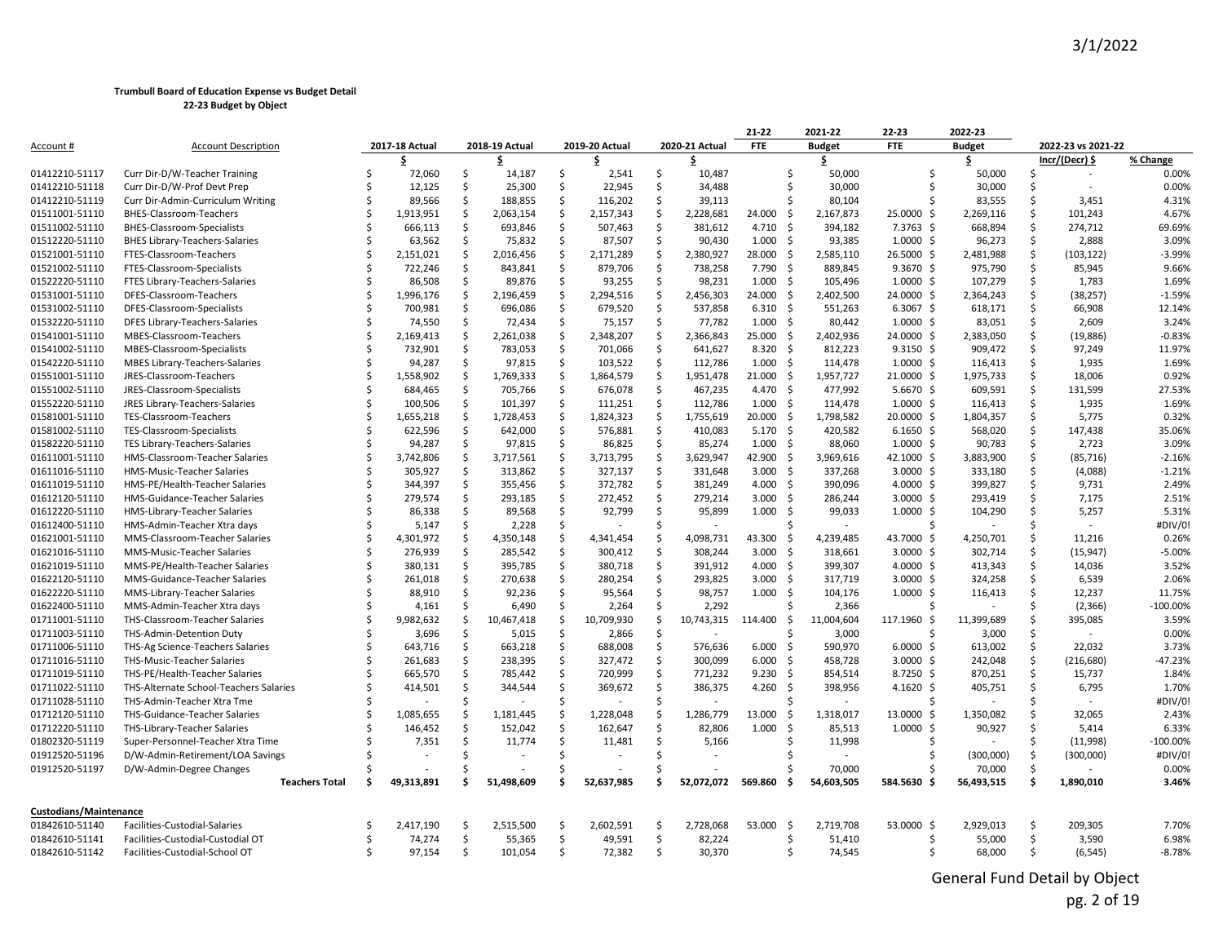|                               |                                        |    |                |    |                |    |                |    |                | 21-22            |     | 2021-22       | 22-23             | 2022-23       |     |                    |            |
|-------------------------------|----------------------------------------|----|----------------|----|----------------|----|----------------|----|----------------|------------------|-----|---------------|-------------------|---------------|-----|--------------------|------------|
| Account #                     | <b>Account Description</b>             |    | 2017-18 Actual |    | 2018-19 Actual |    | 2019-20 Actual |    | 2020-21 Actual | <b>FTE</b>       |     | <b>Budget</b> | <b>FTE</b>        | <b>Budget</b> |     | 2022-23 vs 2021-22 |            |
|                               |                                        |    |                |    | \$             |    |                |    |                |                  |     | \$            |                   |               |     | $Incr/(Decr)$ \$   | % Change   |
| 01412210-51117                | Curr Dir-D/W-Teacher Training          | Ŝ  | 72,060         | \$ | 14,187         | \$ | 2,541          | \$ | 10,487         |                  | -\$ | 50,000        |                   | 50,000        | Ŝ   | $\sim$             | 0.00%      |
| 01412210-51118                | Curr Dir-D/W-Prof Devt Prep            |    | 12,125         | Ś. | 25,300         | \$ | 22,945         | \$ | 34,488         |                  | Ŝ.  | 30,000        |                   | 30,000        | Ŝ   |                    | 0.00%      |
| 01412210-51119                | Curr Dir-Admin-Curriculum Writing      |    | 89,566         | \$ | 188,855        | Ś. | 116,202        | \$ | 39,113         |                  | Ŝ.  | 80,104        |                   | 83,555        | Ŝ.  | 3,451              | 4.31%      |
| 01511001-51110                | BHES-Classroom-Teachers                |    | 1,913,951      | \$ | 2,063,154      | \$ | 2,157,343      | \$ | 2,228,681      | 24.000           | Ŝ.  | 2,167,873     | 25.0000 \$        | 2,269,116     | Ś.  | 101,243            | 4.67%      |
| 01511002-51110                | BHES-Classroom-Specialists             |    | 666,113        | \$ | 693,846        | \$ | 507,463        | \$ | 381,612        | 4.710            | -\$ | 394,182       | 7.3763 \$         | 668,894       | Ŝ.  | 274,712            | 69.69%     |
| 01512220-51110                | <b>BHES Library-Teachers-Salaries</b>  |    | 63,562         | \$ | 75,832         | Ś. | 87,507         | Ś. | 90,430         | $1.000 \quad $$  |     | 93,385        | $1.0000 \;$ \$    | 96,273        | Ś.  | 2,888              | 3.09%      |
| 01521001-51110                | FTES-Classroom-Teachers                |    | 2,151,021      | \$ | 2,016,456      | \$ | 2,171,289      | \$ | 2,380,927      | 28.000           | -\$ | 2,585,110     | 26.5000 \$        | 2,481,988     | \$  | (103, 122)         | $-3.99%$   |
| 01521002-51110                | FTES-Classroom-Specialists             |    | 722,246        | \$ | 843,841        | Ś. | 879,706        | \$ | 738,258        | 7.790            | -\$ | 889,845       | $9.3670 \text{ }$ | 975,790       | Ŝ.  | 85,945             | 9.66%      |
| 01522220-51110                | FTES Library-Teachers-Salaries         |    | 86,508         | \$ | 89,876         | \$ | 93,255         | Ŝ. | 98,231         | 1.000            | -\$ | 105,496       | $1.0000 \;$ \$    | 107,279       | Ŝ.  | 1,783              | 1.69%      |
| 01531001-51110                | DFES-Classroom-Teachers                |    | 1,996,176      | \$ | 2,196,459      | Ś. | 2,294,516      | \$ | 2,456,303      | 24.000           | -\$ | 2,402,500     | 24.0000 \$        | 2,364,243     | Ŝ.  | (38, 257)          | $-1.59%$   |
| 01531002-51110                | DFES-Classroom-Specialists             |    | 700,981        | Ŝ. | 696,086        | \$ | 679,520        | \$ | 537,858        | $6.310 \quad$ \$ |     | 551,263       | $6.3067$ \$       | 618,171       | Ŝ   | 66,908             | 12.14%     |
| 01532220-51110                | DFES Library-Teachers-Salaries         |    | 74,550         | \$ | 72,434         | \$ | 75,157         | \$ | 77,782         | 1.000            | -\$ | 80,442        | $1.0000$ \$       | 83,051        | Ŝ.  | 2,609              | 3.24%      |
| 01541001-51110                | MBES-Classroom-Teachers                |    | 2,169,413      | Ś  | 2,261,038      | \$ | 2,348,207      | Ś. | 2,366,843      | 25.000           | -\$ | 2,402,936     | 24.0000 \$        | 2,383,050     | Ŝ.  | (19, 886)          | $-0.83%$   |
| 01541002-51110                | MBES-Classroom-Specialists             |    | 732,901        | \$ | 783,053        | \$ | 701,066        | \$ | 641,627        | $8.320$ \$       |     | 812,223       | $9.3150 \;$ \$    | 909,472       | \$  | 97,249             | 11.97%     |
| 01542220-51110                | MBES Library-Teachers-Salaries         |    | 94,287         | Ś. | 97,815         | \$ | 103,522        | \$ | 112,786        | 1.000            | - Ś | 114,478       | $1.0000 \;$ \$    | 116,413       | Ŝ.  | 1,935              | 1.69%      |
| 01551001-51110                | JRES-Classroom-Teachers                |    | 1,558,902      | \$ | 1,769,333      | \$ | 1,864,579      | \$ | 1,951,478      | 21.000           | -Ś  | 1,957,727     | 21.0000 \$        | 1,975,733     | S   | 18,006             | 0.92%      |
| 01551002-51110                | JRES-Classroom-Specialists             |    | 684,465        | \$ | 705,766        | \$ | 676,078        | \$ | 467,235        | 4.470            | -\$ | 477,992       | $5.6670$ \$       | 609,591       | Ŝ.  | 131,599            | 27.53%     |
| 01552220-51110                | JRES Library-Teachers-Salaries         |    | 100,506        | \$ | 101,397        | \$ | 111,251        | \$ | 112,786        | $1.000 \div$     |     | 114,478       | $1.0000 \;$ \$    | 116,413       | \$  | 1,935              | 1.69%      |
| 01581001-51110                | TES-Classroom-Teachers                 |    | 1,655,218      | Ŝ. | 1,728,453      | Ś. | 1,824,323      | Ŝ. | 1,755,619      | 20.000           | -\$ | 1,798,582     | 20.0000 \$        | 1,804,357     | Ŝ.  | 5,775              | 0.32%      |
| 01581002-51110                | TES-Classroom-Specialists              |    | 622,596        | \$ | 642,000        | \$ | 576,881        | \$ | 410,083        | $5.170 \quad $$  |     | 420,582       | $6.1650$ \$       | 568,020       | S   | 147,438            | 35.06%     |
| 01582220-51110                | TES Library-Teachers-Salaries          |    | 94,287         | Ś  | 97,815         | \$ | 86,825         | Ś. | 85,274         | $1.000 \quad$ \$ |     | 88,060        | $1.0000 \;$ \$    | 90,783        | Ś.  | 2,723              | 3.09%      |
| 01611001-51110                | HMS-Classroom-Teacher Salaries         |    | 3,742,806      | Ś  | 3,717,561      | Ś. | 3,713,795      | Ŝ. | 3,629,947      | 42.900           | -Ś  | 3,969,616     | 42.1000 \$        | 3,883,900     | Ŝ.  | (85, 716)          | $-2.16%$   |
| 01611016-51110                | HMS-Music-Teacher Salaries             |    | 305,927        | \$ | 313,862        | \$ | 327,137        | \$ | 331,648        | 3.000            | -\$ | 337,268       | $3.0000$ \$       | 333,180       | Ŝ   | (4,088)            | $-1.21%$   |
| 01611019-51110                | HMS-PE/Health-Teacher Salaries         |    | 344,397        | \$ | 355,456        | \$ | 372,782        | Ŝ. | 381,249        | $4.000$ \$       |     | 390,096       | $4.0000$ \$       | 399,827       | Ŝ.  | 9,731              | 2.49%      |
| 01612120-51110                | HMS-Guidance-Teacher Salaries          |    | 279,574        | \$ | 293,185        | \$ | 272,452        | \$ | 279,214        | 3.000            | -\$ | 286,244       | $3.0000$ \$       | 293,419       | Ŝ.  | 7,175              | 2.51%      |
| 01612220-51110                | HMS-Library-Teacher Salaries           |    | 86,338         | \$ | 89,568         | Ś. | 92,799         | \$ | 95,899         | 1.000            | - Ś | 99,033        | $1.0000 \;$ \$    | 104,290       | Ŝ.  | 5,257              | 5.31%      |
| 01612400-51110                | HMS-Admin-Teacher Xtra days            |    | 5,147          | Ŝ. | 2,228          | \$ |                | Ś  | $\sim$         |                  | ς   |               |                   |               | Ŝ   |                    | #DIV/0!    |
| 01621001-51110                | MMS-Classroom-Teacher Salaries         |    | 4,301,972      | \$ | 4,350,148      | \$ | 4,341,454      | \$ | 4,098,731      | 43.300           | -\$ | 4,239,485     | 43.7000 \$        | 4,250,701     | \$  | 11,216             | 0.26%      |
| 01621016-51110                | MMS-Music-Teacher Salaries             |    | 276,939        | Ś. | 285,542        | \$ | 300,412        | \$ | 308,244        | 3.000            | - Ś | 318,661       | $3.0000 \;$ \$    | 302,714       | Ŝ.  | (15, 947)          | $-5.00%$   |
| 01621019-51110                | MMS-PE/Health-Teacher Salaries         |    | 380,131        | \$ | 395,785        | \$ | 380,718        | \$ | 391,912        | 4.000 \$         |     | 399,307       | 4.0000 \$         | 413,343       | Ŝ.  | 14,036             | 3.52%      |
| 01622120-51110                | MMS-Guidance-Teacher Salaries          |    | 261,018        | \$ | 270,638        | \$ | 280,254        | \$ | 293,825        | 3.000            | -\$ | 317,719       | 3.0000 \$         | 324,258       | Ŝ.  | 6,539              | 2.06%      |
| 01622220-51110                | MMS-Library-Teacher Salaries           |    | 88,910         | \$ | 92,236         | \$ | 95,564         | \$ | 98,757         | 1.000            | -\$ | 104,176       | $1.0000 \;$ \$    | 116,413       | \$  | 12,237             | 11.75%     |
| 01622400-51110                | MMS-Admin-Teacher Xtra days            |    | 4,161          | \$ | 6,490          | \$ | 2,264          | \$ | 2,292          |                  | Ś   | 2,366         |                   |               | Ŝ   | (2, 366)           | $-100.00%$ |
| 01711001-51110                | THS-Classroom-Teacher Salaries         |    | 9,982,632      | \$ | 10,467,418     | \$ | 10,709,930     | \$ | 10,743,315     | 114.400          | -\$ | 11,004,604    | 117.1960 \$       | 11,399,689    | S   | 395,085            | 3.59%      |
| 01711003-51110                | THS-Admin-Detention Duty               |    | 3,696          | \$ | 5,015          | Ś. | 2,866          | \$ |                |                  |     | 3,000         |                   | 3,000         | Ŝ.  |                    | 0.00%      |
| 01711006-51110                | THS-Ag Science-Teachers Salaries       |    | 643,716        | \$ | 663,218        | \$ | 688,008        | \$ | 576,636        | 6.000            | - Ś | 590,970       | $6.0000$ \$       | 613,002       | Ŝ.  | 22,032             | 3.73%      |
| 01711016-51110                | THS-Music-Teacher Salaries             |    | 261,683        | \$ | 238,395        | \$ | 327,472        | Ś. | 300,099        | 6.000            | -\$ | 458,728       | 3.0000 \$         | 242,048       | Ś.  | (216, 680)         | -47.23%    |
| 01711019-51110                | THS-PE/Health-Teacher Salaries         |    | 665,570        | Ŝ. | 785,442        | \$ | 720,999        | \$ | 771,232        | 9.230            | - Ś | 854,514       | 8.7250 \$         | 870,251       | S   | 15,737             | 1.84%      |
| 01711022-51110                | THS-Alternate School-Teachers Salaries |    | 414,501        | \$ | 344,544        | \$ | 369,672        | \$ | 386,375        | 4.260            | -\$ | 398,956       | 4.1620 \$         | 405,751       | S   | 6,795              | 1.70%      |
| 01711028-51110                | THS-Admin-Teacher Xtra Tme             |    |                | Ś  |                | \$ |                | Ś  |                |                  |     |               |                   |               | ς.  |                    | #DIV/0!    |
| 01712120-51110                | THS-Guidance-Teacher Salaries          |    | 1,085,655      | Ś  | 1,181,445      | Ś. | 1,228,048      | Ŝ. | 1,286,779      | 13.000           | -Ś  | 1,318,017     | 13.0000 \$        | 1,350,082     | Ŝ.  | 32,065             | 2.43%      |
| 01712220-51110                | THS-Library-Teacher Salaries           |    | 146,452        | Ś. | 152,042        | \$ | 162,647        | Ŝ. | 82,806         | 1.000            | Ŝ.  | 85,513        | $1.0000$ \$       | 90,927        | Ŝ.  | 5,414              | 6.33%      |
| 01802320-51119                | Super-Personnel-Teacher Xtra Time      |    | 7,351          | Ŝ. | 11,774         | \$ | 11,481         | \$ | 5,166          |                  | Ś   | 11,998        |                   |               | Ŝ   | (11,998)           | $-100.00%$ |
| 01912520-51196                | D/W-Admin-Retirement/LOA Savings       |    |                | Ś  |                | Ś. |                | Ś. |                |                  |     |               |                   | (300,000)     | \$  | (300,000)          | #DIV/0!    |
| 01912520-51197                | D/W-Admin-Degree Changes               |    |                | ς. |                | ς. |                |    |                |                  |     | 70,000        |                   | 70,000        | Ŝ.  |                    | 0.00%      |
|                               | <b>Teachers Total</b>                  | Ŝ  | 49,313,891     | S  | 51,498,609     | Ś  | 52,637,985     |    | 52,072,072     | 569.860          | .\$ | 54,603,505    | 584.5630          | 56,493,515    | \$. | 1,890,010          | 3.46%      |
|                               |                                        |    |                |    |                |    |                |    |                |                  |     |               |                   |               |     |                    |            |
| <b>Custodians/Maintenance</b> |                                        |    |                |    |                |    |                |    |                |                  |     |               |                   |               |     |                    |            |
| 01842610-51140                | Facilities-Custodial-Salaries          | -S | 2,417,190      | \$ | 2,515,500      | \$ | 2,602,591      | \$ | 2,728,068      | 53.000           | -\$ | 2,719,708     | 53,0000 \$        | 2,929,013     | \$  | 209,305            | 7.70%      |
| 01842610-51141                | Facilities-Custodial-Custodial OT      |    | 74,274         | \$ | 55,365         | \$ | 49,591         | \$ | 82,224         |                  | Ś   | 51,410        |                   | 55,000        | Ś.  | 3,590              | 6.98%      |
| 01842610-51142                | Facilities-Custodial-School OT         |    | 97,154         | Ŝ. | 101,054        | Ś. | 72,382         | \$ | 30,370         |                  | Ŝ.  | 74,545        | Ŝ                 | 68,000        | \$  | (6, 545)           | $-8.78%$   |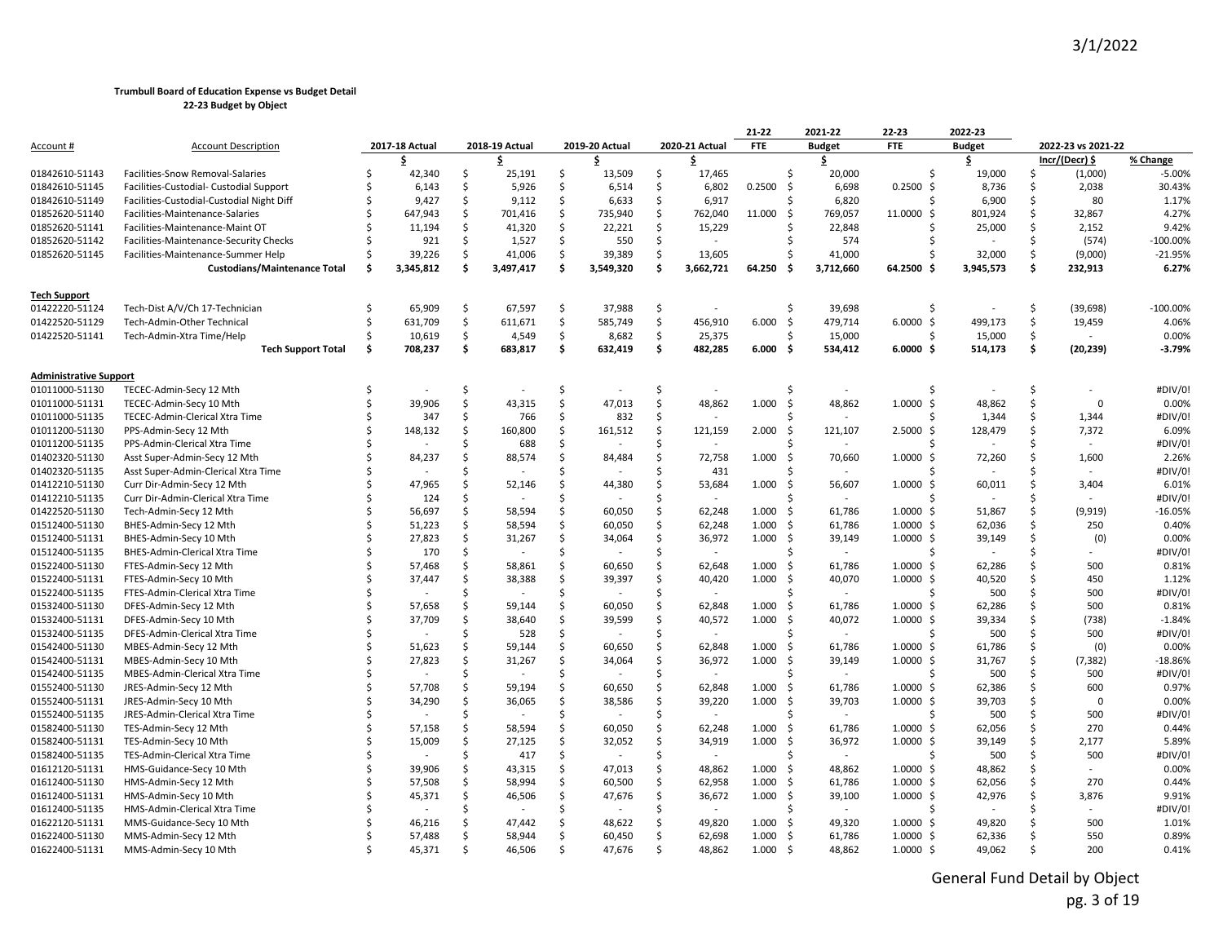|                                  |                                                  |    |                |         |                          |          |                |         |                                    | $21 - 22$  |     | 2021-22                  | 22-23                                  | 2022-23       |          |                    |                  |
|----------------------------------|--------------------------------------------------|----|----------------|---------|--------------------------|----------|----------------|---------|------------------------------------|------------|-----|--------------------------|----------------------------------------|---------------|----------|--------------------|------------------|
| Account #                        | <b>Account Description</b>                       |    | 2017-18 Actual |         | 2018-19 Actual           |          | 2019-20 Actual |         | 2020-21 Actual                     | <b>FTE</b> |     | <b>Budget</b>            | <b>FTE</b>                             | <b>Budget</b> |          | 2022-23 vs 2021-22 |                  |
|                                  |                                                  |    | S              |         | \$                       |          | \$             |         | \$                                 |            |     | \$                       |                                        | \$            |          | $Incr/(Decr)$ \$   | % Change         |
| 01842610-51143                   | Facilities-Snow Removal-Salaries                 | \$ | 42,340         | Ŝ.      | 25,191                   | \$       | 13,509         | \$      | 17,465                             |            | Ś   | 20,000                   |                                        | 19,000        | Ŝ.       | (1,000)            | $-5.00%$         |
| 01842610-51145                   | Facilities-Custodial- Custodial Support          | -Ŝ | 6,143          | Ŝ       | 5,926                    | \$       | 6,514          | Ŝ.      | 6,802                              | 0.2500     | -\$ | 6,698                    | $0.2500$ \$                            | 8,736         | Ŝ        | 2,038              | 30.43%           |
| 01842610-51149                   | Facilities-Custodial-Custodial Night Diff        |    | 9,427          | Ŝ       | 9,112                    | Ś.       | 6,633          | Ŝ.      | 6,917                              |            | Ś   | 6,820                    |                                        | 6,900         | Ŝ.       | 80                 | 1.17%            |
| 01852620-51140                   | Facilities-Maintenance-Salaries                  |    | 647,943        | Ŝ.      | 701,416                  | \$       | 735,940        | \$      | 762,040                            | 11.000     | Ś   | 769,057                  | 11.0000<br>-S                          | 801,924       | \$       | 32,867             | 4.27%            |
| 01852620-51141                   | Facilities-Maintenance-Maint OT                  |    | 11,194         | Ŝ.      | 41,320                   | \$       | 22,221         | Ŝ.      | 15,229                             |            |     | 22,848                   |                                        | 25,000        | S        | 2,152              | 9.42%            |
| 01852620-51142                   | Facilities-Maintenance-Security Checks           |    | 921            | Ŝ.      | 1,527                    | \$       | 550            | Ś.      |                                    |            |     | 574                      |                                        |               | Ŝ.       | (574)              | $-100.00%$       |
| 01852620-51145                   | Facilities-Maintenance-Summer Help               | Ŝ. | 39,226         | Ŝ       | 41,006                   | \$       | 39,389         | Ś.      | 13,605                             |            |     | 41,000                   |                                        | 32,000        | Ś.       | (9,000)            | $-21.95%$        |
|                                  | <b>Custodians/Maintenance Total</b>              | Ŝ. | 3,345,812      | Ŝ       | 3,497,417                | Ś.       | 3,549,320      | Ś.      | 3,662,721                          | 64.250     | .s  | 3,712,660                | 64.2500                                | 3,945,573     | Ŝ        | 232,913            | 6.27%            |
| <b>Tech Support</b>              |                                                  |    |                |         |                          |          |                |         |                                    |            |     |                          |                                        |               |          |                    |                  |
| 01422220-51124                   | Tech-Dist A/V/Ch 17-Technician                   | Ŝ. | 65,909         | \$      | 67,597                   | \$       | 37,988         | \$      |                                    |            | \$  | 39,698                   | Ŝ                                      |               | \$       | (39, 698)          | $-100.00%$       |
| 01422520-51129                   | Tech-Admin-Other Technical                       | Ŝ. | 631,709        | Ś       | 611,671                  | \$       | 585,749        | \$      | 456,910                            | 6.000      | -\$ | 479,714                  | $6.0000$ \$                            | 499,173       | Ś.       | 19,459             | 4.06%            |
| 01422520-51141                   | Tech-Admin-Xtra Time/Help                        |    | 10,619         | Ŝ.      | 4,549                    | \$       | 8,682          | \$      | 25,375                             |            |     | 15,000                   |                                        | 15,000        | Ŝ        |                    | 0.00%            |
|                                  | <b>Tech Support Total</b>                        | Ŝ. | 708,237        | \$.     | 683,817                  | \$       | 632,419        | \$      | 482,285                            | 6.000      | - S | 534,412                  | $6.0000$ \$                            | 514,173       | \$.      | (20, 239)          | $-3.79%$         |
| <b>Administrative Support</b>    |                                                  |    |                |         |                          |          |                |         |                                    |            |     |                          |                                        |               |          |                    |                  |
| 01011000-51130                   | TECEC-Admin-Secy 12 Mth                          |    |                | Ś       |                          | \$       |                | Ś       |                                    |            | Ś   |                          |                                        |               | Ŝ.       |                    | #DIV/0!          |
| 01011000-51131                   | TECEC-Admin-Secy 10 Mth                          |    | 39,906         | Ś.      | 43,315                   | Ś        | 47,013         | Ś       | 48,862                             | 1.000      | -\$ | 48,862                   | $1.0000$ \$                            | 48,862        | Ś.       | $\Omega$           | 0.00%            |
| 01011000-51135                   | TECEC-Admin-Clerical Xtra Time                   | \$ | 347            | Ŝ.      | 766                      | \$       | 832            | \$      |                                    |            |     |                          |                                        | 1,344         | Ŝ.       | 1,344              | #DIV/0!          |
| 01011200-51130                   | PPS-Admin-Secy 12 Mth                            |    | 148,132        | Ŝ       | 160,800                  | \$       | 161,512        | \$      | 121,159                            | 2.000      | -Ś  | 121,107                  | 2.5000S                                | 128,479       | Ŝ        | 7,372              | 6.09%            |
| 01011200-51135                   | PPS-Admin-Clerical Xtra Time                     |    |                | Ŝ       | 688                      | \$       |                | Ś.      |                                    |            |     |                          |                                        |               | Ŝ        |                    | #DIV/0!          |
| 01402320-51130                   | Asst Super-Admin-Secy 12 Mth                     |    | 84,237         | Ŝ       | 88,574                   | \$       | 84,484         | \$      | 72,758                             | 1.000      | -Ś  | 70,660                   | 1.0000<br>-S                           | 72,260        | Ŝ.       | 1,600              | 2.26%            |
| 01402320-51135                   | Asst Super-Admin-Clerical Xtra Time              |    |                |         |                          | Ś.       |                | Ś       | 431                                |            |     |                          |                                        |               |          |                    | #DIV/0!          |
| 01412210-51130                   | Curr Dir-Admin-Secy 12 Mth                       |    | 47,965         | Ŝ       | 52,146                   | \$       | 44,380         | Ś       | 53,684                             | 1.000      | -\$ | 56,607                   | $1.0000 \;$ \$                         | 60,011        | S        | 3,404              | 6.01%            |
| 01412210-51135                   | Curr Dir-Admin-Clerical Xtra Time                |    | 124            | Ŝ       |                          | \$.      |                | Ś       | $\overline{\phantom{a}}$           |            | ς   |                          |                                        |               |          |                    | #DIV/0!          |
| 01422520-51130                   | Tech-Admin-Secy 12 Mth                           |    | 56,697         | Ŝ.      | 58,594                   | Ś.       | 60,050         | Ŝ.      | 62,248                             | 1.000      | -\$ | 61,786                   | $1.0000 \;$ \$                         | 51,867        | Ŝ.       | (9, 919)           | $-16.05%$        |
| 01512400-51130                   | BHES-Admin-Secy 12 Mth                           |    | 51,223         | Ś.      | 58,594                   | \$       | 60,050         | \$      | 62,248                             | 1.000      | -Ś  | 61,786                   | $1.0000$ \$                            | 62,036        | Ŝ.       | 250                | 0.40%            |
| 01512400-51131                   | BHES-Admin-Secy 10 Mth                           |    | 27,823         | Ŝ.      | 31,267                   | \$       | 34,064         | \$      | 36,972                             | 1.000      | -\$ | 39,149                   | $1.0000 \; \text{S}$                   | 39,149        | S        | (0)                | 0.00%            |
| 01512400-51135                   | BHES-Admin-Clerical Xtra Time                    |    | 170            | Ś.      |                          | \$       |                | Ś       |                                    |            | Ś   |                          |                                        |               | Ŝ        |                    | #DIV/0!          |
| 01522400-51130                   | FTES-Admin-Secy 12 Mth                           |    | 57,468         | Ŝ       | 58,861                   | Ś.       | 60,650         | Ŝ.      | 62,648                             | 1.000      | -Ś  | 61,786                   | 1.0000<br>-S                           | 62,286        | Ŝ        | 500                | 0.81%            |
| 01522400-51131                   | FTES-Admin-Secy 10 Mth                           |    | 37,447         | Ŝ       | 38,388                   | Ś.       | 39,397         | Ś       | 40,420                             | 1.000      | - S | 40,070                   | $1.0000 \;$ \$                         | 40,520        | Ŝ        | 450                | 1.12%            |
| 01522400-51135                   | FTES-Admin-Clerical Xtra Time                    |    |                | Ŝ       |                          | Ś.       |                | Ś       |                                    |            | Ś   |                          |                                        | 500           | Ŝ.       | 500                | #DIV/0!          |
| 01532400-51130                   | DFES-Admin-Secy 12 Mth                           |    | 57,658         | Ŝ.      | 59,144                   | \$       | 60,050         | Ś       | 62,848                             | 1.000      | -Ś  | 61,786                   | $1.0000 \;$ \$                         | 62,286        | Ŝ        | 500                | 0.81%            |
| 01532400-51131                   | DFES-Admin-Secy 10 Mth                           |    | 37,709         | Ŝ       | 38,640                   | Ś.       | 39,599         | Ś       | 40,572                             | 1.000      | -\$ | 40,072                   | $1.0000 \;$ \$                         | 39,334        | Ŝ.       | (738)              | $-1.84%$         |
| 01532400-51135                   | DFES-Admin-Clerical Xtra Time                    |    |                | ς.      | 528                      | Ś        |                | Ŝ.      |                                    |            | ۹   |                          |                                        | 500           | Ŝ.       | 500                | #DIV/0!          |
| 01542400-51130                   | MBES-Admin-Secy 12 Mth                           |    | 51,623         | Ŝ       | 59,144                   | Ś.       | 60,650         | Ś       | 62,848                             | 1.000      | -Ś  | 61,786                   | $1.0000$ \$                            | 61,786        | Ŝ        | (0)                | 0.00%            |
| 01542400-51131                   | MBES-Admin-Secy 10 Mth                           |    | 27,823         | Ŝ.<br>Ŝ | 31,267                   | \$<br>\$ | 34,064         | \$      | 36,972                             | 1.000      | -\$ | 39,149                   | $1.0000 \; \text{S}$                   | 31,767        | \$       | (7, 382)           | $-18.86%$        |
| 01542400-51135<br>01552400-51130 | MBES-Admin-Clerical Xtra Time                    |    | 57,708         | Ŝ       | 59,194                   | Ś.       | 60,650         | Ś<br>Ŝ. | $\overline{\phantom{a}}$<br>62,848 | 1.000      | - Ś | 61,786                   |                                        | 500<br>62,386 | Ŝ.<br>Ŝ. | 500<br>600         | #DIV/0!<br>0.97% |
| 01552400-51131                   | JRES-Admin-Secy 12 Mth<br>JRES-Admin-Secy 10 Mth |    | 34,290         | Ś.      | 36,065                   | Ś        | 38,586         | \$      | 39,220                             | 1.000      | -Ś  | 39,703                   | $1.0000 \; \text{S}$<br>$1.0000 \;$ \$ | 39,703        | Ŝ        | $\Omega$           | 0.00%            |
| 01552400-51135                   | JRES-Admin-Clerical Xtra Time                    |    |                | ς.      | $\overline{\phantom{a}}$ | Ś.       |                | Ŝ.      | $\overline{a}$                     |            |     | $\overline{\phantom{a}}$ |                                        | 500           | Ŝ        | 500                | #DIV/0!          |
| 01582400-51130                   | TES-Admin-Secy 12 Mth                            |    | 57,158         | Ŝ       | 58,594                   | \$       | 60,050         | \$      | 62,248                             | 1.000      | - S | 61,786                   | $1.0000 \;$ \$                         | 62,056        | S        | 270                | 0.44%            |
| 01582400-51131                   | TES-Admin-Secy 10 Mth                            |    | 15,009         | Ŝ.      | 27,125                   | Ś.       | 32,052         | Ś.      | 34,919                             | 1.000      | -\$ | 36,972                   | $1.0000 \;$ \$                         | 39,149        | Ŝ        | 2,177              | 5.89%            |
| 01582400-51135                   | TES-Admin-Clerical Xtra Time                     |    |                | Ŝ       | 417                      | \$       |                | Ś       | $\overline{a}$                     |            |     | $\sim$                   |                                        | 500           | Ŝ        | 500                | #DIV/0!          |
| 01612120-51131                   | HMS-Guidance-Secy 10 Mth                         |    | 39,906         | Ś.      | 43,315                   | \$       | 47,013         | Ś.      | 48,862                             | 1.000      | -Ś  | 48,862                   | $1.0000$ \$                            | 48,862        | Ŝ        |                    | 0.00%            |
| 01612400-51130                   | HMS-Admin-Secy 12 Mth                            |    | 57,508         | Ŝ       | 58,994                   | Ś.       | 60,500         | Ŝ.      | 62,958                             | 1.000      | - S | 61,786                   | $1.0000 \;$ \$                         | 62,056        | S        | 270                | 0.44%            |
| 01612400-51131                   | HMS-Admin-Secy 10 Mth                            |    | 45,371         | Ŝ       | 46,506                   | Ś.       | 47,676         | Ś       | 36,672                             | 1.000      | -Ś  | 39,100                   | $1.0000 \;$ \$                         | 42,976        | Ŝ        | 3,876              | 9.91%            |
| 01612400-51135                   | HMS-Admin-Clerical Xtra Time                     |    |                | .S      |                          | Ś.       |                | Ŝ.      |                                    |            | ς   |                          |                                        |               | S        |                    | #DIV/0!          |
| 01622120-51131                   | MMS-Guidance-Secy 10 Mth                         |    | 46,216         |         | 47,442                   | Ś.       | 48,622         | Ś       | 49,820                             | 1.000      | - S | 49,320                   | $1.0000$ \$                            | 49,820        | Ŝ        | 500                | 1.01%            |
| 01622400-51130                   | MMS-Admin-Secy 12 Mth                            |    | 57,488         | Ŝ       | 58,944                   | \$       | 60,450         | Ŝ.      | 62,698                             | 1.000      | -\$ | 61,786                   | $1.0000 \;$ \$                         | 62,336        | Ŝ        | 550                | 0.89%            |
| 01622400-51131                   | MMS-Admin-Secy 10 Mth                            |    | 45.371         | $\zeta$ | 46,506                   | \$       | 47.676         | Ś.      | 48.862                             | 1.000      | Ŝ.  | 48.862                   | 1.0000S                                | 49.062        | ς.       | 200                | 0.41%            |
|                                  |                                                  |    |                |         |                          |          |                |         |                                    |            |     |                          |                                        |               |          |                    |                  |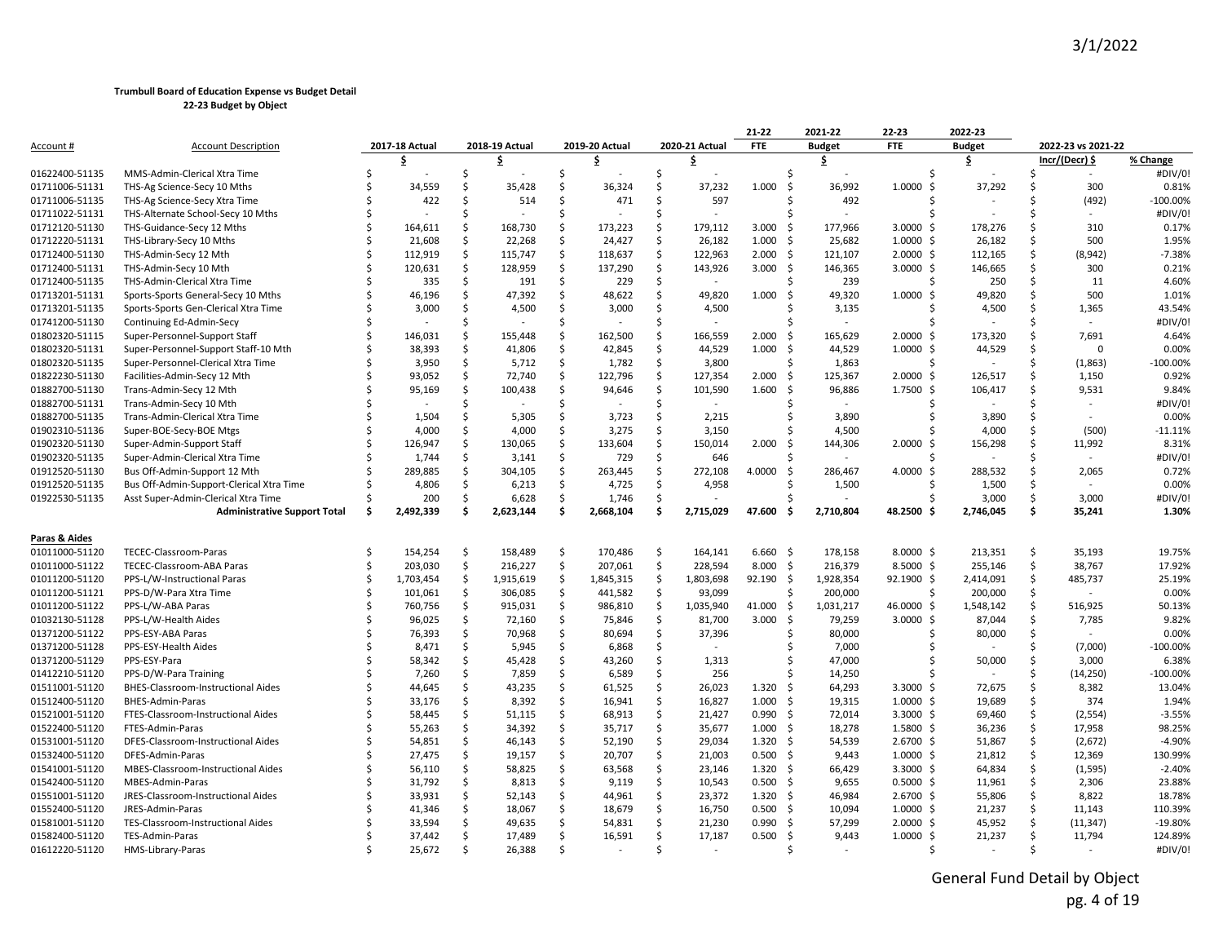|                |                                          |     |                |          |                          |          |                |          |                | $21 - 22$                | 2021-22          | $22 - 23$                 | 2022-23        |          |                    |            |
|----------------|------------------------------------------|-----|----------------|----------|--------------------------|----------|----------------|----------|----------------|--------------------------|------------------|---------------------------|----------------|----------|--------------------|------------|
| Account #      | <b>Account Description</b>               |     | 2017-18 Actual |          | 2018-19 Actual           |          | 2019-20 Actual |          | 2020-21 Actual | <b>FTE</b>               | <b>Budget</b>    | <b>FTE</b>                | <b>Budget</b>  |          | 2022-23 vs 2021-22 |            |
|                |                                          |     | \$.            |          | S                        |          | \$             |          | £              |                          | \$               |                           | \$             |          | Incr/(Decr) \$     | % Change   |
| 01622400-51135 | MMS-Admin-Clerical Xtra Time             |     |                | Ś        |                          | Ś.       |                | Ś.       |                |                          | \$               | Ŝ.                        |                | Ŝ        | $\sim$             | #DIV/0!    |
| 01711006-51131 | THS-Ag Science-Secy 10 Mths              |     | 34,559         | Ŝ.       | 35,428                   | Ŝ.       | 36,324         | Ŝ.       | 37,232         | 1.000                    | -Ś<br>36,992     | 1.0000<br>Ŝ.              | 37,292         | Ŝ        | 300                | 0.81%      |
| 01711006-51135 | THS-Ag Science-Secy Xtra Time            |     | 422            | Ŝ.       | 514                      | Ŝ.       | 471            | \$       | 597            |                          | 492<br>ς.        | <sub>S</sub>              |                | Ŝ        | (492)              | $-100.00%$ |
| 01711022-51131 | THS-Alternate School-Secy 10 Mths        |     |                | Ś        |                          | Ŝ.       |                | Ś        | $\sim$         |                          |                  | Ŝ                         |                |          |                    | #DIV/0!    |
| 01712120-51130 | THS-Guidance-Secy 12 Mths                |     | 164,611        | Ś.       | 168,730                  | Ś.       | 173,223        | Ŝ.       | 179,112        | 3.000                    | 177,966<br>- S   | $3.0000$ \$               | 178,276        | Ŝ.       | 310                | 0.17%      |
| 01712220-51131 | THS-Library-Secy 10 Mths                 |     | 21,608         | \$       | 22,268                   | \$       | 24,427         | \$       | 26,182         | 1.000                    | 25,682<br>-Ś     | $1.0000 \;$ \$            | 26,182         | Ś.       | 500                | 1.95%      |
| 01712400-51130 | THS-Admin-Secy 12 Mth                    |     | 112,919        | \$       | 115,747                  | \$       | 118,637        | \$       | 122,963        | $2.000 \quad$ \$         | 121,107          | $2.0000 \,$ \$            | 112,165        | Ŝ        | (8,942)            | $-7.38%$   |
| 01712400-51131 | THS-Admin-Secy 10 Mth                    |     | 120,631        | \$       | 128,959                  | \$       | 137,290        | \$       | 143,926        | 3.000                    | -\$<br>146,365   | $3.0000 \;$ \$            | 146,665        | Ŝ        | 300                | 0.21%      |
| 01712400-51135 | THS-Admin-Clerical Xtra Time             |     | 335            | \$       | 191                      | Ś.       | 229            | \$       |                |                          | 239              | Ŝ.                        | 250            | Ŝ.       | 11                 | 4.60%      |
| 01713201-51131 | Sports-Sports General-Secy 10 Mths       |     | 46,196         | Ś.       | 47,392                   | Ś.       | 48,622         | Ŝ        | 49,820         | 1.000                    | 49,320<br>Ś,     | 1.0000<br>Ŝ.              | 49,820         | Ŝ.       | 500                | 1.01%      |
| 01713201-51135 | Sports-Sports Gen-Clerical Xtra Time     |     | 3,000          | \$       | 4,500                    | \$       | 3,000          | Ŝ.       | 4,500          |                          | 3,135            | Ŝ                         | 4,500          | Ś.       | 1,365              | 43.54%     |
| 01741200-51130 | Continuing Ed-Admin-Secy                 |     |                | \$.      |                          | Ŝ.       |                | Ś        |                |                          |                  |                           |                | Ŝ        | $\sim$             | #DIV/0!    |
| 01802320-51115 | Super-Personnel-Support Staff            |     | 146,031        | \$       | 155,448                  | Ŝ.       | 162,500        | \$       | 166,559        | 2.000                    | 165,629<br>S,    | $2.0000 \;$ \$            | 173,320        | Ŝ        | 7,691              | 4.64%      |
| 01802320-51131 | Super-Personnel-Support Staff-10 Mth     |     | 38,393         | \$       | 41,806                   | \$       | 42,845         | \$       | 44,529         | 1.000                    | 44,529<br>-Ś     | $1.0000 \;$ \$            | 44,529         | Ŝ.       | 0                  | 0.00%      |
| 01802320-51135 | Super-Personnel-Clerical Xtra Time       |     | 3,950          | Ś.       | 5,712                    | \$       | 1,782          | \$       | 3,800          |                          | 1,863            | Ŝ.                        |                | Ŝ.       | (1,863)            | $-100.00%$ |
| 01822230-51130 | Facilities-Admin-Secy 12 Mth             |     | 93,052         | \$       | 72,740                   | Ś.       | 122,796        | \$       | 127,354        | 2.000                    | 125,367<br>-Ś    | $2.0000$ \$               | 126,517        | Ś.       | 1,150              | 0.92%      |
| 01882700-51130 | Trans-Admin-Secy 12 Mth                  |     | 95,169         | \$       | 100,438                  | Ŝ.       | 94,646         | \$       | 101,590        | 1.600                    | 96,886<br>- S    | $1.7500 \text{ }$         | 106,417        | Ŝ        | 9,531              | 9.84%      |
| 01882700-51131 | Trans-Admin-Secy 10 Mth                  |     | $\sim$         | Ś        | $\overline{\phantom{a}}$ | Ŝ.       |                | Ŝ        | $\sim$         |                          |                  |                           |                | .S       |                    | #DIV/0!    |
| 01882700-51135 | Trans-Admin-Clerical Xtra Time           |     | 1,504          | \$       | 5,305                    | \$       | 3,723          | \$       | 2,215          |                          | ς.<br>3,890      | Ŝ.                        | 3,890          | \$       |                    | 0.00%      |
| 01902310-51136 | Super-BOE-Secy-BOE Mtgs                  |     | 4,000          | \$       | 4,000                    | Ś.       | 3,275          | Ś.       | 3,150          |                          | 4,500            |                           | 4,000          | Ŝ.       | (500)              | $-11.11%$  |
| 01902320-51130 | Super-Admin-Support Staff                |     | 126,947        | Ś.       | 130,065                  | Ś.       | 133,604        | Ŝ.       | 150,014        | 2.000                    | 144,306<br>-Ś    | $2.0000$ \$               | 156,298        | Ś.       | 11,992             | 8.31%      |
| 01902320-51135 | Super-Admin-Clerical Xtra Time           |     | 1,744          | \$       | 3,141                    | \$       | 729            | Ŝ        | 646            |                          |                  | S,                        |                | .S       |                    | #DIV/0!    |
| 01912520-51130 | Bus Off-Admin-Support 12 Mth             |     | 289,885        | Ŝ.       | 304,105                  | \$       | 263,445        | Ŝ        | 272,108        | 4.0000                   | Ś,<br>286,467    | 4.0000<br>Ŝ.              | 288,532        | Ŝ.       | 2,065              | 0.72%      |
| 01912520-51135 | Bus Off-Admin-Support-Clerical Xtra Time |     | 4,806          | \$       | 6,213                    | \$       | 4,725          | \$       | 4,958          |                          | 1,500            | Ŝ                         | 1,500          | \$       |                    | 0.00%      |
| 01922530-51135 | Asst Super-Admin-Clerical Xtra Time      |     | 200            | Ś.       | 6,628                    | \$       | 1,746          | \$       |                |                          |                  |                           | 3,000          | Ś.       | 3,000              | #DIV/0!    |
|                | <b>Administrative Support Total</b>      | .\$ | 2,492,339      | Ŝ.       | 2,623,144                | Ś.       | 2,668,104      | Ś.       | 2,715,029      | 47.600                   | 2,710,804<br>.\$ | 48.2500 \$                | 2,746,045      | \$       | 35,241             | 1.30%      |
|                |                                          |     |                |          |                          |          |                |          |                |                          |                  |                           |                |          |                    |            |
| Paras & Aides  |                                          |     |                |          |                          |          |                |          |                |                          |                  |                           |                |          |                    |            |
| 01011000-51120 | TECEC-Classroom-Paras                    |     | 154,254        | \$       | 158,489                  | \$       | 170,486        | -\$      | 164,141        | $6.660$ \$               | 178,158          | $8.0000 \;$ \$            | 213,351        | \$       | 35,193             | 19.75%     |
| 01011000-51122 | TECEC-Classroom-ABA Paras                | Ś   | 203,030        | \$       | 216,227                  | \$       | 207,061        | \$       | 228,594        | 8.000                    | 216,379<br>-\$   | $8.5000$ \$               | 255,146        | \$       | 38,767             | 17.92%     |
| 01011200-51120 | PPS-L/W-Instructional Paras              |     | 1,703,454      | Ś.       | 1,915,619                | Ś.       | 1,845,315      | \$       | 1,803,698      | 92.190 \$                | 1,928,354        | 92.1900 \$                | 2,414,091      | Ŝ.       | 485,737            | 25.19%     |
| 01011200-51121 | PPS-D/W-Para Xtra Time                   |     | 101,061        | \$       | 306,085                  | \$       | 441,582        | \$       | 93,099         |                          | Ŝ.<br>200,000    | Ŝ                         | 200,000        | Ŝ.       |                    | 0.00%      |
| 01011200-51122 | PPS-L/W-ABA Paras                        |     | 760,756        | \$       | 915,031                  | \$       | 986,810        | \$       | 1,035,940      | 41.000                   | 1,031,217<br>-\$ | 46.0000 \$                | 1,548,142      | \$       | 516,925            | 50.13%     |
| 01032130-51128 | PPS-L/W-Health Aides                     |     | 96,025         | \$       | 72,160                   | \$       | 75,846         | \$       | 81,700         | 3.000                    | -\$<br>79,259    | $3.0000$ \$               | 87,044         | \$       | 7,785              | 9.82%      |
| 01371200-51122 | PPS-ESY-ABA Paras                        |     | 76,393         | \$       | 70,968                   | \$       | 80,694         | \$       | 37,396         |                          | 80,000<br>Ŝ.     | Ŝ.                        | 80,000         | \$       |                    | 0.00%      |
| 01371200-51128 | PPS-ESY-Health Aides                     |     | 8,471          | \$       | 5,945                    | Ś.       | 6,868          | Ŝ.       |                |                          | 7,000            |                           |                | Ŝ.       | (7,000)            | $-100.00%$ |
| 01371200-51129 | PPS-ESY-Para                             |     | 58,342         | \$       | 45,428                   | \$       | 43,260         | \$       | 1,313          |                          | 47,000<br>S,     |                           | 50,000         | Ŝ.       | 3,000              | 6.38%      |
| 01412210-51120 | PPS-D/W-Para Training                    |     | 7,260          | \$       | 7,859                    | \$       | 6,589          | Ŝ.       | 256            |                          | 14,250           |                           | $\overline{a}$ | Ŝ        | (14, 250)          | $-100.00%$ |
| 01511001-51120 | BHES-Classroom-Instructional Aides       |     | 44,645         | \$       | 43,235                   | \$       | 61,525         | \$       | 26,023         | 1.320                    | - Ś<br>64,293    | $3.3000 \div$             | 72,675         | Ŝ.       | 8,382              | 13.04%     |
| 01512400-51120 | BHES-Admin-Paras                         |     | 33,176         | \$       | 8,392                    | \$       | 16,941         | \$       | 16,827         | 1.000                    | 19,315<br>- Ś    | $1.0000 \;$ \$            | 19,689         | \$       | 374                | 1.94%      |
| 01521001-51120 | FTES-Classroom-Instructional Aides       |     | 58,445         | \$       | 51,115                   | Ŝ.       | 68,913         | \$       | 21,427         | $0.990$ \$               | 72,014           | $3.3000 \div$             | 69,460         | Ŝ.       | (2, 554)           | $-3.55%$   |
| 01522400-51120 | FTES-Admin-Paras                         |     | 55,263         | \$       | 34,392                   | \$       | 35,717         | \$       | 35,677         | $1.000 \quad$ \$         | 18,278           | $1.5800 \text{ }$         | 36,236         | Ŝ.       | 17,958             | 98.25%     |
| 01531001-51120 | DFES-Classroom-Instructional Aides       |     | 54,851         | \$       | 46,143                   | \$       | 52,190         | \$       | 29,034         | $1.320 \div$             | 54,539           | $2.6700$ \$               | 51,867         | \$       | (2,672)            | $-4.90%$   |
| 01532400-51120 | DFES-Admin-Paras                         |     | 27,475         | \$       | 19,157                   | Ś.       | 20,707         | Ŝ        | 21,003         | $0.500$ \$               | 9,443            | $1.0000 \;$ \$            | 21,812         | Ŝ.       | 12,369             | 130.99%    |
| 01541001-51120 | MBES-Classroom-Instructional Aides       |     | 56,110         | \$       | 58,825                   | \$       | 63,568         | \$       | 23,146         | $1.320 \div$             | 66,429           | $3.3000 \div$             | 64,834         | \$       |                    | $-2.40%$   |
| 01542400-51120 | MBES-Admin-Paras                         |     | 31,792         | \$       |                          | Ś.       | 9,119          | Ś.       | 10,543         | $0.500$ \$               | 9,655            | $0.5000$ \$               |                | Ŝ.       | (1, 595)           | 23.88%     |
| 01551001-51120 | JRES-Classroom-Instructional Aides       |     | 33,931         | \$       | 8,813<br>52,143          | Ŝ.       | 44,961         | \$       | 23,372         | $1.320 \quad$ \$         | 46,984           | $2.6700$ \$               | 11,961         | Ŝ.       | 2,306<br>8,822     | 18.78%     |
| 01552400-51120 | JRES-Admin-Paras                         |     | 41,346         | \$       | 18,067                   | Ŝ.       | 18,679         | \$       | 16,750         | $0.500$ \$               | 10,094           | $1.0000 \;$ \$            | 55,806         | Ŝ.       | 11,143             | 110.39%    |
|                |                                          |     |                |          |                          |          |                |          |                |                          |                  |                           | 21,237         |          |                    |            |
| 01581001-51120 | TES-Classroom-Instructional Aides        |     | 33,594         | \$<br>\$ | 49,635                   | Ŝ.<br>Ś. | 54,831         | Ŝ.<br>\$ | 21,230         | $0.990$ \$<br>$0.500$ \$ | 57,299           | $2.0000$ \$               | 45,952         | Ŝ.<br>Ś. | (11, 347)          | $-19.80%$  |
| 01582400-51120 | TES-Admin-Paras                          |     | 37,442         | Ŝ.       | 17,489                   | Ŝ.       | 16,591         | Ś        | 17,187         |                          | 9,443<br>\$      | $1.0000 \;$ \$<br>$\zeta$ | 21,237         | Ŝ.       | 11,794             | 124.89%    |
| 01612220-51120 | HMS-Library-Paras                        |     | 25,672         |          | 26,388                   |          |                |          |                |                          | $\overline{a}$   |                           |                |          |                    | #DIV/0!    |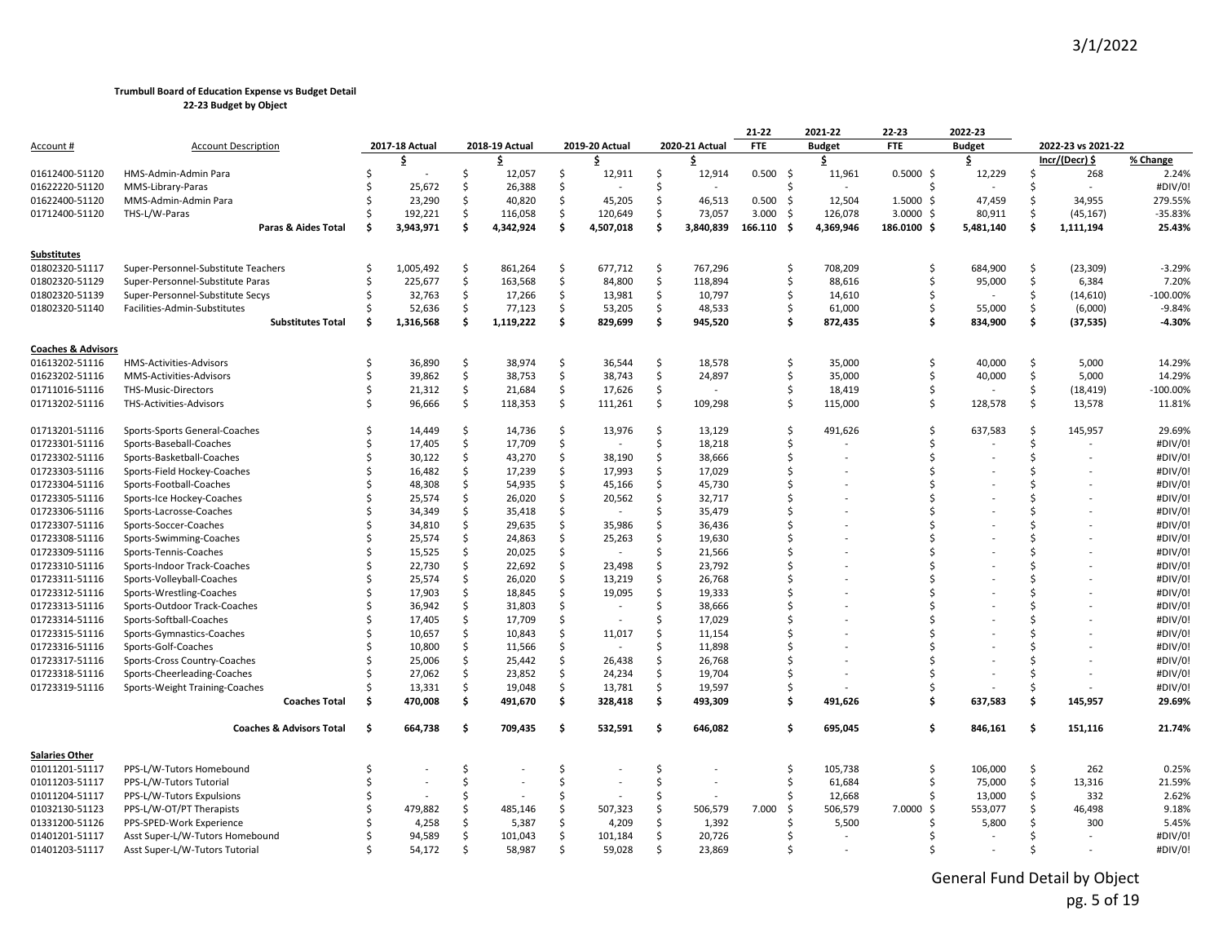|                               |                                                        |     |                   |               |                   |          |                   |          |                          | $21 - 22$          | 2021-22       | 22-23                | 2022-23       |     |                    |                   |
|-------------------------------|--------------------------------------------------------|-----|-------------------|---------------|-------------------|----------|-------------------|----------|--------------------------|--------------------|---------------|----------------------|---------------|-----|--------------------|-------------------|
| Account #                     | <b>Account Description</b>                             |     | 2017-18 Actual    |               | 2018-19 Actual    |          | 2019-20 Actual    |          | 2020-21 Actual           | <b>FTE</b>         | <b>Budget</b> | <b>FTE</b>           | <b>Budget</b> |     | 2022-23 vs 2021-22 |                   |
|                               |                                                        |     | \$                |               | \$                |          |                   |          | \$                       |                    | \$            |                      | \$            |     | Incr/(Decr) \$     | % Change          |
| 01612400-51120                | HMS-Admin-Admin Para                                   | \$  |                   | Ŝ.            | 12,057            | \$       | 12,911            | \$       | 12,914                   | 0.500%             | 11,961        | $0.5000$ \$          | 12,229        | Ŝ.  | 268                | 2.24%             |
| 01622220-51120                | MMS-Library-Paras                                      |     | 25,672            | Ŝ.            | 26,388            | Ŝ.       |                   | Ŝ        | $\overline{\phantom{a}}$ | Ś                  |               |                      |               |     | $\sim$             | #DIV/0!           |
| 01622400-51120                | MMS-Admin-Admin Para                                   |     | 23,290            | Ŝ.            | 40,820            | Ś.       | 45,205            | Ŝ        | 46,513                   | 0.500<br>-\$       | 12,504        | $1.5000 \text{ }$ \$ | 47,459        | Ŝ   | 34,955             | 279.55%           |
| 01712400-51120                | THS-L/W-Paras                                          |     | 192,221           | \$            | 116,058           | \$       | 120,649           | Ś.       | 73,057                   | -\$<br>3.000       | 126,078       | $3.0000$ \$          | 80,911        | Ś.  | (45, 167)          | $-35.83%$         |
|                               | Paras & Aides Total                                    | .\$ | 3,943,971         | Ŝ.            | 4,342,924         | \$       | 4,507,018         | \$.      | 3,840,839                | 166.110<br>- S     | 4,369,946     | 186.0100 \$          | 5,481,140     | \$. | 1,111,194          | 25.43%            |
| Substitutes                   |                                                        |     |                   |               |                   |          |                   |          |                          |                    |               |                      |               |     |                    |                   |
| 01802320-51117                | Super-Personnel-Substitute Teachers                    | -Ś  | 1,005,492         | \$            | 861,264           | \$       | 677,712           | \$       | 767,296                  | $\mathsf{\hat{S}}$ | 708,209       | Ŝ.                   | 684,900       | \$  | (23, 309)          | $-3.29%$          |
| 01802320-51129                | Super-Personnel-Substitute Paras                       | Ś   | 225,677           | \$            | 163,568           | \$       | 84,800            | Ŝ        | 118,894                  | Ś                  | 88,616        | Ŝ.                   | 95,000        | Ŝ.  | 6,384              | 7.20%             |
| 01802320-51139                | Super-Personnel-Substitute Secys                       |     | 32,763            | Ś.            | 17,266            | \$       | 13,981            | \$       | 10,797                   | \$                 | 14,610        |                      |               | \$  | (14, 610)          | $-100.00%$        |
| 01802320-51140                | Facilities-Admin-Substitutes                           |     | 52,636            | Ś.            | 77,123            | \$       | 53,205            | \$       | 48,533                   | Ś                  | 61,000        | Ŝ.                   | 55,000        | \$  | (6,000)            | $-9.84%$          |
|                               | <b>Substitutes Total</b>                               | Ś   | 1,316,568         | Š.            | 1,119,222         | Ś        | 829,699           | \$       | 945,520                  | Ś                  | 872,435       | \$                   | 834,900       | \$  | (37, 535)          | $-4.30%$          |
| <b>Coaches &amp; Advisors</b> |                                                        |     |                   |               |                   |          |                   |          |                          |                    |               |                      |               |     |                    |                   |
| 01613202-51116                | <b>HMS-Activities-Advisors</b>                         | Ŝ.  | 36,890            | Ŝ.            | 38,974            | Ś.       | 36,544            | Ŝ        | 18,578                   | Ś                  | 35,000        | Ŝ.                   | 40,000        | Ŝ.  | 5,000              | 14.29%            |
| 01623202-51116                | MMS-Activities-Advisors                                | Ś   | 39,862            | \$            | 38,753            | \$       | 38,743            | \$       | 24,897                   | \$                 | 35,000        | Ŝ.                   | 40,000        | \$  | 5,000              | 14.29%            |
| 01711016-51116                | THS-Music-Directors                                    | Ś   | 21,312            | \$            | 21,684            | \$       | 17,626            | \$       |                          | \$                 | 18,419        | Ś                    |               | \$  | (18, 419)          | $-100.00%$        |
| 01713202-51116                | THS-Activities-Advisors                                | Ś   | 96,666            | \$            | 118,353           | \$       | 111,261           | Ś.       | 109,298                  | Ś                  | 115,000       | Ŝ.                   | 128,578       | Ś.  | 13,578             | 11.81%            |
| 01713201-51116                | Sports-Sports General-Coaches                          |     | 14,449            | \$            | 14,736            | Ś        | 13,976            | Ś.       | 13,129                   | Ś                  | 491,626       | Ŝ                    | 637,583       | Ś.  | 145,957            | 29.69%            |
| 01723301-51116                | Sports-Baseball-Coaches                                |     | 17,405            | \$            | 17,709            | \$       |                   | Ŝ        | 18,218                   | Ś                  |               | \$                   |               | Ŝ.  |                    | #DIV/0!           |
| 01723302-51116                | Sports-Basketball-Coaches                              |     | 30,122            | \$            | 43,270            | Ŝ.       | 38,190            | Ŝ.       | 38,666                   | Ś                  |               |                      |               |     |                    | #DIV/0!           |
| 01723303-51116                | Sports-Field Hockey-Coaches                            |     | 16,482            | \$            | 17,239            | \$       | 17,993            | \$       | 17,029                   | S                  |               |                      |               |     |                    | #DIV/0!           |
| 01723304-51116                | Sports-Football-Coaches                                |     | 48,308            | \$            | 54,935            | Ś        | 45,166            | \$       | 45,730                   | Ś                  |               |                      |               |     |                    | #DIV/0!           |
| 01723305-51116                | Sports-Ice Hockey-Coaches                              |     | 25,574            | \$            | 26,020            | \$       | 20,562            | \$       | 32,717                   | Ś                  |               |                      |               |     |                    | #DIV/0!           |
| 01723306-51116                | Sports-Lacrosse-Coaches                                |     | 34,349            | \$            | 35,418            | Ś        |                   | Ŝ.       | 35,479                   |                    |               |                      |               |     |                    | #DIV/0!           |
| 01723307-51116                | Sports-Soccer-Coaches                                  |     | 34,810            | Ŝ.            | 29,635            | Ś.       | 35,986            | Ŝ        | 36,436                   | Ś                  |               |                      |               |     |                    | #DIV/0!           |
| 01723308-51116                | Sports-Swimming-Coaches                                |     | 25,574            | \$            | 24,863            | Ŝ.       | 25,263            | \$.      | 19,630                   | ۹                  |               |                      |               |     |                    | #DIV/0!           |
| 01723309-51116                | Sports-Tennis-Coaches                                  |     | 15,525            | \$            | 20,025            | Ś        |                   | Ś        | 21,566                   | Ś                  |               |                      |               |     |                    | #DIV/0!           |
| 01723310-51116                | Sports-Indoor Track-Coaches                            |     | 22,730            | \$            | 22,692            | \$       | 23,498            | Ŝ        | 23,792                   | S                  |               |                      |               |     |                    | #DIV/0!           |
| 01723311-51116                | Sports-Volleyball-Coaches                              |     | 25,574            | \$            | 26,020            | Ś.       | 13,219            | Ś.       | 26,768                   | Ś                  |               |                      |               |     |                    | #DIV/0!           |
| 01723312-51116                | Sports-Wrestling-Coaches                               |     | 17,903            | \$            | 18,845            | Ś        | 19,095            | Ŝ        | 19,333                   | ۹                  |               |                      |               |     |                    | #DIV/0!           |
| 01723313-51116                | Sports-Outdoor Track-Coaches                           |     | 36,942            | Ŝ.            | 31,803            | Ŝ        |                   | Ŝ.       | 38,666                   | S                  |               |                      |               |     |                    | #DIV/0!           |
| 01723314-51116                | Sports-Softball-Coaches                                |     | 17,405            | \$            | 17,709            | Ś.       |                   | S        | 17,029                   | ۹                  |               |                      |               |     |                    | #DIV/0!           |
| 01723315-51116                | Sports-Gymnastics-Coaches                              |     | 10,657            | \$            | 10,843            | Ś        | 11,017            | Ś        | 11,154                   | Ś                  |               |                      |               |     |                    | #DIV/0!           |
| 01723316-51116                | Sports-Golf-Coaches                                    |     | 10,800            | \$            | 11,566            | Ś.       |                   | Ŝ        | 11,898                   | Ś                  |               |                      |               |     |                    | #DIV/0!           |
| 01723317-51116                | Sports-Cross Country-Coaches                           |     | 25,006            | \$            | 25,442            | \$       | 26,438            | \$       | 26,768                   | Ś                  |               |                      |               |     |                    | #DIV/0!           |
| 01723318-51116                | Sports-Cheerleading-Coaches                            |     | 27,062            | \$            | 23,852            | Ś        | 24,234            | Ś.       | 19,704                   | Ś                  |               |                      |               |     |                    | #DIV/0!           |
| 01723319-51116                | Sports-Weight Training-Coaches<br><b>Coaches Total</b> | \$. | 13,331<br>470,008 | \$<br>\$      | 19,048<br>491,670 | Ś.<br>\$ | 13,781<br>328,418 | Ś.<br>\$ | 19,597<br>493,309        | Ś<br>Ŝ             | 491,626       | \$                   | 637,583       | Ŝ   | 145,957            | #DIV/0!<br>29.69% |
|                               |                                                        |     |                   |               |                   |          |                   |          |                          |                    |               |                      |               |     |                    |                   |
|                               | <b>Coaches &amp; Advisors Total</b>                    | Ś.  | 664,738           | -\$           | 709,435           | \$       | 532,591           | \$       | 646,082                  | Ś                  | 695,045       | Ś.                   | 846,161       | \$  | 151,116            | 21.74%            |
| <b>Salaries Other</b>         |                                                        |     |                   |               |                   |          |                   |          |                          |                    |               |                      |               |     |                    |                   |
| 01011201-51117                | PPS-L/W-Tutors Homebound                               | Ś   |                   | Ŝ             |                   | Ŝ        |                   | Ŝ        |                          | \$                 | 105,738       | Ŝ                    | 106,000       | \$  | 262                | 0.25%             |
| 01011203-51117                | PPS-L/W-Tutors Tutorial                                |     |                   | $\zeta$       |                   | Ŝ.       |                   | Ŝ.       | $\overline{a}$           | Ś                  | 61,684        |                      | 75,000        | \$  | 13,316             | 21.59%            |
| 01011204-51117                | PPS-L/W-Tutors Expulsions                              |     |                   | Ŝ             |                   | Ŝ.       |                   | Ŝ        |                          | \$                 | 12,668        | Ŝ                    | 13,000        | \$  | 332                | 2.62%             |
| 01032130-51123                | PPS-L/W-OT/PT Therapists                               |     | 479,882           | Ŝ.            | 485,146           | Ś.       | 507,323           | Ś        | 506,579                  | 7.000<br>S.        | 506,579       | 7.0000<br>Ŝ.         | 553,077       |     | 46,498             | 9.18%             |
| 01331200-51126                | PPS-SPED-Work Experience                               |     | 4,258             | Ŝ.            | 5,387             | Ś.       | 4,209             | Ŝ        | 1,392                    | Ś                  | 5,500         |                      | 5,800         |     | 300                | 5.45%             |
| 01401201-51117                | Asst Super-L/W-Tutors Homebound                        |     | 94,589            | Ŝ.            | 101,043           | Ś        | 101,184           | Ŝ        | 20,726                   | Ś                  |               |                      |               |     |                    | #DIV/0!           |
| 01401203-51117                | Asst Super-L/W-Tutors Tutorial                         |     | 54,172            | $\hat{\zeta}$ | 58,987            | $\zeta$  | 59.028            | ς.       | 23.869                   |                    |               |                      |               |     |                    | #DIV/0!           |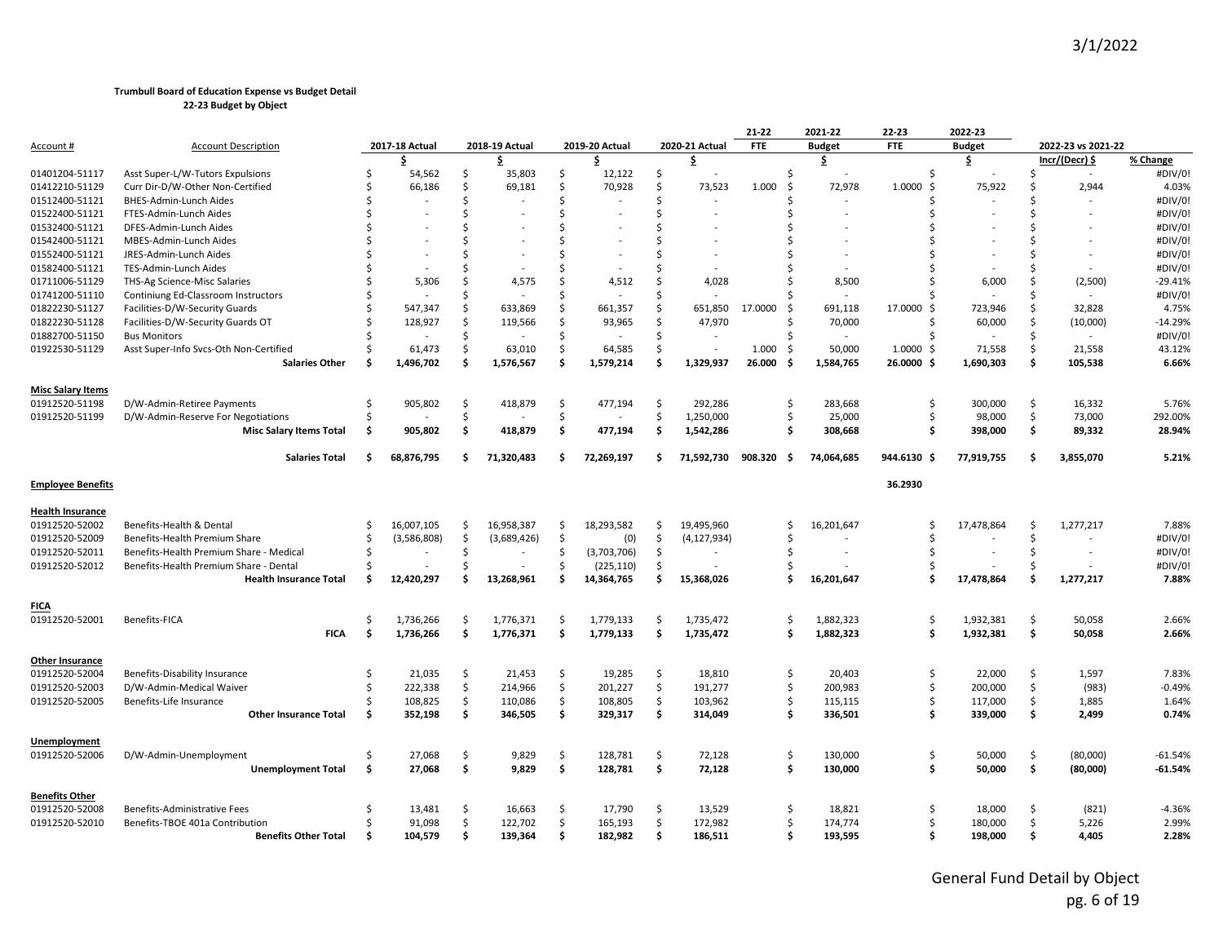|                                           |                                         |     |                |    |                |     |                          |    |                          | $21 - 22$     | 2021-22       | 22-23         | 2022-23       |     |                    |           |
|-------------------------------------------|-----------------------------------------|-----|----------------|----|----------------|-----|--------------------------|----|--------------------------|---------------|---------------|---------------|---------------|-----|--------------------|-----------|
| <u>Account</u> #                          | <b>Account Description</b>              |     | 2017-18 Actual |    | 2018-19 Actual |     | 2019-20 Actual           |    | 2020-21 Actual           | <b>FTE</b>    | <b>Budget</b> | <b>FTE</b>    | <b>Budget</b> |     | 2022-23 vs 2021-22 |           |
|                                           |                                         |     | \$             |    | \$             |     | \$                       |    | \$                       |               | \$            |               | \$            |     | Incr/(Decr) \$     | % Change  |
| 01401204-51117                            | Asst Super-L/W-Tutors Expulsions        | Ś   | 54,562         | \$ | 35,803         | \$  | 12,122                   | \$ |                          | Ś             |               | Ŝ.            |               | Ŝ   | $\sim$             | #DIV/0!   |
| 01412210-51129                            | Curr Dir-D/W-Other Non-Certified        |     | 66,186         | Ś. | 69,181         | Ś   | 70,928                   | \$ | 73,523                   | 1.000<br>Ŝ.   | 72,978        | 1.0000<br>Š.  | 75,922        | Ŝ   | 2,944              | 4.03%     |
| 01512400-51121                            | BHES-Admin-Lunch Aides                  |     |                | \$ |                | \$  |                          | \$ |                          |               |               | Ŝ             |               |     |                    | #DIV/0!   |
| 01522400-51121                            | FTES-Admin-Lunch Aides                  |     |                | Ś  |                | Ś   |                          | Ś  |                          |               |               |               |               |     |                    | #DIV/0!   |
| 01532400-51121                            | DFES-Admin-Lunch Aides                  |     |                | Ś  |                | Ś   |                          | Ś  |                          |               |               |               |               |     |                    | #DIV/0!   |
| 01542400-51121                            | MBES-Admin-Lunch Aides                  |     |                | Ś  |                | \$  |                          | Ś  |                          |               |               |               |               |     |                    | #DIV/0!   |
| 01552400-51121                            | JRES-Admin-Lunch Aides                  |     |                | \$ |                | \$  |                          | \$ |                          |               |               |               |               |     |                    | #DIV/0!   |
| 01582400-51121                            | TES-Admin-Lunch Aides                   |     |                | Ś  |                | Ś   |                          | Ś  |                          |               |               |               |               |     |                    | #DIV/0!   |
| 01711006-51129                            | THS-Ag Science-Misc Salaries            |     | 5,306          | Ś  | 4,575          | Ś   | 4,512                    | Ś  | 4,028                    |               | 8,500         |               | 6,000         | Ŝ   | (2,500)            | $-29.41%$ |
| 01741200-51110                            | Continiung Ed-Classroom Instructors     |     |                | \$ |                | Ś   |                          | Ś  |                          |               |               |               |               | Ŝ   |                    | #DIV/0!   |
| 01822230-51127                            | Facilities-D/W-Security Guards          |     | 547,347        | \$ | 633,869        | Ś.  | 661,357                  | Ś. | 651,850                  | 17.0000<br>-Ś | 691,118       | 17.0000<br>Ŝ. | 723,946       | Ŝ.  | 32,828             | 4.75%     |
| 01822230-51128                            | Facilities-D/W-Security Guards OT       |     | 128,927        | Ś. | 119,566        | Ś   | 93,965                   | Ś. | 47,970                   | Ś             | 70,000        | Ŝ.            | 60,000        | Ŝ.  | (10,000)           | $-14.29%$ |
| 01882700-51150                            | <b>Bus Monitors</b>                     |     |                | \$ |                | Ś.  |                          | \$ |                          |               |               | Ŝ.            |               | Ś.  |                    | #DIV/0!   |
| 01922530-51129                            | Asst Super-Info Svcs-Oth Non-Certified  |     | 61,473         | \$ | 63,010         | \$  | 64,585                   | \$ | $\overline{\phantom{a}}$ | 1.000<br>-\$  | 50,000        | 1.0000<br>Ŝ.  | 71,558        | Ś.  | 21,558             | 43.12%    |
|                                           | <b>Salaries Other</b>                   | Ŝ   | 1,496,702      | \$ | 1,576,567      | \$  | 1,579,214                | \$ | 1,329,937                | 26.000<br>-\$ | 1,584,765     | 26.0000<br>-S | 1,690,303     | Ŝ   | 105,538            | 6.66%     |
| <b>Misc Salary Items</b>                  |                                         |     |                |    |                |     |                          |    |                          |               |               |               |               |     |                    |           |
| 01912520-51198                            | D/W-Admin-Retiree Payments              | Ś   | 905,802        | \$ | 418,879        | Ś.  | 477,194                  | \$ | 292,286                  | Ś             | 283,668       | Ŝ.            | 300,000       | Ś.  | 16,332             | 5.76%     |
| 01912520-51199                            | D/W-Admin-Reserve For Negotiations      | S,  |                | \$ |                | Ś.  |                          | \$ | 1,250,000                | Ś             | 25,000        | Ŝ.            | 98,000        | Ś.  | 73,000             | 292.00%   |
|                                           | <b>Misc Salary Items Total</b>          | \$  | 905,802        | \$ | 418,879        | \$  | 477,194                  | \$ | 1,542,286                | Ś             | 308,668       | Ŝ.            | 398,000       | \$  | 89,332             | 28.94%    |
|                                           | <b>Salaries Total</b>                   | Ś   | 68,876,795     | \$ | 71,320,483     | \$  | 72,269,197               | Ś. | 71,592,730               | 908.320<br>Ŝ. | 74,064,685    | 944.6130 \$   | 77,919,755    | \$. | 3,855,070          | 5.21%     |
| <b>Employee Benefits</b>                  |                                         |     |                |    |                |     |                          |    |                          |               |               | 36.2930       |               |     |                    |           |
|                                           |                                         |     |                |    |                |     |                          |    |                          |               |               |               |               |     |                    |           |
| <u>Health Insurance</u><br>01912520-52002 | Benefits-Health & Dental                | Ŝ.  | 16,007,105     | \$ | 16,958,387     | \$  | 18,293,582               | \$ | 19,495,960               | Ś             | 16,201,647    | S             | 17,478,864    | \$  | 1,277,217          | 7.88%     |
| 01912520-52009                            | Benefits-Health Premium Share           | Ś   | (3,586,808)    | \$ | (3,689,426)    | \$  | (0)                      | \$ | (4, 127, 934)            | Ś             |               |               |               | Ś.  |                    | #DIV/0!   |
| 01912520-52011                            | Benefits-Health Premium Share - Medical | Ŝ   |                | \$ |                | Ś.  | (3,703,706)              | \$ |                          | Ś             |               |               |               | Ŝ.  |                    | #DIV/0!   |
|                                           | Benefits-Health Premium Share - Dental  |     |                | ς. |                | Ś   |                          | \$ |                          |               |               |               |               |     |                    | #DIV/0!   |
| 01912520-52012                            | <b>Health Insurance Total</b>           | Ś   | 12,420,297     | Ś  | 13,268,961     | Ś   | (225, 110)<br>14,364,765 | \$ | 15,368,026               | Ś             | 16,201,647    | \$.           | 17,478,864    | Ŝ   | 1,277,217          | 7.88%     |
|                                           |                                         |     |                |    |                |     |                          |    |                          |               |               |               |               |     |                    |           |
| FICA                                      |                                         |     |                |    |                |     |                          |    |                          |               |               |               |               |     |                    |           |
| 01912520-52001                            | Benefits-FICA                           | Ś   | 1,736,266      | \$ | 1,776,371      | \$  | 1,779,133                | \$ | 1,735,472                | Ś             | 1,882,323     | Ŝ.            | 1,932,381     | \$  | 50,058             | 2.66%     |
|                                           | <b>FICA</b>                             | \$  | 1,736,266      | \$ | 1,776,371      | \$. | 1,779,133                | \$ | 1,735,472                | \$            | 1,882,323     | \$            | 1,932,381     | \$  | 50,058             | 2.66%     |
| <b>Other Insurance</b>                    |                                         |     |                |    |                |     |                          |    |                          |               |               |               |               |     |                    |           |
| 01912520-52004                            | Benefits-Disability Insurance           | Ŝ.  | 21,035         | \$ | 21,453         | \$  | 19,285                   | Ś. | 18,810                   | Ś             | 20,403        | Ŝ.            | 22,000        | Ś.  | 1,597              | 7.83%     |
| 01912520-52003                            | D/W-Admin-Medical Waiver                | Ŝ   | 222,338        | \$ | 214,966        | \$  | 201,227                  | \$ | 191,277                  | Ś.            | 200,983       | \$            | 200,000       | Ś   | (983)              | $-0.49%$  |
| 01912520-52005                            | Benefits-Life Insurance                 |     | 108,825        | \$ | 110,086        | \$  | 108,805                  | \$ | 103,962                  | Ś.            | 115,115       | \$            | 117,000       | \$  | 1,885              | 1.64%     |
|                                           | <b>Other Insurance Total</b>            | Ŝ   | 352,198        | \$ | 346,505        | \$  | 329,317                  | \$ | 314,049                  | Ś             | 336,501       | Ŝ.            | 339,000       | Ś   | 2,499              | 0.74%     |
| Unemployment                              |                                         |     |                |    |                |     |                          |    |                          |               |               |               |               |     |                    |           |
| 01912520-52006                            | D/W-Admin-Unemployment                  | Ŝ.  | 27,068         | \$ | 9,829          | \$  | 128,781                  | \$ | 72,128                   | Ś             | 130,000       | Ŝ.            | 50,000        | Ś.  | (80,000)           | $-61.54%$ |
|                                           | <b>Unemployment Total</b>               | \$  | 27,068         | \$ | 9,829          | \$  | 128,781                  | \$ | 72,128                   | \$            | 130,000       | \$            | 50,000        | \$  | (80,000)           | $-61.54%$ |
| Benefits Other                            |                                         |     |                |    |                |     |                          |    |                          |               |               |               |               |     |                    |           |
| 01912520-52008                            | Benefits-Administrative Fees            | S   | 13,481         | \$ | 16,663         | Ŝ.  | 17,790                   | Ś  | 13,529                   | Ś             | 18,821        | Ŝ.            | 18,000        | Ŝ   | (821)              | $-4.36%$  |
| 01912520-52010                            | Benefits-TBOE 401a Contribution         |     | 91,098         | \$ | 122,702        | \$  | 165,193                  | \$ | 172,982                  | Ś             | 174,774       | Ŝ.            | 180,000       | Ś.  | 5,226              | 2.99%     |
|                                           | <b>Benefits Other Total</b>             | \$. | 104,579        | Ś. | 139,364        | \$  | 182,982                  | Ś  | 186,511                  |               | 193,595       |               | 198,000       | ¢.  | 4,405              | 2.28%     |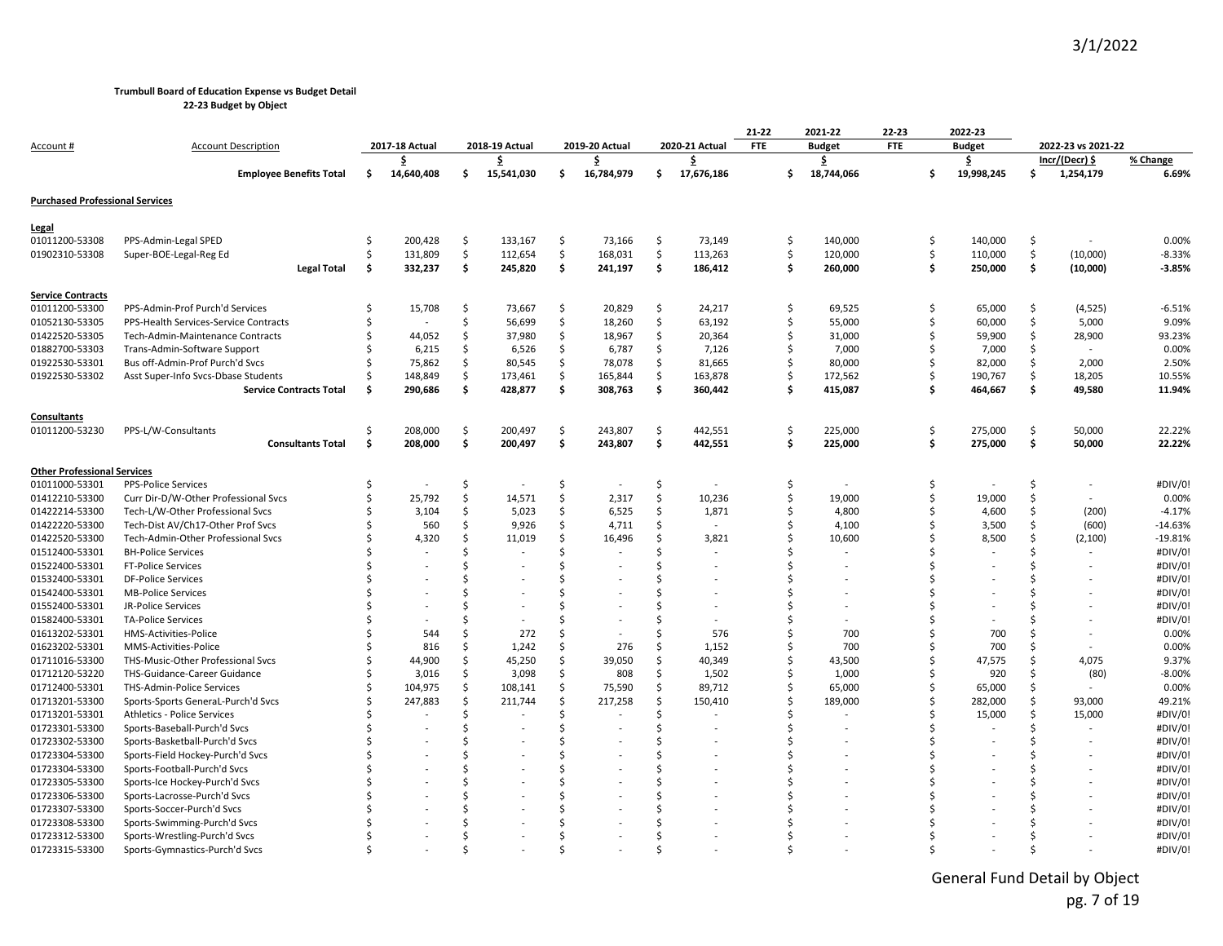**22-23 Budget by Object**

|                                        |                                       |    |                          |    |                |    |                |    |                | 21-22      | 2021-22       | 22-23      |     | 2022-23       |    |                    |           |
|----------------------------------------|---------------------------------------|----|--------------------------|----|----------------|----|----------------|----|----------------|------------|---------------|------------|-----|---------------|----|--------------------|-----------|
| <u>Account #</u>                       | <b>Account Description</b>            |    | 2017-18 Actual           |    | 2018-19 Actual |    | 2019-20 Actual |    | 2020-21 Actual | <b>FTE</b> | <b>Budget</b> | <b>FTE</b> |     | <b>Budget</b> |    | 2022-23 vs 2021-22 |           |
|                                        |                                       |    | \$                       |    | \$             |    | \$             |    | \$             |            | \$            |            |     | \$            |    | Incr/(Decr) \$     | % Change  |
|                                        | <b>Employee Benefits Total</b>        | \$ | 14,640,408               | \$ | 15,541,030     | \$ | 16,784,979     | \$ | 17,676,186     | \$         | 18,744,066    |            | Ŝ   | 19,998,245    | \$ | 1,254,179          | 6.69%     |
| <b>Purchased Professional Services</b> |                                       |    |                          |    |                |    |                |    |                |            |               |            |     |               |    |                    |           |
| <u>Legal</u>                           |                                       |    |                          |    |                |    |                |    |                |            |               |            |     |               |    |                    |           |
| 01011200-53308                         | PPS-Admin-Legal SPED                  | Ŝ. | 200,428                  | \$ | 133,167        | \$ | 73,166         | \$ | 73,149         | \$         | 140,000       |            | \$  | 140,000       | \$ |                    | 0.00%     |
| 01902310-53308                         | Super-BOE-Legal-Reg Ed                |    | 131,809                  | \$ | 112,654        | Ś  | 168,031        | Ś. | 113,263        | Ś.         | 120,000       |            | Ś.  | 110,000       | Ś. | (10,000)           | $-8.33%$  |
|                                        | Legal Total                           | \$ | 332,237                  | \$ | 245,820        | \$ | 241,197        | \$ | 186,412        | Ŝ          | 260,000       |            | \$. | 250,000       | \$ | (10,000)           | $-3.85%$  |
| <b>Service Contracts</b>               |                                       |    |                          |    |                |    |                |    |                |            |               |            |     |               |    |                    |           |
| 01011200-53300                         | PPS-Admin-Prof Purch'd Services       |    | 15,708                   | \$ | 73,667         | Ś  | 20,829         | \$ | 24,217         | Ś          | 69,525        |            | Ś.  | 65,000        | \$ | (4, 525)           | $-6.51%$  |
| 01052130-53305                         | PPS-Health Services-Service Contracts |    | $\overline{\phantom{a}}$ | \$ | 56,699         | Ś  | 18,260         | Ŝ. | 63,192         | Ś          | 55,000        |            | Ŝ.  | 60,000        | Ś. | 5,000              | 9.09%     |
| 01422520-53305                         | Tech-Admin-Maintenance Contracts      |    | 44,052                   | \$ | 37,980         | \$ | 18,967         | \$ | 20,364         | Ś          | 31,000        |            | Ś   | 59,900        | Ś. | 28,900             | 93.23%    |
| 01882700-53303                         | Trans-Admin-Software Support          |    | 6,215                    | \$ | 6,526          | \$ | 6,787          | \$ | 7,126          | Ś          | 7,000         |            | Ŝ.  | 7,000         | \$ |                    | 0.00%     |
| 01922530-53301                         | Bus off-Admin-Prof Purch'd Svcs       |    | 75,862                   | \$ | 80,545         | \$ | 78,078         | \$ | 81,665         | Ś          | 80,000        |            | Ś   | 82,000        | \$ | 2,000              | 2.50%     |
| 01922530-53302                         | Asst Super-Info Svcs-Dbase Students   |    | 148,849                  | \$ | 173,461        | \$ | 165,844        | \$ | 163,878        | Ś          | 172,562       |            | Ś.  | 190,767       | Ś. | 18,205             | 10.55%    |
|                                        | <b>Service Contracts Total</b>        | Ŝ  | 290,686                  | \$ | 428,877        | \$ | 308,763        | \$ | 360,442        | Ŝ.         | 415,087       |            | \$  | 464,667       | \$ | 49,580             | 11.94%    |
| <u>Consultants</u>                     |                                       |    |                          |    |                |    |                |    |                |            |               |            |     |               |    |                    |           |
| 01011200-53230                         | PPS-L/W-Consultants                   | Ś  | 208,000                  | \$ | 200,497        | \$ | 243,807        | \$ | 442,551        | Ŝ.         | 225,000       |            | \$  | 275,000       | \$ | 50,000             | 22.22%    |
|                                        | <b>Consultants Total</b>              | \$ | 208,000                  | \$ | 200,497        | \$ | 243,807        | \$ | 442,551        | Ŝ.         | 225,000       |            | \$  | 275,000       | \$ | 50,000             | 22.22%    |
| <b>Other Professional Services</b>     |                                       |    |                          |    |                |    |                |    |                |            |               |            |     |               |    |                    |           |
| 01011000-53301                         | <b>PPS-Police Services</b>            | Ś  |                          | \$ |                | Ś  |                | Ś  |                | Ś          |               |            | Ś   |               | Ś  |                    | #DIV/0!   |
| 01412210-53300                         | Curr Dir-D/W-Other Professional Svcs  | Ŝ  | 25,792                   | \$ | 14,571         | \$ | 2,317          | \$ | 10,236         | \$         | 19,000        |            | \$  | 19,000        | \$ |                    | 0.00%     |
| 01422214-53300                         | Tech-L/W-Other Professional Svcs      |    | 3,104                    | \$ | 5,023          | \$ | 6,525          | \$ | 1,871          | Ś          | 4,800         |            | Ŝ.  | 4,600         | \$ | (200)              | $-4.17%$  |
| 01422220-53300                         | Tech-Dist AV/Ch17-Other Prof Svcs     |    | 560                      | Ś. | 9,926          | Ś  | 4,711          | Ś. |                | Ś          | 4,100         |            | \$  | 3,500         | Ś. | (600)              | $-14.63%$ |
| 01422520-53300                         | Tech-Admin-Other Professional Svcs    |    | 4,320                    | \$ | 11,019         | Ś  | 16,496         | Ś  | 3,821          |            | 10,600        |            | Ŝ.  | 8,500         | Ś  | (2, 100)           | $-19.81%$ |
| 01512400-53301                         | <b>BH-Police Services</b>             |    |                          | Ś  |                | Ś  |                | Ś  |                |            |               |            |     |               | Ś  |                    | #DIV/0!   |
| 01522400-53301                         | <b>FT-Police Services</b>             |    |                          | Ś  |                |    |                | ς  |                |            |               |            |     |               | Ŝ  |                    | #DIV/0!   |
| 01532400-53301                         | <b>DF-Police Services</b>             |    |                          | Ś  |                |    |                |    |                |            |               |            |     |               | Ś  |                    | #DIV/0!   |
| 01542400-53301                         | <b>MB-Police Services</b>             |    |                          | \$ |                |    |                |    |                |            |               |            |     |               | Ś  |                    | #DIV/0!   |
| 01552400-53301                         | JR-Police Services                    |    |                          | Ś  |                |    |                | Ś  |                |            |               |            |     |               | Ś  |                    | #DIV/0!   |
| 01582400-53301                         | <b>TA-Police Services</b>             |    |                          | Ś  |                |    |                | Ś  |                | ς          |               |            |     |               | Ŝ  |                    | #DIV/0!   |
| 01613202-53301                         | HMS-Activities-Police                 |    | 544                      | Ś  | 272            | Ś  |                | Ś  | 576            | Ś          | 700           |            |     | 700           | Ś  |                    | 0.00%     |
| 01623202-53301                         | MMS-Activities-Police                 |    | 816                      | \$ | 1,242          | Ś  | 276            | \$ | 1,152          | Ś          | 700           |            |     | 700           | Ś. | $\sim$             | 0.00%     |
| 01711016-53300                         | THS-Music-Other Professional Svcs     |    | 44,900                   | \$ | 45,250         | \$ | 39,050         | \$ | 40,349         | Ś          | 43,500        |            | \$  | 47,575        | \$ | 4,075              | 9.37%     |
| 01712120-53220                         | THS-Guidance-Career Guidance          |    | 3,016                    | \$ | 3,098          | Ś  | 808            | Ś  | 1,502          | Ś          | 1,000         |            | \$  | 920           | Ś. | (80)               | $-8.00%$  |
| 01712400-53301                         | THS-Admin-Police Services             |    | 104,975                  | \$ | 108,141        | \$ | 75,590         | \$ | 89,712         | Ś          | 65,000        |            | \$  | 65,000        | \$ |                    | 0.00%     |
| 01713201-53300                         | Sports-Sports GeneraL-Purch'd Svcs    |    | 247,883                  | \$ | 211,744        | Ś  | 217,258        | Ś  | 150,410        | Ś          | 189,000       |            |     | 282,000       | Ś. | 93,000             | 49.21%    |
| 01713201-53301                         | Athletics - Police Services           |    |                          | Ś  |                | Ś  |                | Ś  |                |            |               |            |     | 15,000        | \$ | 15,000             | #DIV/0!   |
| 01723301-53300                         | Sports-Baseball-Purch'd Svcs          |    |                          | Ś  |                | Ś  |                | Ś  |                |            |               |            |     |               | Ś  |                    | #DIV/0!   |
| 01723302-53300                         | Sports-Basketball-Purch'd Svcs        |    |                          | Ś  |                |    |                |    |                |            |               |            |     |               | Ś  |                    | #DIV/0!   |
| 01723304-53300                         | Sports-Field Hockey-Purch'd Svcs      |    |                          | Ś  |                |    |                |    |                |            |               |            |     |               | Ś  |                    | #DIV/0!   |
| 01723304-53300                         | Sports-Football-Purch'd Svcs          |    |                          | \$ |                |    |                |    |                |            |               |            |     |               | ς. |                    | #DIV/0!   |
| 01723305-53300                         | Sports-Ice Hockey-Purch'd Svcs        |    |                          | \$ |                |    |                |    |                |            |               |            |     |               | Ś  |                    | #DIV/0!   |
| 01723306-53300                         | Sports-Lacrosse-Purch'd Svcs          |    |                          | Ś  |                |    |                |    |                |            |               |            |     |               | Ŝ  |                    | #DIV/0!   |
| 01723307-53300                         | Sports-Soccer-Purch'd Svcs            |    |                          | Ś  |                |    |                |    |                |            |               |            |     |               |    |                    | #DIV/0!   |
| 01723308-53300                         | Sports-Swimming-Purch'd Svcs          |    |                          | Ś  |                |    |                |    |                |            |               |            |     |               |    |                    | #DIV/0!   |
| 01723312-53300                         | Sports-Wrestling-Purch'd Svcs         |    |                          | Ś  |                |    |                |    |                |            |               |            |     |               |    |                    | #DIV/0!   |
| 01723315-53300                         | Sports-Gymnastics-Purch'd Svcs        |    |                          | ς. |                |    |                |    |                |            |               |            |     |               |    |                    | #DIV/0!   |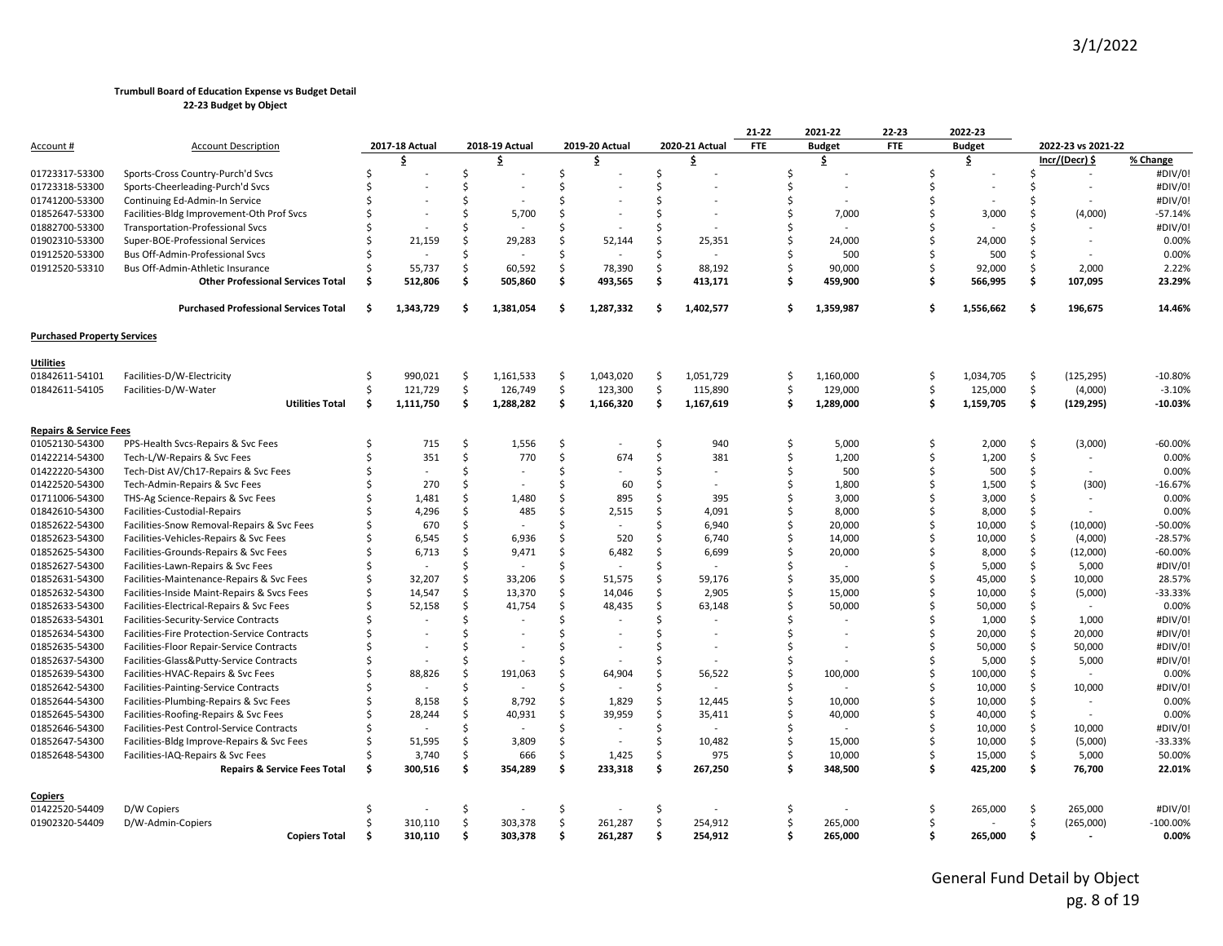|                                    |                                                                                |    |                  |         |                |          |                  |          |                          | 21-22      | 2021-22       | 22-23      |          | 2022-23           |         |                    |                  |
|------------------------------------|--------------------------------------------------------------------------------|----|------------------|---------|----------------|----------|------------------|----------|--------------------------|------------|---------------|------------|----------|-------------------|---------|--------------------|------------------|
| Account #                          | <b>Account Description</b>                                                     |    | 2017-18 Actual   |         | 2018-19 Actual |          | 2019-20 Actual   |          | 2020-21 Actual           | <b>FTE</b> | <b>Budget</b> | <b>FTE</b> |          | <b>Budget</b>     |         | 2022-23 vs 2021-22 |                  |
|                                    |                                                                                |    | \$               |         | \$             |          | \$               |          | \$                       |            | \$            |            |          | \$                |         | Incr/(Decr) \$     | % Change         |
| 01723317-53300                     | Sports-Cross Country-Purch'd Svcs                                              |    |                  | Ś.      |                | Ś        |                  | \$       |                          | Ś          |               |            |          |                   | Ŝ.      | $\sim$             | #DIV/0!          |
| 01723318-53300                     | Sports-Cheerleading-Purch'd Svcs                                               |    |                  | Ś.      |                | Ś        |                  | Ś.       |                          | Ś          |               |            |          |                   | Ŝ.      |                    | #DIV/0!          |
| 01741200-53300                     | Continuing Ed-Admin-In Service                                                 |    |                  | Ś.      |                | Ŝ        |                  | Ś.       |                          | Ś          |               |            | ς.       |                   | Ś       |                    | #DIV/0!          |
| 01852647-53300                     | Facilities-Bldg Improvement-Oth Prof Svcs                                      |    |                  | Ś.      | 5,700          | Ŝ        |                  | Ś.       |                          | Ś          | 7,000         |            |          | 3,000             | Ŝ.      | (4,000)            | $-57.14%$        |
| 01882700-53300                     | <b>Transportation-Professional Svcs</b>                                        |    |                  | Ś       |                | Ś        |                  | Ś        |                          | Ś          |               |            |          |                   |         |                    | #DIV/0!          |
| 01902310-53300                     | Super-BOE-Professional Services                                                |    | 21,159           | Ś.      | 29,283         | Ś.       | 52,144           | Ś        | 25,351                   | Ś          | 24,000        |            |          | 24,000            |         |                    | 0.00%            |
| 01912520-53300                     | Bus Off-Admin-Professional Svcs                                                |    |                  | Ś       |                | Ś.       |                  | Ś.       |                          |            | 500           |            |          | 500               | Š.      |                    | 0.00%            |
| 01912520-53310                     | Bus Off-Admin-Athletic Insurance                                               |    | 55,737           | \$      | 60,592         | \$       | 78,390           | Ś.       | 88,192                   | Ś          | 90,000        |            | ς.       | 92,000            | Ś.      | 2,000              | 2.22%            |
|                                    | <b>Other Professional Services Total</b>                                       |    | 512,806          | \$      | 505,860        | \$       | 493,565          | \$       | 413,171                  | \$         | 459,900       |            | Ŝ.       | 566,995           | Ŝ.      | 107,095            | 23.29%           |
|                                    | <b>Purchased Professional Services Total</b>                                   | Ŝ. | 1,343,729        | Ŝ.      | 1,381,054      | Ŝ        | 1,287,332        | \$       | 1,402,577                | \$         | 1,359,987     |            | Ŝ.       | 1,556,662         | \$.     | 196,675            | 14.46%           |
| <b>Purchased Property Services</b> |                                                                                |    |                  |         |                |          |                  |          |                          |            |               |            |          |                   |         |                    |                  |
| <b>Utilities</b>                   |                                                                                |    |                  |         |                |          |                  |          |                          |            |               |            |          |                   |         |                    |                  |
| 01842611-54101                     | Facilities-D/W-Electricity                                                     | -S | 990.021          | \$      | 1,161,533      | \$       | 1,043,020        | Ŝ.       | 1,051,729                | \$         | 1,160,000     |            | -\$      | 1,034,705         | .s      | (125, 295)         | $-10.80%$        |
| 01842611-54105                     | Facilities-D/W-Water                                                           |    | 121,729          | \$      | 126,749        | \$       | 123,300          | \$       | 115,890                  | \$         | 129,000       |            | \$       | 125,000           | \$      | (4,000)            | $-3.10%$         |
|                                    | <b>Utilities Total</b>                                                         | Ŝ. | 1,111,750        | Ŝ.      | 1,288,282      | \$       | 1,166,320        | \$       | 1,167,619                | \$         | 1,289,000     |            | Ŝ.       | 1,159,705         | Ś.      | (129, 295)         | $-10.03%$        |
| <b>Repairs &amp; Service Fees</b>  |                                                                                |    |                  |         |                |          |                  |          |                          |            |               |            |          |                   |         |                    |                  |
| 01052130-54300                     | PPS-Health Svcs-Repairs & Svc Fees                                             |    | 715              | \$      | 1,556          | \$       |                  | \$       | 940                      | Ś          | 5,000         |            | Ŝ.       | 2,000             | \$      | (3,000)            | $-60.00%$        |
| 01422214-54300                     | Tech-L/W-Repairs & Svc Fees                                                    |    | 351              | \$      | 770            | Ś.       | 674              | \$       | 381                      | \$         | 1,200         |            | Ś        | 1,200             | Ś.      | $\sim$             | 0.00%            |
| 01422220-54300                     | Tech-Dist AV/Ch17-Repairs & Svc Fees                                           |    |                  | Ś.      |                | Ś        |                  | Ŝ.       | $\overline{\phantom{a}}$ | Ś          | 500           |            | \$       | 500               | Ŝ.      |                    | 0.00%            |
| 01422520-54300                     | Tech-Admin-Repairs & Svc Fees                                                  |    | 270              | Ś.      |                | Ś        | 60               | Ś.       | $\overline{\phantom{a}}$ | Ś          | 1,800         |            | \$       | 1,500             | Ŝ.      | (300)              | $-16.67%$        |
| 01711006-54300                     | THS-Ag Science-Repairs & Svc Fees                                              |    | 1.481            | Ś.      | 1,480          | Ś        | 895              | Ś.       | 395                      | Ś          | 3,000         |            | ¢.       | 3,000             | Ŝ.      |                    | 0.00%            |
| 01842610-54300                     | Facilities-Custodial-Repairs                                                   |    | 4,296            | Ś.      | 485            | Ś        | 2,515            | Ś        | 4,091                    | Ś          | 8,000         |            |          | 8,000             | Ŝ.      |                    | 0.00%            |
| 01852622-54300                     | Facilities-Snow Removal-Repairs & Svc Fees                                     |    | 670              | Ś.      |                | Ś        |                  | Ś.       | 6,940                    | Ś          | 20,000        |            |          | 10,000            | Ś.      | (10,000)           | $-50.00%$        |
| 01852623-54300                     | Facilities-Vehicles-Repairs & Svc Fees                                         |    | 6,545            | \$      | 6,936          | Ś.       | 520              | Ś.       | 6,740                    | \$         | 14,000        |            |          | 10,000            | \$      | (4,000)            | $-28.57%$        |
| 01852625-54300                     | Facilities-Grounds-Repairs & Svc Fees                                          |    | 6,713            | Ś.      | 9,471          | Ś.       | 6,482            | Ś        | 6,699                    | Ś          | 20,000        |            |          | 8,000             | Ś.      | (12,000)           | $-60.00%$        |
| 01852627-54300                     | Facilities-Lawn-Repairs & Svc Fees                                             |    |                  | Ś.      |                | Ŝ        |                  | Ŝ.       |                          | Ś          |               |            |          | 5,000             | Ŝ.      | 5,000              | #DIV/0!          |
| 01852631-54300                     | Facilities-Maintenance-Repairs & Svc Fees                                      |    | 32,207           | Ś.      | 33,206         | Ś.       | 51,575           | Ś        | 59,176                   | Ś.         | 35,000        |            |          | 45,000            | Ś.      | 10,000             | 28.57%           |
| 01852632-54300                     | Facilities-Inside Maint-Repairs & Svcs Fees                                    |    | 14,547           | Ś.      | 13,370         | Ś        | 14,046           | Ś.       | 2,905                    | Ś          | 15,000        |            |          | 10,000            | Ŝ.      | (5,000)            | -33.33%          |
| 01852633-54300                     | Facilities-Electrical-Repairs & Svc Fees                                       |    | 52,158           | Ś.      | 41,754         | Ŝ        | 48,435           | Ś.       | 63,148                   | Ś          | 50,000        |            | ς.       | 50,000            | Ŝ.      |                    | 0.00%            |
| 01852633-54301                     | Facilities-Security-Service Contracts                                          |    |                  | Ś.      |                | Ś        |                  | \$       | $\overline{a}$           |            |               |            |          | 1,000             | Ś.      | 1,000              | #DIV/0!          |
| 01852634-54300                     | Facilities-Fire Protection-Service Contracts                                   |    |                  | Ś       |                | Ś        |                  | Ś.       |                          | Ś          |               |            |          | 20,000            | Ś.      | 20,000             | #DIV/0!          |
| 01852635-54300                     | Facilities-Floor Repair-Service Contracts                                      |    |                  | ς.      |                | ς.       |                  | Ś        | $\overline{a}$           | ς          |               |            |          | 50,000            | Ŝ.      | 50,000             | #DIV/0!          |
| 01852637-54300                     |                                                                                |    |                  | Ś       |                | Ś        |                  | Ś        |                          | Ś          |               |            | ς.       | 5,000             | Ŝ.      |                    | #DIV/0!          |
| 01852639-54300                     | Facilities-Glass&Putty-Service Contracts<br>Facilities-HVAC-Repairs & Svc Fees |    | 88,826           | Ś.      | 191,063        | Ś        | 64,904           | Ś        | 56,522                   | Ś          | 100,000       |            | Ś        | 100,000           | Ś.      | 5,000              | 0.00%            |
|                                    |                                                                                |    |                  | Ś.      |                | Ŝ        |                  | Ś.       |                          | Ś          |               |            | \$       |                   | Ŝ.      |                    | #DIV/0!          |
| 01852642-54300                     | Facilities-Painting-Service Contracts                                          |    |                  | \$.     |                | Ś        |                  | Ś.       |                          | Ś          |               |            | \$       | 10,000            | Ŝ.      | 10,000             | 0.00%            |
| 01852644-54300                     | Facilities-Plumbing-Repairs & Svc Fees                                         |    | 8,158            |         | 8,792          |          | 1,829            |          | 12,445                   |            | 10,000        |            |          | 10,000            |         |                    |                  |
| 01852645-54300                     | Facilities-Roofing-Repairs & Svc Fees                                          |    | 28,244           | Ś.      | 40,931         | Ś.       | 39,959           | Ŝ.       | 35,411                   | Ś          | 40,000        |            | \$       | 40,000            | Ŝ.      | $\sim$             | 0.00%            |
| 01852646-54300                     | Facilities-Pest Control-Service Contracts                                      |    |                  | \$.     |                | Ś        |                  | \$       |                          | Ś          |               |            | Ś        | 10,000            | \$      | 10,000             | #DIV/0!          |
| 01852647-54300                     | Facilities-Bldg Improve-Repairs & Svc Fees                                     |    | 51,595           | \$.     | 3,809          | Ŝ        | $\sim$           | Ś.       | 10,482                   | Ś          | 15,000        |            | \$       | 10,000            | Ŝ.      | (5,000)            | $-33.33%$        |
| 01852648-54300                     | Facilities-IAQ-Repairs & Svc Fees                                              |    | 3,740<br>300,516 | \$<br>Ś | 666            | \$<br>\$ | 1,425<br>233,318 | Ŝ.<br>\$ | 975                      | Ś<br>\$.   | 10,000        |            | \$<br>\$ | 15,000<br>425,200 | Ś.<br>Ś | 5,000              | 50.00%<br>22.01% |
|                                    | <b>Repairs &amp; Service Fees Total</b>                                        |    |                  |         | 354,289        |          |                  |          | 267,250                  |            | 348,500       |            |          |                   |         | 76,700             |                  |
| Copiers                            |                                                                                |    |                  |         |                |          |                  |          |                          |            |               |            |          |                   |         |                    |                  |
| 01422520-54409                     | D/W Copiers                                                                    |    |                  | \$      |                | s        |                  | Ŝ        |                          | S          |               |            | Ŝ        | 265,000           | .s      | 265,000            | #DIV/0!          |
| 01902320-54409                     | D/W-Admin-Copiers                                                              |    | 310,110          | \$      | 303,378        | \$       | 261,287          | \$       | 254,912                  | \$         | 265,000       |            | Ś        |                   | Ś.      | (265,000)          | $-100.00%$       |
|                                    | <b>Copiers Total</b>                                                           |    | 310,110          | Ŝ.      | 303,378        | Ś.       | 261,287          | Ś.       | 254,912                  |            | 265,000       |            | ¢        | 265,000           | Ŝ.      |                    | 0.00%            |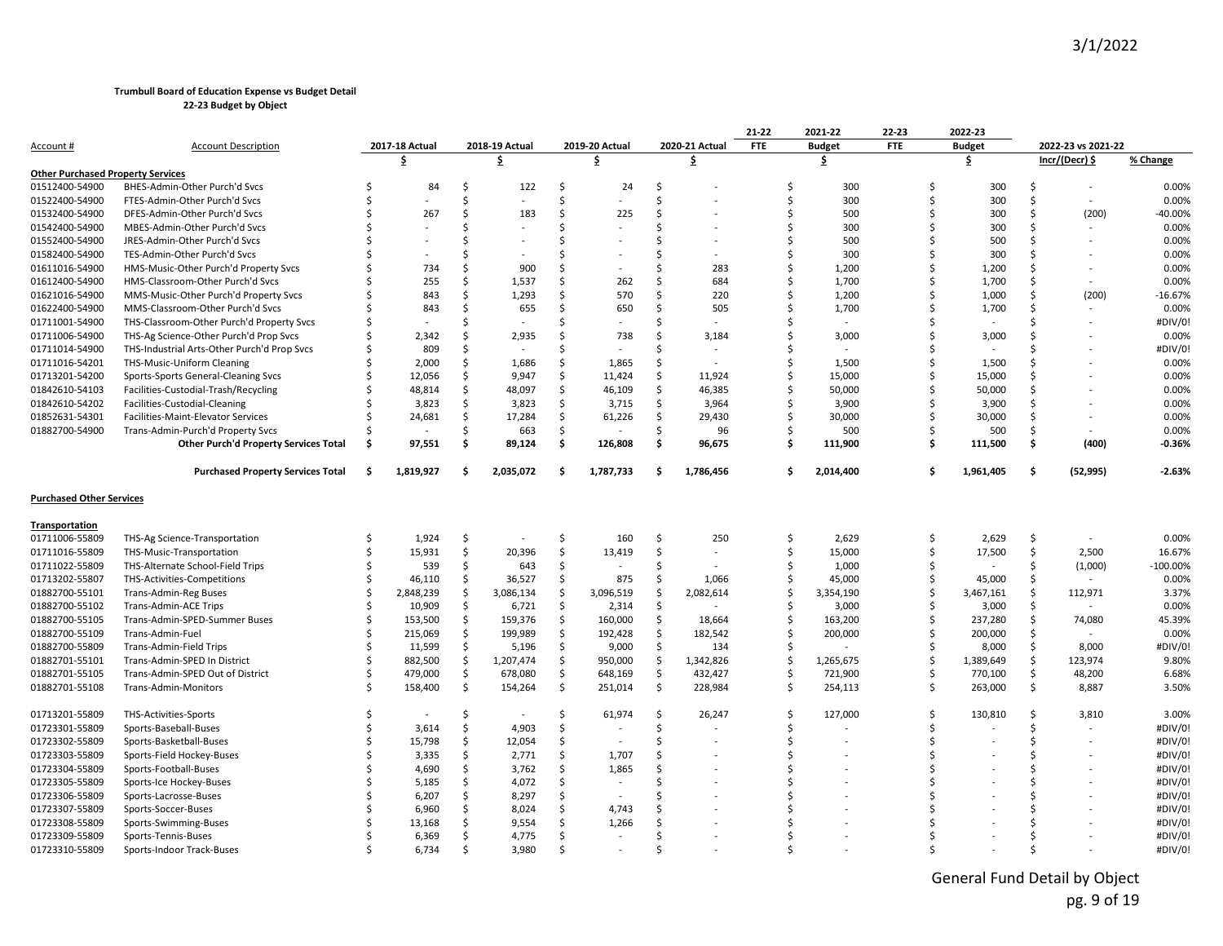|                                          |                                             |               |                |     |                |     |                |    |                | 21-22         | 2021-22         | 22-23      |    | 2022-23       |    |                    |            |
|------------------------------------------|---------------------------------------------|---------------|----------------|-----|----------------|-----|----------------|----|----------------|---------------|-----------------|------------|----|---------------|----|--------------------|------------|
| <u>Account</u> #                         | <b>Account Description</b>                  |               | 2017-18 Actual |     | 2018-19 Actual |     | 2019-20 Actual |    | 2020-21 Actual | <b>FTE</b>    | <b>Budget</b>   | <b>FTE</b> |    | <b>Budget</b> |    | 2022-23 vs 2021-22 |            |
|                                          |                                             |               | \$             |     | \$             |     | \$             |    | .\$            |               | \$              |            |    | \$            |    | Incr/(Decr) \$     | % Change   |
| <b>Other Purchased Property Services</b> |                                             |               |                |     |                |     |                |    |                |               |                 |            |    |               |    |                    |            |
| 01512400-54900                           | BHES-Admin-Other Purch'd Svcs               |               | 84             | Ś   | 122            | Ŝ.  | 24             | Ś  |                | -Ś            | 300             |            | Ŝ  | 300           | Ś  | $\overline{a}$     | 0.00%      |
| 01522400-54900                           | FTES-Admin-Other Purch'd Svcs               |               |                | Ś   |                | \$  |                | Ŝ. |                | Ŝ.            | 300             |            | ς. | 300           | \$ | $\sim$             | 0.00%      |
| 01532400-54900                           | DFES-Admin-Other Purch'd Svcs               |               | 267            | Ś   | 183            | \$  | 225            | Ś  |                | Ś             | 500             |            | Ś  | 300           | Ś  | (200)              | 40.00%     |
| 01542400-54900                           | MBES-Admin-Other Purch'd Svcs               |               |                | ς.  |                | Ś   |                | S  |                | Ŝ.            | 300             |            | Ŝ  | 300           | Ś  |                    | 0.00%      |
| 01552400-54900                           | JRES-Admin-Other Purch'd Svcs               |               |                |     |                | Ś   |                |    |                |               | Ś<br>500        |            |    | 500           | Ś  |                    | 0.00%      |
| 01582400-54900                           | TES-Admin-Other Purch'd Svcs                |               |                |     |                | ς.  |                |    |                |               | Ś<br>300        |            | S, | 300           | Ś  |                    | 0.00%      |
| 01611016-54900                           | HMS-Music-Other Purch'd Property Svcs       |               | 734            | Ś   | 900            | \$  |                |    | 283            |               | Ŝ.<br>1,200     |            | S  | 1,200         | Ś  |                    | 0.00%      |
| 01612400-54900                           | HMS-Classroom-Other Purch'd Svcs            |               | 255            | Ś   | 1,537          | \$  | 262            | Ś  | 684            |               | Ś<br>1,700      |            | Ŝ  | 1,700         | Ś  |                    | 0.00%      |
| 01621016-54900                           | MMS-Music-Other Purch'd Property Svcs       |               | 843            | Ś   | 1,293          | \$  | 570            | Ś  | 220            |               | Ś<br>1,200      |            | Ŝ. | 1,000         | Ś  | (200)              | $-16.67%$  |
| 01622400-54900                           | MMS-Classroom-Other Purch'd Svcs            |               | 843            | Ś   | 655            | Ś   | 650            | Ś  | 505            |               | Ŝ.<br>1,700     |            | S, | 1,700         | Ś  |                    | 0.00%      |
| 01711001-54900                           | THS-Classroom-Other Purch'd Property Svcs   |               |                | Ś   |                | Ś   |                | Ś  |                |               | Ś               |            | Ś  |               | Ś  |                    | #DIV/0!    |
| 01711006-54900                           | THS-Ag Science-Other Purch'd Prop Svcs      |               | 2,342          | Ś   | 2,935          | \$  | 738            | Ś  | 3,184          |               | Ŝ.<br>3,000     |            | Ŝ. | 3,000         |    |                    | 0.00%      |
| 01711014-54900                           | THS-Industrial Arts-Other Purch'd Prop Svcs |               | 809            | Ś   |                | \$  |                | Ś  |                |               | Ś               |            |    |               |    |                    | #DIV/0!    |
| 01711016-54201                           | <b>THS-Music-Uniform Cleaning</b>           |               | 2,000          | \$. | 1,686          | Ś.  | 1,865          | Ś  |                |               | Ś<br>1,500      |            | Ŝ  | 1,500         |    |                    | 0.00%      |
| 01713201-54200                           | Sports-Sports General-Cleaning Svcs         |               | 12,056         | Ś   | 9,947          | Ś.  | 11,424         | \$ | 11,924         |               | Ś<br>15,000     |            | Ŝ. | 15,000        | Ś  |                    | 0.00%      |
| 01842610-54103                           | Facilities-Custodial-Trash/Recycling        |               | 48,814         | \$  | 48,097         | \$  | 46,109         | \$ | 46,385         |               | Ŝ.<br>50,000    |            | Ś  | 50,000        | Ś  |                    | 0.00%      |
| 01842610-54202                           | Facilities-Custodial-Cleaning               |               | 3,823          | Ś.  | 3,823          | \$  | 3,715          | \$ | 3,964          |               | Ś<br>3,900      |            | S  | 3,900         | Ś  |                    | 0.00%      |
| 01852631-54301                           | Facilities-Maint-Elevator Services          |               | 24,681         | Ś   | 17,284         | \$  | 61,226         | Ŝ. | 29,430         | <sup>\$</sup> | 30,000          |            |    | 30,000        | Ś  |                    | 0.00%      |
| 01882700-54900                           | Trans-Admin-Purch'd Property Svcs           |               |                | Ś   | 663            | \$  |                | \$ | 96             | Ŝ.            | 500             |            | Ŝ  | 500           | \$ |                    | 0.00%      |
|                                          | Other Purch'd Property Services Total       | \$.           | 97,551         | Ś.  | 89,124         | \$  | 126,808        | \$ | 96,675         |               | \$<br>111,900   |            | Ś  | 111,500       | \$ | (400)              | $-0.36%$   |
|                                          | <b>Purchased Property Services Total</b>    | Ŝ             | 1,819,927      | Ŝ.  | 2,035,072      | \$. | 1,787,733      | Ŝ  | 1,786,456      |               | Ŝ.<br>2,014,400 |            | Ś  | 1,961,405     | Ŝ. | (52, 995)          | -2.63%     |
| <b>Purchased Other Services</b>          |                                             |               |                |     |                |     |                |    |                |               |                 |            |    |               |    |                    |            |
| Transportation                           |                                             |               |                |     |                |     |                |    |                |               |                 |            |    |               |    |                    |            |
| 01711006-55809                           | THS-Ag Science-Transportation               |               | 1,924          | \$  |                | Ś   | 160            | Ŝ. | 250            |               | Ŝ<br>2,629      |            | Ŝ  | 2,629         | Ŝ. |                    | 0.00%      |
| 01711016-55809                           | THS-Music-Transportation                    |               | 15,931         | \$  | 20,396         | \$  | 13,419         | \$ |                | Ś             | 15,000          |            | Ś. | 17,500        | \$ | 2,500              | 16.67%     |
| 01711022-55809                           | THS-Alternate School-Field Trips            |               | 539            | \$  | 643            | \$  |                | Ś  |                |               | Ŝ.<br>1,000     |            | Ś. |               | Ś  | (1,000)            | $-100.00%$ |
| 01713202-55807                           | THS-Activities-Competitions                 |               | 46,110         | Ś   | 36,527         | \$  | 875            | \$ | 1,066          |               | \$<br>45,000    |            | Ŝ  | 45,000        | \$ |                    | 0.00%      |
| 01882700-55101                           | <b>Trans-Admin-Reg Buses</b>                |               | 2,848,239      | Ś   | 3,086,134      | \$  | 3,096,519      | Ś  | 2,082,614      | Ś             | 3,354,190       |            | Ś  | 3,467,161     | Ś. | 112,971            | 3.37%      |
| 01882700-55102                           | <b>Trans-Admin-ACE Trips</b>                |               | 10,909         | \$  | 6,721          | \$  | 2,314          | \$ |                | <sup>\$</sup> | 3,000           |            | Ŝ. | 3,000         | \$ |                    | 0.00%      |
| 01882700-55105                           | Trans-Admin-SPED-Summer Buses               |               | 153,500        | Ś   | 159,376        | \$  | 160,000        | Ŝ  | 18,664         | Ś             | 163,200         |            | Ś  | 237,280       | Ŝ. | 74,080             | 45.39%     |
| 01882700-55109                           | Trans-Admin-Fuel                            |               | 215,069        | \$  | 199,989        | \$  | 192,428        | \$ | 182,542        |               | Ś<br>200,000    |            | Ŝ  | 200,000       | \$ |                    | 0.00%      |
| 01882700-55809                           | Trans-Admin-Field Trips                     |               | 11,599         | Ś   | 5,196          | \$  | 9,000          | \$ | 134            | <sup>\$</sup> |                 |            | Ŝ  | 8,000         | \$ | 8,000              | #DIV/0!    |
| 01882701-55101                           | Trans-Admin-SPED In District                |               | 882,500        | Ś   | 1,207,474      | \$  | 950,000        | \$ | 1,342,826      |               | \$<br>1,265,675 |            | Ś. | 1,389,649     | \$ | 123,974            | 9.80%      |
| 01882701-55105                           | Trans-Admin-SPED Out of District            |               | 479,000        | \$  | 678,080        | \$  | 648,169        | \$ | 432,427        |               | Ŝ.<br>721,900   |            | Ś  | 770,100       | \$ | 48,200             | 6.68%      |
| 01882701-55108                           | Trans-Admin-Monitors                        |               | 158,400        | \$  | 154,264        | \$  | 251,014        | \$ | 228,984        |               | \$<br>254,113   |            | Ś. | 263,000       | \$ | 8,887              | 3.50%      |
| 01713201-55809                           | THS-Activities-Sports                       |               |                | Ŝ   |                | \$  | 61,974         | \$ | 26,247         | \$            | 127,000         |            | S  | 130,810       | \$ | 3,810              | 3.00%      |
| 01723301-55809                           | Sports-Baseball-Buses                       |               | 3,614          | Ś.  | 4,903          | \$  |                | \$ |                | Ŝ.            |                 |            |    |               | Ś  |                    | #DIV/0!    |
| 01723302-55809                           | Sports-Basketball-Buses                     |               | 15,798         | \$  | 12,054         | \$  |                | Ś  |                | Ś             |                 |            |    |               | Ś  |                    | #DIV/0!    |
| 01723303-55809                           | Sports-Field Hockey-Buses                   |               | 3,335          | Ś   | 2,771          | \$  | 1,707          | Ś  |                |               | Ś               |            |    |               |    |                    | #DIV/0!    |
| 01723304-55809                           | Sports-Football-Buses                       |               | 4,690          | \$  | 3,762          | \$  | 1,865          | Ś  |                |               | ς               |            |    |               | ς  |                    | #DIV/0!    |
| 01723305-55809                           | Sports-Ice Hockey-Buses                     |               | 5,185          | \$  | 4,072          | \$  |                | Ś  |                |               |                 |            |    |               |    |                    | #DIV/0!    |
| 01723306-55809                           | Sports-Lacrosse-Buses                       |               | 6,207          | Ś.  | 8,297          | Ś.  |                | Ś  |                |               | Ś               |            |    |               |    |                    | #DIV/0!    |
| 01723307-55809                           | Sports-Soccer-Buses                         |               | 6,960          | Ś   | 8,024          | \$  | 4.743          |    |                |               |                 |            |    |               |    |                    | #DIV/0!    |
| 01723308-55809                           | Sports-Swimming-Buses                       |               | 13,168         | Ś.  | 9,554          | Ś.  | 1,266          | Ś  |                |               | Ś               |            |    |               |    |                    | #DIV/0!    |
| 01723309-55809                           | Sports-Tennis-Buses                         |               | 6,369          | \$  | 4,775          | \$  |                | Ś  |                |               |                 |            | Ŝ. |               | Ś  |                    | #DIV/0!    |
| 01723310-55809                           | Sports-Indoor Track-Buses                   | <sup>\$</sup> | 6,734          | Ś.  | 3,980          | \$  |                | Ś  |                |               | Ś               |            |    |               | Ś  |                    | #DIV/0!    |
|                                          |                                             |               |                |     |                |     |                |    |                |               |                 |            |    |               |    |                    |            |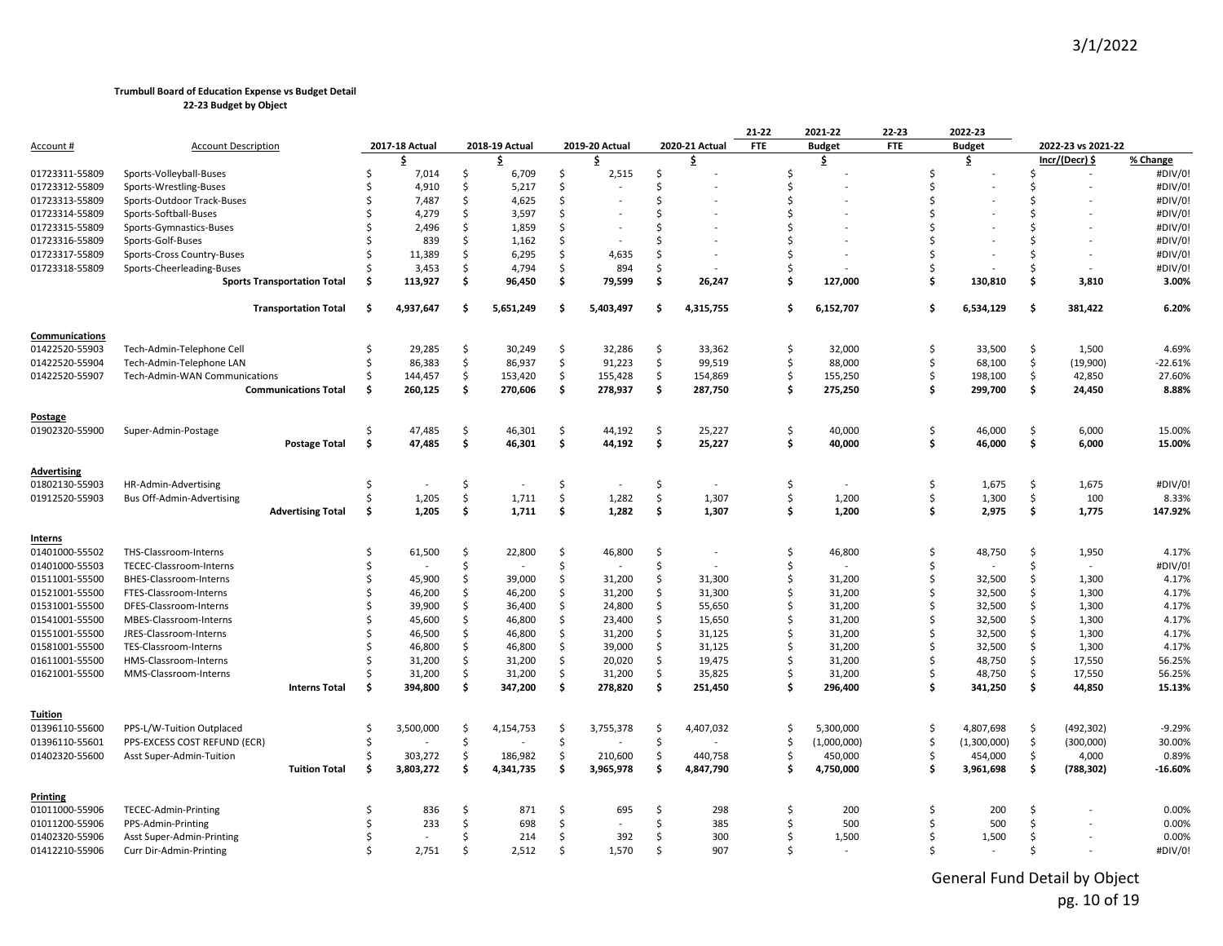|                 |                                    |     |                |     |                          |    |                |    |                          | 21-22      | 2021-22       | 22-23         |     | 2022-23       |         |                    |           |
|-----------------|------------------------------------|-----|----------------|-----|--------------------------|----|----------------|----|--------------------------|------------|---------------|---------------|-----|---------------|---------|--------------------|-----------|
| Account #       | <b>Account Description</b>         |     | 2017-18 Actual |     | 2018-19 Actual           |    | 2019-20 Actual |    | 2020-21 Actual           | <b>FTE</b> | <b>Budget</b> | <b>FTE</b>    |     | <b>Budget</b> |         | 2022-23 vs 2021-22 |           |
|                 |                                    |     | \$             |     | \$.                      |    | \$.            |    | \$.                      |            | \$            |               |     | \$            |         | Incr/(Decr) \$     | % Change  |
| 01723311-55809  | Sports-Volleyball-Buses            | Ŝ   | 7,014          | Ś.  | 6,709                    | \$ | 2,515          | \$ |                          | \$         |               | Ŝ.            |     |               | Ŝ.      | $\sim$             | #DIV/0!   |
| 01723312-55809  | Sports-Wrestling-Buses             |     | 4,910          | Ŝ.  | 5,217                    | Ś. |                | Ŝ. |                          | Ś          |               | Š,            |     |               |         |                    | #DIV/0!   |
| 01723313-55809  | Sports-Outdoor Track-Buses         |     | 7,487          | Ŝ.  | 4,625                    | Ŝ  |                | Ŝ  |                          | Ś          |               |               |     |               |         |                    | #DIV/0!   |
| 01723314-55809  | Sports-Softball-Buses              |     | 4,279          | Ś.  | 3,597                    | Ś. |                | Ś  |                          | Ś          |               |               |     |               |         |                    | #DIV/0!   |
| 01723315-55809  | Sports-Gymnastics-Buses            |     | 2,496          | Ŝ   | 1,859                    | Ŝ  |                | Ŝ  |                          | Ś          |               |               |     |               | Ŝ       |                    | #DIV/0!   |
| 01723316-55809  | Sports-Golf-Buses                  |     | 839            | Ŝ   | 1,162                    | Ś. |                | Ŝ  |                          | \$         |               |               |     |               |         |                    | #DIV/0!   |
| 01723317-55809  | Sports-Cross Country-Buses         |     | 11,389         | Ŝ.  | 6,295                    | \$ | 4,635          | Ŝ. |                          | Ś          |               |               |     |               |         |                    | #DIV/0!   |
| 01723318-55809  | Sports-Cheerleading-Buses          |     | 3,453          | Ŝ.  | 4,794                    | \$ | 894            | Ś  |                          | Ś          |               |               |     |               |         |                    | #DIV/0!   |
|                 | <b>Sports Transportation Total</b> | S   | 113,927        | \$  | 96,450                   | \$ | 79,599         | \$ | 26,247                   | Ś          | 127,000       | Ŝ.            |     | 130,810       | Ŝ.      | 3,810              | 3.00%     |
|                 | <b>Transportation Total</b>        | Ŝ.  | 4,937,647      | \$. | 5,651,249                | Ś  | 5,403,497      | Ś  | 4,315,755                | \$         | 6,152,707     |               | \$. | 6,534,129     | \$      | 381,422            | 6.20%     |
| Communications  |                                    |     |                |     |                          |    |                |    |                          |            |               |               |     |               |         |                    |           |
| 01422520-55903  | Tech-Admin-Telephone Cell          | \$  | 29.285         | \$  | 30,249                   | \$ | 32,286         | \$ | 33,362                   | \$         | 32,000        |               | \$  | 33,500        | \$      | 1,500              | 4.69%     |
| 01422520-55904  | Tech-Admin-Telephone LAN           | Ś   | 86,383         | \$  | 86,937                   | Ś. | 91,223         | \$ | 99,519                   | \$         | 88,000        |               | \$  | 68,100        | \$      | (19,900)           | $-22.61%$ |
| 01422520-55907  | Tech-Admin-WAN Communications      |     | 144,457        | \$  | 153,420                  | \$ | 155,428        | \$ | 154,869                  | \$         | 155,250       | Ś             |     | 198,100       | $\zeta$ | 42,850             | 27.60%    |
|                 | <b>Communications Total</b>        | .s  | 260,125        | \$  | 270,606                  | \$ | 278,937        | \$ | 287,750                  | Ś          | 275,250       |               | \$  | 299,700       | Ś       | 24,450             | 8.88%     |
| Postage         |                                    |     |                |     |                          |    |                |    |                          |            |               |               |     |               |         |                    |           |
| 01902320-55900  | Super-Admin-Postage                | Ŝ.  | 47,485         | \$  | 46,301                   | \$ | 44,192         | \$ | 25,227                   | \$         | 40,000        |               | \$  | 46,000        | $\zeta$ | 6,000              | 15.00%    |
|                 | <b>Postage Total</b>               | Ŝ.  | 47,485         | \$. | 46,301                   | \$ | 44,192         | \$ | 25,227                   | \$         | 40,000        |               | \$  | 46,000        | \$.     | 6,000              | 15.00%    |
| Advertising     |                                    |     |                |     |                          |    |                |    |                          |            |               |               |     |               |         |                    |           |
| 01802130-55903  | HR-Admin-Advertising               | Ŝ   |                | \$  | $\overline{\phantom{a}}$ | Ś  |                | \$ | $\overline{\phantom{a}}$ | \$         |               |               | \$  | 1,675         | \$      | 1,675              | #DIV/0!   |
| 01912520-55903  | Bus Off-Admin-Advertising          | Ŝ.  | 1,205          | \$  | 1,711                    | \$ | 1,282          | \$ | 1,307                    | \$         | 1,200         | Ś             |     | 1,300         | Ś.      | 100                | 8.33%     |
|                 | <b>Advertising Total</b>           | \$  | 1,205          | \$  | 1,711                    | \$ | 1,282          | \$ | 1,307                    | \$         | 1,200         |               | \$  | 2,975         | \$      | 1,775              | 147.92%   |
| <b>Interns</b>  |                                    |     |                |     |                          |    |                |    |                          |            |               |               |     |               |         |                    |           |
| 01401000-55502  | THS-Classroom-Interns              | -Ŝ  | 61,500         | \$  | 22,800                   | \$ | 46,800         | \$ | ÷                        | \$         | 46,800        | Ś             |     | 48,750        | \$      | 1,950              | 4.17%     |
| 01401000-55503  | TECEC-Classroom-Interns            | \$  |                | \$  |                          | \$ |                | \$ |                          | \$         |               | \$            |     |               | \$      | $\sim$             | #DIV/0!   |
| 01511001-55500  | BHES-Classroom-Interns             |     | 45,900         | \$  | 39,000                   | \$ | 31,200         | \$ | 31,300                   | \$         | 31,200        | Ś             |     | 32,500        | Ś.      | 1,300              | 4.17%     |
| 01521001-55500  | FTES-Classroom-Interns             |     | 46,200         | Ś.  | 46,200                   | Ś. | 31,200         | \$ | 31,300                   | Ś.         | 31,200        | <sup>\$</sup> |     | 32,500        | Ś.      | 1,300              | 4.17%     |
| 01531001-55500  | DFES-Classroom-Interns             |     | 39,900         | Ŝ.  | 36,400                   | \$ | 24,800         | \$ | 55,650                   | \$         | 31,200        | Ŝ.            |     | 32,500        | Ŝ.      | 1,300              | 4.17%     |
| 01541001-55500  | MBES-Classroom-Interns             |     |                | \$  |                          | \$ |                | \$ |                          | \$         |               | Ŝ.            |     |               | \$      |                    | 4.17%     |
|                 |                                    |     | 45,600         |     | 46,800                   |    | 23,400         |    | 15,650                   | \$         | 31,200        | <sup>\$</sup> |     | 32,500        |         | 1,300              |           |
| 01551001-55500  | JRES-Classroom-Interns             |     | 46,500         | \$  | 46,800                   | \$ | 31,200         | \$ | 31,125                   |            | 31,200        | <sup>\$</sup> |     | 32,500        | \$      | 1,300              | 4.17%     |
| 01581001-55500  | TES-Classroom-Interns              |     | 46,800         | Ś.  | 46,800                   | Ś. | 39,000         | \$ | 31,125                   | Ś.         | 31,200        |               |     | 32,500        | Ś.      | 1,300              | 4.17%     |
| 01611001-55500  | HMS-Classroom-Interns              |     | 31,200         | Ŝ.  | 31,200                   | Ś. | 20,020         | \$ | 19,475                   | Ś          | 31,200        | Ŝ.            |     | 48,750        | Ŝ.      | 17,550             | 56.25%    |
| 01621001-55500  | MMS-Classroom-Interns              |     | 31,200         | \$  | 31,200                   | \$ | 31,200         | \$ | 35,825                   | Ś          | 31,200        | Ś             |     | 48,750        | \$      | 17,550             | 56.25%    |
|                 | <b>Interns Total</b>               | Ś.  | 394,800        | \$  | 347,200                  | \$ | 278,820        | \$ | 251,450                  | \$         | 296,400       |               | \$  | 341,250       | \$      | 44,850             | 15.13%    |
| Tuition         |                                    |     |                |     |                          |    |                |    |                          |            |               |               |     |               |         |                    |           |
| 01396110-55600  | PPS-L/W-Tuition Outplaced          |     | 3,500,000      | \$  | 4,154,753                | \$ | 3,755,378      | \$ | 4,407,032                | \$         | 5,300,000     | \$            |     | 4,807,698     | \$      | (492, 302)         | $-9.29%$  |
| 01396110-55601  | PPS-EXCESS COST REFUND (ECR)       | Ŝ.  |                | Ś.  |                          | Ś. |                | Ś. |                          | \$         | (1,000,000)   | Ŝ.            |     | (1,300,000)   | \$      | (300,000)          | 30.00%    |
| 01402320-55600  | Asst Super-Admin-Tuition           | \$  | 303,272        | Ś.  | 186,982                  | \$ | 210,600        | \$ | 440,758                  | \$         | 450,000       |               | \$  | 454,000       | \$      | 4,000              | 0.89%     |
|                 | <b>Tuition Total</b>               | .\$ | 3,803,272      | Ŝ   | 4,341,735                | \$ | 3,965,978      | \$ | 4,847,790                | Ś.         | 4,750,000     | Ŝ.            |     | 3,961,698     | Ś.      | (788, 302)         | $-16.60%$ |
| <b>Printing</b> |                                    |     |                |     |                          |    |                |    |                          |            |               |               |     |               |         |                    |           |
| 01011000-55906  | <b>TECEC-Admin-Printing</b>        | S   | 836            | \$  | 871                      | \$ | 695            | \$ | 298                      | \$         | 200           | Ŝ.            |     | 200           | Ŝ.      |                    | 0.00%     |
| 01011200-55906  | PPS-Admin-Printing                 |     | 233            | Ŝ.  | 698                      | Ś. |                | Ŝ  | 385                      | Ś          | 500           | Ŝ.            |     | 500           | Ŝ.      |                    | 0.00%     |
| 01402320-55906  | Asst Super-Admin-Printing          |     |                | Ŝ   | 214                      | \$ | 392            | Ŝ  | 300                      | Ś          | 1,500         | Ŝ.            |     | 1,500         | Ŝ.      |                    | 0.00%     |
| 01412210-55906  | Curr Dir-Admin-Printing            |     | 2,751          | Ś.  | 2,512                    | Ś  | 1,570          | Ś. | 907                      | Ś          |               | $\zeta$       |     |               | Ŝ.      |                    | #DIV/0!   |
|                 |                                    |     |                |     |                          |    |                |    |                          |            |               |               |     |               |         |                    |           |

General Fund Detail by Object pg. 10 of 19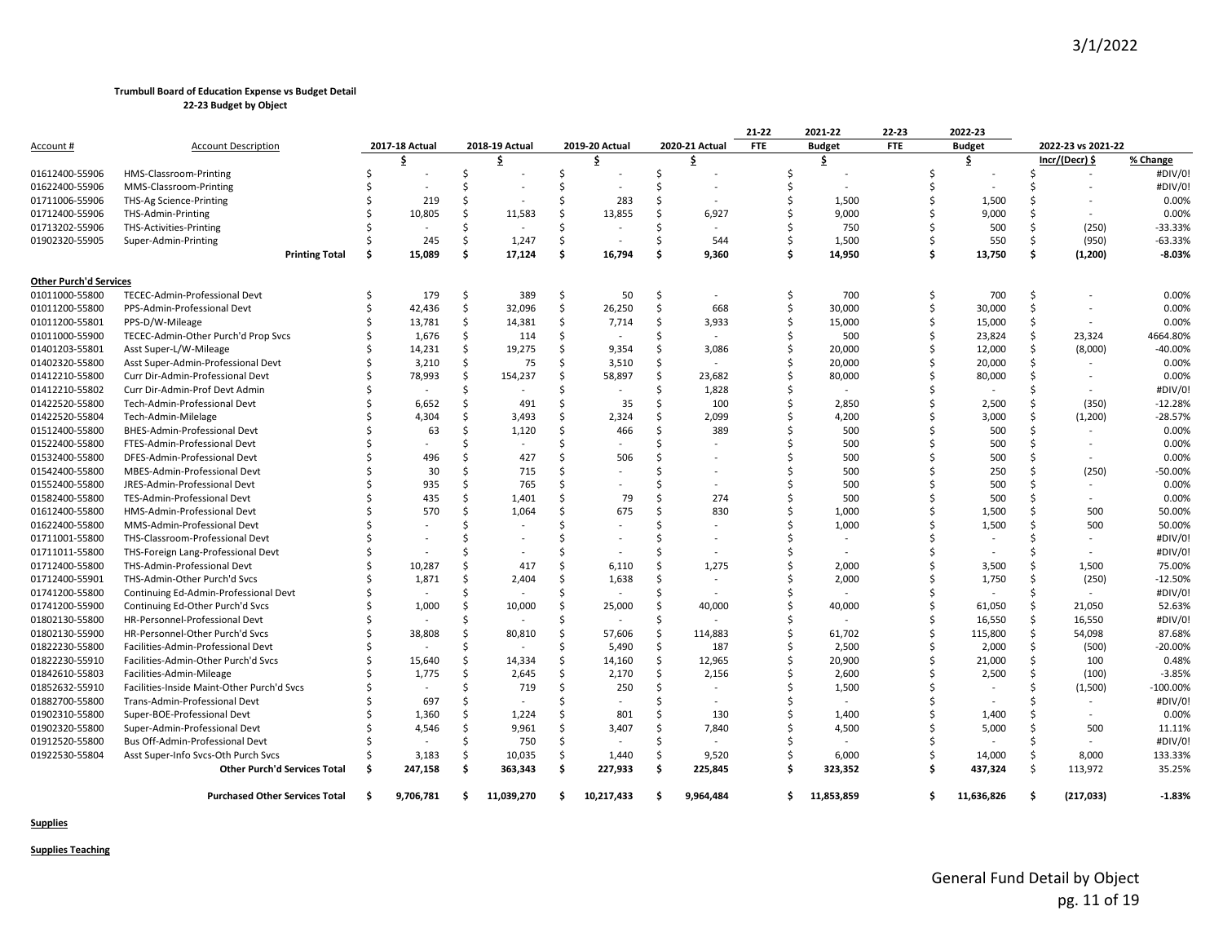|                               |                                            |    |                |    |                |               |                |    |                          | 21-22      | 2021-22       | 22-23      |   | 2022-23       |     |                    |            |
|-------------------------------|--------------------------------------------|----|----------------|----|----------------|---------------|----------------|----|--------------------------|------------|---------------|------------|---|---------------|-----|--------------------|------------|
| Account #                     | <b>Account Description</b>                 |    | 2017-18 Actual |    | 2018-19 Actual |               | 2019-20 Actual |    | 2020-21 Actual           | <b>FTE</b> | <b>Budget</b> | <b>FTE</b> |   | <b>Budget</b> |     | 2022-23 vs 2021-22 |            |
|                               |                                            |    | \$             |    | \$             |               | \$             |    | \$                       |            | \$            |            |   | \$.           |     | Incr/(Decr) \$     | % Change   |
| 01612400-55906                | HMS-Classroom-Printing                     |    |                |    |                | S             |                | S  |                          |            |               |            |   |               |     |                    | #DIV/0!    |
| 01622400-55906                | MMS-Classroom-Printing                     |    |                |    |                |               |                |    |                          |            |               |            |   |               |     |                    | #DIV/0!    |
| 01711006-55906                | THS-Ag Science-Printing                    |    | 219            |    |                |               | 283            |    |                          |            | 1,500         |            |   | 1,500         |     |                    | 0.00%      |
| 01712400-55906                | THS-Admin-Printing                         |    | 10,805         |    | 11,583         |               | 13,855         |    | 6,927                    |            | 9,000         |            |   | 9,000         |     |                    | 0.00%      |
| 01713202-55906                | <b>THS-Activities-Printing</b>             |    |                |    |                |               |                |    | $\overline{\phantom{a}}$ |            | 750           |            |   | 500           |     | (250)              | -33.33%    |
| 01902320-55905                | Super-Admin-Printing                       |    | 245            |    | 1,247          | Ŝ             |                |    | 544                      |            | 1,500         |            |   | 550           | -S  | (950)              | $-63.33%$  |
|                               | <b>Printing Total</b>                      | Ŝ. | 15,089         |    | 17,124         | \$            | 16,794         | \$ | 9,360                    | Ś          | 14,950        |            |   | 13,750        | \$. | (1,200)            | $-8.03%$   |
| <b>Other Purch'd Services</b> |                                            |    |                |    |                |               |                |    |                          |            |               |            |   |               |     |                    |            |
| 01011000-55800                | TECEC-Admin-Professional Devt              |    | 179            | Ŝ. | 389            | Ś.            | 50             | Ŝ. |                          | Ś          | 700           |            |   | 700           | .S  |                    | 0.00%      |
| 01011200-55800                | PPS-Admin-Professional Devt                |    | 42,436         | Ŝ. | 32,096         | Ś.            | 26,250         | Ŝ  | 668                      | Ś          | 30,000        |            |   | 30,000        |     |                    | 0.00%      |
| 01011200-55801                | PPS-D/W-Mileage                            |    | 13,781         | Ŝ. | 14,381         | Ś.            | 7,714          | Ŝ  | 3,933                    | Ś          | 15,000        |            |   | 15,000        |     |                    | 0.00%      |
| 01011000-55900                | TECEC-Admin-Other Purch'd Prop Svcs        |    | 1,676          |    | 114            | Ŝ             |                |    |                          |            | 500           |            |   | 23,824        |     | 23,324             | 4664.80%   |
| 01401203-55801                | Asst Super-L/W-Mileage                     |    | 14,231         |    | 19,275         | Ŝ             | 9,354          |    | 3,086                    |            | 20,000        |            |   | 12,000        |     | (8,000)            | $-40.00%$  |
| 01402320-55800                | Asst Super-Admin-Professional Devt         |    | 3,210          |    | 75             |               | 3,510          |    |                          |            | 20,000        |            |   | 20,000        |     |                    | 0.00%      |
| 01412210-55800                | Curr Dir-Admin-Professional Devt           |    | 78,993         |    | 154,237        | Ŝ             | 58,897         | Ŝ  | 23,682                   |            | 80,000        |            |   | 80,000        |     |                    | 0.00%      |
| 01412210-55802                | Curr Dir-Admin-Prof Devt Admin             |    |                |    |                |               |                |    | 1,828                    |            |               |            |   |               |     |                    | #DIV/0!    |
| 01422520-55800                | Tech-Admin-Professional Devt               |    | 6,652          |    | 491            | ς.            | 35             |    | 100                      |            | 2,850         |            |   | 2,500         |     | (350)              | $-12.28%$  |
| 01422520-55804                | Tech-Admin-Milelage                        |    | 4,304          |    | 3,493          |               | 2,324          |    | 2,099                    |            | 4,200         |            |   | 3,000         |     | (1,200)            | $-28.57%$  |
| 01512400-55800                | BHES-Admin-Professional Devt               |    | 63             |    | 1,120          | Ŝ             | 466            |    | 389                      |            | 500           |            |   | 500           |     |                    | 0.00%      |
| 01522400-55800                | FTES-Admin-Professional Devt               |    |                |    |                |               |                |    |                          |            | 500           |            |   | 500           |     |                    | 0.00%      |
| 01532400-55800                | DFES-Admin-Professional Devt               |    | 496            |    | 427            |               | 506            |    |                          |            | 500           |            |   | 500           |     |                    | 0.00%      |
| 01542400-55800                | MBES-Admin-Professional Devt               |    | 30             |    | 715            |               |                |    |                          |            | 500           |            |   | 250           |     | (250)              | $-50.00%$  |
| 01552400-55800                | JRES-Admin-Professional Devt               |    | 935            |    | 765            |               |                |    |                          |            | 500           |            |   | 500           |     |                    | 0.00%      |
| 01582400-55800                | TES-Admin-Professional Devt                |    | 435            |    | 1,401          |               | 79             |    | 274                      |            | 500           |            |   | 500           |     | $\sim$             | 0.00%      |
| 01612400-55800                | HMS-Admin-Professional Devt                |    | 570            |    | 1,064          | Ŝ.            | 675            |    | 830                      |            | 1,000         |            |   | 1,500         |     | 500                | 50.00%     |
| 01622400-55800                | MMS-Admin-Professional Devt                |    |                |    |                |               |                |    |                          |            | 1,000         |            |   | 1,500         |     | 500                | 50.00%     |
| 01711001-55800                | THS-Classroom-Professional Devt            |    |                |    |                |               |                |    |                          |            |               |            |   |               |     |                    | #DIV/0!    |
| 01711011-55800                | THS-Foreign Lang-Professional Devt         |    |                |    |                |               |                |    |                          |            |               |            |   |               |     |                    | #DIV/0!    |
| 01712400-55800                | THS-Admin-Professional Devt                |    | 10,287         |    | 417            | S             | 6,110          |    | 1,275                    |            | 2,000         |            |   | 3,500         |     | 1,500              | 75.00%     |
| 01712400-55901                | THS-Admin-Other Purch'd Svcs               |    | 1,871          |    | 2,404          | Ŝ.            | 1,638          | .S |                          |            | 2,000         |            |   | 1,750         |     | (250)              | $-12.50%$  |
| 01741200-55800                |                                            |    |                |    |                | Ŝ             |                |    |                          |            |               |            |   |               |     |                    | #DIV/0!    |
|                               | Continuing Ed-Admin-Professional Devt      |    |                |    | 10,000         | Ŝ.            |                |    |                          | Ś          |               |            |   | 61,050        |     |                    |            |
| 01741200-55900                | Continuing Ed-Other Purch'd Svcs           |    | 1,000          |    |                | Ŝ.            | 25,000         | .S | 40,000                   | Ś          | 40,000        |            |   |               | Ś   | 21,050             | 52.63%     |
| 01802130-55800                | HR-Personnel-Professional Devt             |    |                |    |                |               |                |    |                          |            |               |            |   | 16,550        |     | 16,550             | #DIV/0!    |
| 01802130-55900                | HR-Personnel-Other Purch'd Svcs            |    | 38,808         |    | 80,810         | \$            | 57,606         | Ŝ  | 114,883                  | Ś          | 61,702        |            |   | 115,800       | Ŝ.  | 54,098             | 87.68%     |
| 01822230-55800                | Facilities-Admin-Professional Devt         |    |                |    |                | Ś.            | 5,490          | Ŝ. | 187                      | Ś          | 2,500         |            |   | 2,000         | Ŝ.  | (500)              | -20.00%    |
| 01822230-55910                | Facilities-Admin-Other Purch'd Svcs        |    | 15,640         |    | 14,334         | Ŝ             | 14,160         | Ŝ  | 12,965                   |            | 20,900        |            |   | 21,000        | -S  | 100                | 0.48%      |
| 01842610-55803                | Facilities-Admin-Mileage                   |    | 1,775          |    | 2,645          | Ś.            | 2,170          | Ŝ. | 2,156                    |            | 2,600         |            |   | 2,500         | Ś   | (100)              | $-3.85%$   |
| 01852632-55910                | Facilities-Inside Maint-Other Purch'd Svcs |    |                |    | 719            | Ŝ             | 250            | Ŝ  |                          |            | 1,500         |            |   |               |     | (1,500)            | $-100.00%$ |
| 01882700-55800                | Trans-Admin-Professional Devt              |    | 697            |    |                | <sup>\$</sup> |                |    |                          |            |               |            |   |               |     |                    | #DIV/0!    |
| 01902310-55800                | Super-BOE-Professional Devt                |    | 1,360          |    | 1,224          | Ś.            | 801            |    | 130                      |            | 1,400         |            |   | 1,400         |     |                    | 0.00%      |
| 01902320-55800                | Super-Admin-Professional Devt              |    | 4,546          |    | 9,961          | Ŝ.            | 3,407          |    | 7,840                    | Ś          | 4,500         |            |   | 5,000         |     | 500                | 11.11%     |
| 01912520-55800                | Bus Off-Admin-Professional Devt            |    |                |    | 750            | Ś.            |                |    |                          | Ś          |               |            |   |               |     |                    | #DIV/0!    |
| 01922530-55804                | Asst Super-Info Svcs-Oth Purch Svcs        |    | 3,183          | Ŝ. | 10,035         | Ś.            | 1.440          | Ŝ  | 9,520                    | Ś          | 6,000         |            |   | 14,000        | Ŝ   | 8,000              | 133.33%    |
|                               | <b>Other Purch'd Services Total</b>        | Ŝ. | 247,158        | Ŝ. | 363,343        | \$            | 227,933        | \$ | 225,845                  | Ś          | 323,352       |            |   | 437,324       | Ś.  | 113,972            | 35.25%     |
|                               | <b>Purchased Other Services Total</b>      | Ŝ. | 9,706,781      | Ŝ. | 11,039,270     | \$            | 10,217,433     | Ŝ. | 9,964,484                | \$         | 11,853,859    |            | Ŝ | 11,636,826    | Ŝ   | (217, 033)         | $-1.83%$   |

**Supplies**

**Supplies Teaching**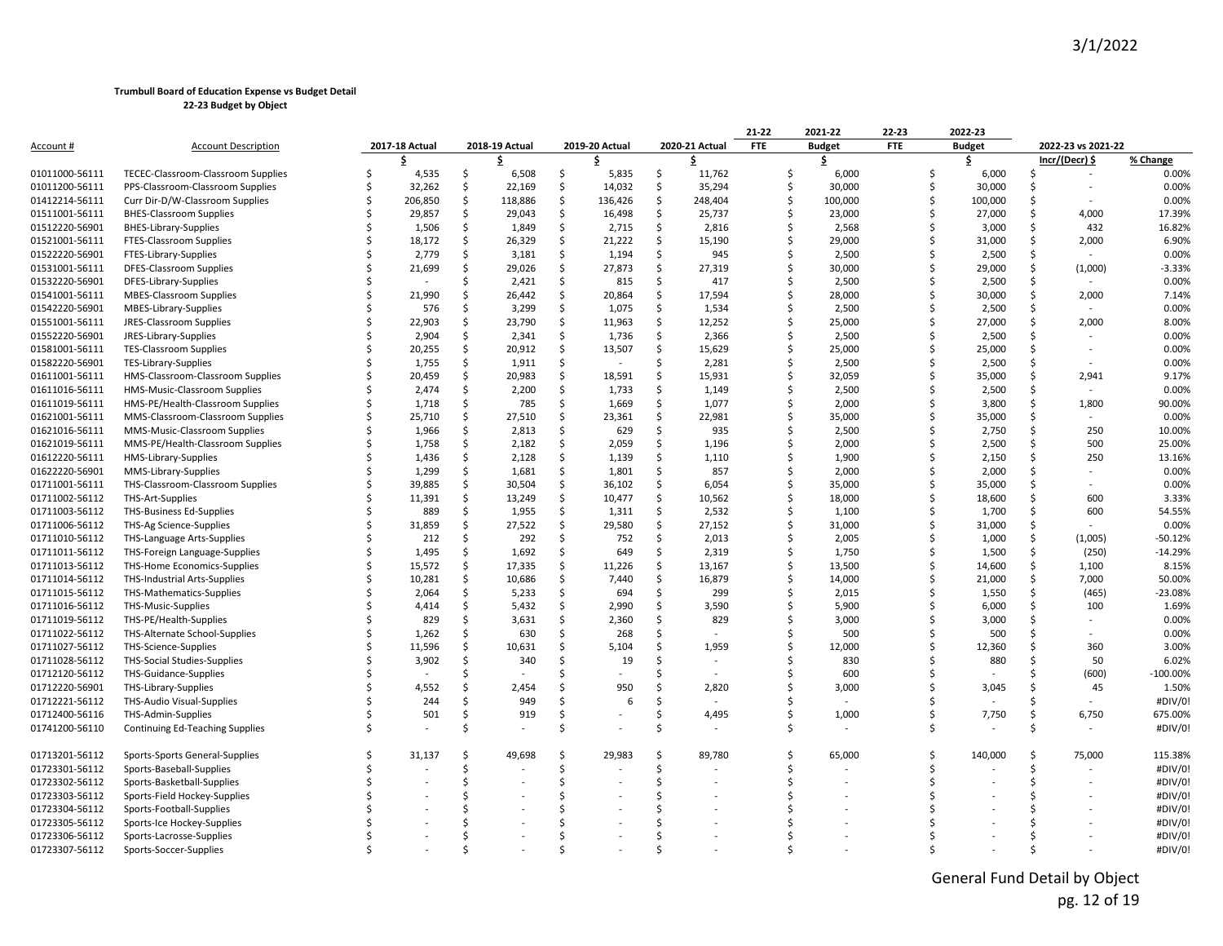|                |                                        |                |     |                |     |                          |    |                | 21-22      | 2021-22       | 22-23      |   | 2022-23       |    |                    |             |
|----------------|----------------------------------------|----------------|-----|----------------|-----|--------------------------|----|----------------|------------|---------------|------------|---|---------------|----|--------------------|-------------|
| Account #      | <b>Account Description</b>             | 2017-18 Actual |     | 2018-19 Actual |     | 2019-20 Actual           |    | 2020-21 Actual | <b>FTE</b> | <b>Budget</b> | <b>FTE</b> |   | <b>Budget</b> |    | 2022-23 vs 2021-22 |             |
|                |                                        | \$             |     |                |     | Ŝ                        |    | \$.            |            | \$            |            |   | \$            |    | Incr/(Decr) \$     | % Change    |
| 01011000-56111 | TECEC-Classroom-Classroom Supplies     | 4,535          | Ś.  | 6,508          | Ś.  | 5,835                    | \$ | 11,762         | Ŝ.         | 6,000         |            | Ŝ | 6,000         | Ŝ. |                    | 0.00%       |
| 01011200-56111 | PPS-Classroom-Classroom Supplies       | 32,262         | \$  | 22,169         | Ś.  | 14,032                   | Ŝ  | 35,294         | Ś          | 30,000        |            | Ŝ | 30,000        | Ŝ. |                    | 0.00%       |
| 01412214-56111 | Curr Dir-D/W-Classroom Supplies        | 206,850        | \$  | 118,886        | \$  | 136,426                  | \$ | 248,404        | Ś          | 100,000       |            |   | 100,000       | Ŝ. |                    | 0.00%       |
| 01511001-56111 | <b>BHES-Classroom Supplies</b>         | 29,857         | \$. | 29,043         | Ś   | 16,498                   | Ŝ. | 25,737         | Ś          | 23,000        |            |   | 27,000        | Ŝ. | 4,000              | 17.39%      |
| 01512220-56901 | <b>BHES-Library-Supplies</b>           | 1,506          | \$  | 1,849          | \$  | 2,715                    | \$ | 2,816          |            | 2,568         |            |   | 3,000         | Ŝ. | 432                | 16.82%      |
| 01521001-56111 | FTES-Classroom Supplies                | 18,172         | \$  | 26,329         | \$  | 21,222                   | Ś. | 15,190         | Ś          | 29,000        |            |   | 31,000        | Ŝ. | 2,000              | 6.90%       |
| 01522220-56901 | FTES-Library-Supplies                  | 2,779          | Ś   | 3,181          | \$  | 1,194                    | Ś  | 945            | Ś          | 2,500         |            |   | 2,500         | Ŝ. |                    | 0.00%       |
| 01531001-56111 | DFES-Classroom Supplies                | 21,699         | \$  | 29,026         | Ś.  | 27,873                   | Ś. | 27,319         | Ś          | 30,000        |            |   | 29,000        | Ŝ. | (1,000)            | $-3.33%$    |
| 01532220-56901 | DFES-Library-Supplies                  |                | Ś   | 2,421          | Ś   | 815                      | Ś  | 417            | Ś          | 2,500         |            |   | 2,500         |    |                    | 0.00%       |
| 01541001-56111 | <b>MBES-Classroom Supplies</b>         | 21,990         | Ś   | 26,442         | Ŝ.  | 20,864                   | Ŝ  | 17,594         | Ś          | 28,000        |            |   | 30,000        | Ŝ. | 2,000              | 7.14%       |
| 01542220-56901 | MBES-Library-Supplies                  | 576            | Ś.  | 3,299          | Ŝ.  | 1,075                    | Ś  | 1,534          | Ś          | 2,500         |            |   | 2,500         | Ŝ. |                    | 0.00%       |
| 01551001-56111 | JRES-Classroom Supplies                | 22,903         | Ś.  | 23,790         | \$  | 11,963                   | Ś  | 12,252         | Ś          | 25,000        |            |   | 27,000        | Š. | 2,000              | 8.00%       |
| 01552220-56901 | JRES-Library-Supplies                  | 2,904          | Ś.  | 2,341          | Ś   | 1,736                    | Ś. | 2,366          | Ś          | 2,500         |            |   | 2,500         | Ŝ. |                    | 0.00%       |
| 01581001-56111 | <b>TES-Classroom Supplies</b>          | 20,255         | \$  | 20,912         | Ŝ.  | 13,507                   | \$ | 15,629         | Ś          | 25,000        |            |   | 25,000        | Ŝ. |                    | 0.00%       |
| 01582220-56901 | TES-Library-Supplies                   | 1,755          | Ś.  | 1,911          | Ś   | $\overline{\phantom{a}}$ |    | 2,281          |            | 2,500         |            |   | 2,500         |    |                    | 0.00%       |
| 01611001-56111 | HMS-Classroom-Classroom Supplies       | 20,459         | \$  | 20,983         | \$  | 18,591                   | Ŝ  | 15,931         | Ś          | 32,059        |            |   | 35,000        | .s | 2,941              | 9.17%       |
| 01611016-56111 | HMS-Music-Classroom Supplies           | 2,474          | \$. | 2,200          | Ś   | 1,733                    | S  | 1,149          | Ś          | 2,500         |            |   | 2,500         | Ŝ. |                    | 0.00%       |
| 01611019-56111 | HMS-PE/Health-Classroom Supplies       | 1,718          | Ś.  | 785            | Ŝ.  | 1,669                    | Ś  | 1,077          | Ś          | 2,000         |            |   | 3,800         | Ŝ. | 1,800              | 90.00%      |
| 01621001-56111 | MMS-Classroom-Classroom Supplies       | 25,710         | \$  | 27,510         | Ŝ.  | 23,361                   | Ś. | 22,981         | Ś          | 35,000        |            |   | 35,000        | Ŝ. |                    | 0.00%       |
| 01621016-56111 | MMS-Music-Classroom Supplies           | 1,966          | Ś   | 2,813          | -\$ | 629                      | Ŝ  | 935            | Ś          | 2,500         |            |   | 2,750         | .s | 250                | 10.00%      |
| 01621019-56111 | MMS-PE/Health-Classroom Supplies       | 1,758          | \$  | 2,182          | Ś.  | 2,059                    | \$ | 1,196          | Ś          | 2,000         |            |   | 2,500         | Ŝ. | 500                | 25.00%      |
| 01612220-56111 | HMS-Library-Supplies                   | 1,436          | Ś.  | 2,128          | Ś   | 1,139                    | Ś. | 1,110          | Ś          | 1,900         |            |   | 2,150         | Ŝ. | 250                | 13.16%      |
| 01622220-56901 | MMS-Library-Supplies                   | 1,299          | \$. | 1,681          | Ŝ   | 1,801                    | S  | 857            |            | 2,000         |            |   | 2,000         | Ŝ. |                    | 0.00%       |
| 01711001-56111 | THS-Classroom-Classroom Supplies       | 39,885         | \$  | 30,504         | Ŝ.  | 36,102                   | Ś. | 6,054          | Ś          | 35,000        |            |   | 35,000        | Ŝ. |                    | 0.00%       |
| 01711002-56112 | THS-Art-Supplies                       | 11,391         | Ś.  | 13,249         | Ś   | 10,477                   | Ŝ  | 10,562         | Ŝ.         | 18,000        |            |   | 18,600        | Ŝ. | 600                | 3.33%       |
| 01711003-56112 | THS-Business Ed-Supplies               | 889            | \$  | 1,955          | \$  | 1,311                    | Ś. | 2,532          | Ś          | 1,100         |            |   | 1,700         | Ŝ. | 600                | 54.55%      |
| 01711006-56112 | THS-Ag Science-Supplies                | 31,859         | \$  | 27,522         | Ś.  | 29,580                   | Ś. | 27,152         | Ś          | 31,000        |            |   | 31,000        | Ŝ. |                    | 0.00%       |
| 01711010-56112 | THS-Language Arts-Supplies             | 212            | Ś.  | 292            | Ŝ.  | 752                      | S  | 2,013          | Ś          | 2,005         |            |   | 1,000         | Ŝ. | (1,005)            | $-50.12%$   |
| 01711011-56112 | THS-Foreign Language-Supplies          | 1,495          | Ś.  | 1,692          | Ś.  | 649                      | Ś  | 2,319          | Ś          | 1,750         |            |   | 1,500         | Ś. | (250)              | $-14.29%$   |
| 01711013-56112 | THS-Home Economics-Supplies            | 15,572         | \$  | 17,335         | Ŝ   | 11,226                   | Ŝ  | 13,167         | Ś.         | 13,500        |            |   | 14,600        | Ŝ. | 1,100              | 8.15%       |
| 01711014-56112 | THS-Industrial Arts-Supplies           | 10,281         | Ś.  | 10,686         | Ŝ.  | 7,440                    | Ś  | 16,879         | Ś          | 14,000        |            |   | 21,000        | Ŝ. | 7,000              | 50.00%      |
| 01711015-56112 | THS-Mathematics-Supplies               | 2,064          | \$. | 5,233          | \$  | 694                      | Ŝ. | 299            | ς.         | 2,015         |            |   | 1,550         | Ŝ. | (465)              | -23.08%     |
| 01711016-56112 | THS-Music-Supplies                     | 4,414          | Ś   | 5,432          | Ś   | 2,990                    | Ŝ  | 3,590          | Ś          | 5,900         |            |   | 6,000         | Ŝ. | 100                | 1.69%       |
| 01711019-56112 | THS-PE/Health-Supplies                 | 829            | Ś.  | 3,631          | Ŝ.  | 2,360                    | Ŝ  | 829            | Ś          | 3,000         |            |   | 3,000         | Ŝ. |                    | 0.00%       |
| 01711022-56112 | THS-Alternate School-Supplies          | 1,262          | \$  | 630            | Ś   | 268                      |    |                | Ś          | 500           |            |   | 500           |    |                    | 0.00%       |
| 01711027-56112 | THS-Science-Supplies                   | 11,596         | Ś.  | 10,631         | Ś   | 5,104                    |    | 1,959          | Ś          | 12,000        |            |   | 12,360        |    | 360                | 3.00%       |
| 01711028-56112 | <b>THS-Social Studies-Supplies</b>     | 3,902          | \$. | 340            | Ŝ   | 19                       |    |                |            | 830           |            |   | 880           | Ŝ. | 50                 | 6.02%       |
| 01712120-56112 | <b>THS-Guidance-Supplies</b>           |                | Ś   |                |     |                          |    |                |            | 600           |            |   |               |    | (600)              | $-100.00\%$ |
| 01712220-56901 | THS-Library-Supplies                   | 4,552          | Ś   | 2,454          |     | 950                      | Ś  | 2,820          | Ś          | 3,000         |            |   | 3,045         | Ŝ. | 45                 | 1.50%       |
| 01712221-56112 | THS-Audio Visual-Supplies              | 244            | Ś   | 949            | Ś   | 6                        | Ś  |                | Ś          |               |            |   |               |    |                    | #DIV/0!     |
| 01712400-56116 | THS-Admin-Supplies                     | 501            | Ś   | 919            | Ś   |                          | Ś  | 4,495          | Ś          | 1,000         |            |   | 7,750         | Ŝ. | 6,750              | 675.00%     |
| 01741200-56110 | <b>Continuing Ed-Teaching Supplies</b> |                | Ś   |                | Ś   |                          |    |                | Ś          |               |            |   |               | Ŝ. |                    | #DIV/0!     |
| 01713201-56112 | Sports-Sports General-Supplies         | 31,137         | Ś   | 49,698         | Ŝ.  | 29,983                   |    | 89,780         | Ś          | 65,000        |            |   | 140,000       | .s | 75,000             | 115.38%     |
| 01723301-56112 | Sports-Baseball-Supplies               |                | Ś   |                | Ś   |                          | Ŝ  |                | ς.         |               |            |   |               | Ŝ. |                    | #DIV/0!     |
| 01723302-56112 | Sports-Basketball-Supplies             |                | Ś   |                | Ś   |                          |    |                |            |               |            |   |               |    |                    | #DIV/0!     |
| 01723303-56112 | Sports-Field Hockey-Supplies           |                | Ś   |                | Ś   |                          |    |                |            |               |            |   |               |    |                    | #DIV/0!     |
| 01723304-56112 | Sports-Football-Supplies               |                |     |                |     |                          |    |                |            |               |            |   |               |    |                    | #DIV/0!     |
| 01723305-56112 | Sports-Ice Hockey-Supplies             |                |     |                |     |                          |    |                |            |               |            |   |               |    |                    | #DIV/0!     |
| 01723306-56112 | Sports-Lacrosse-Supplies               |                |     |                |     |                          |    |                |            |               |            |   |               |    |                    | #DIV/0!     |
| 01723307-56112 | Sports-Soccer-Supplies                 |                |     |                |     |                          |    |                |            |               |            |   |               |    |                    | #DIV/0!     |

General Fund Detail by Object pg. 12 of 19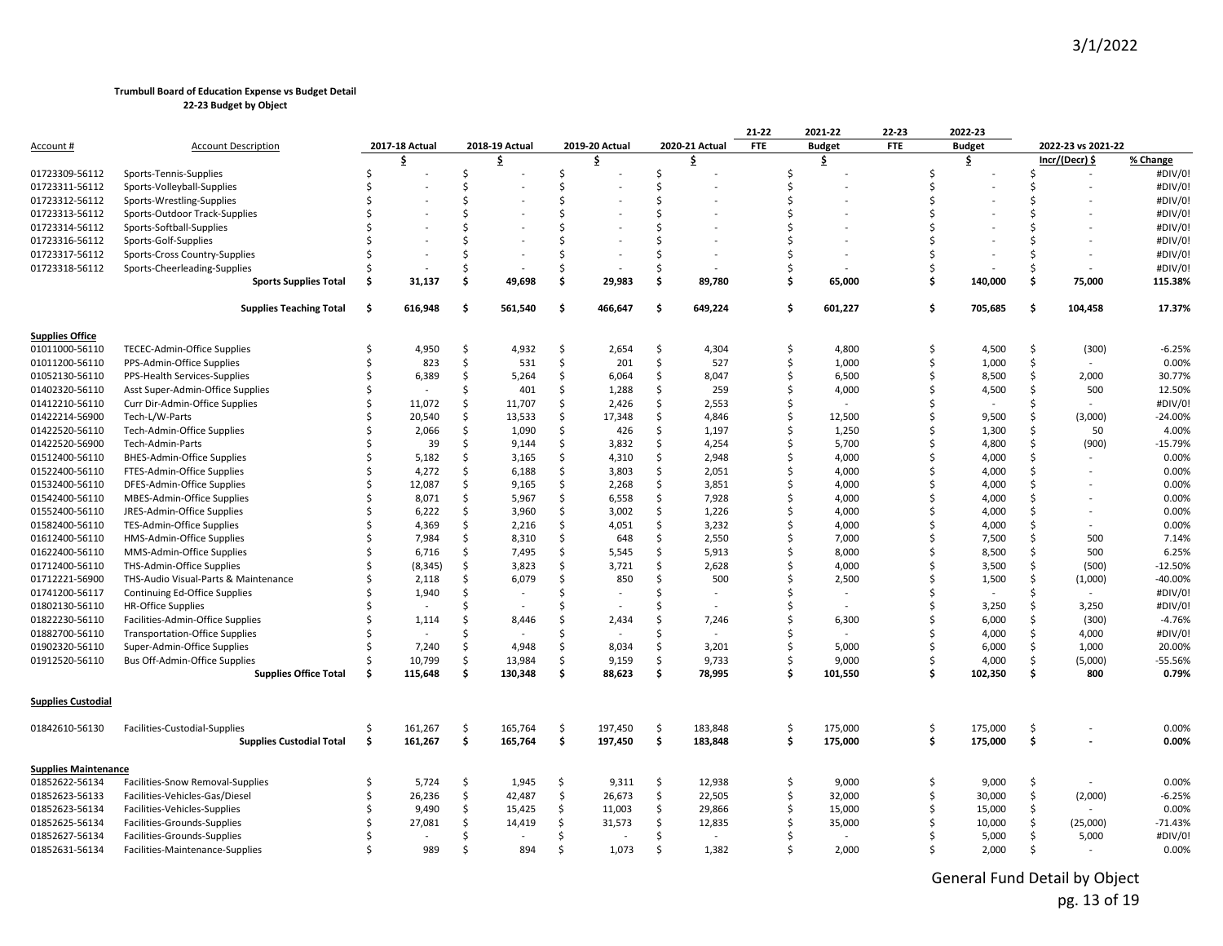|                             |                                       |    |                          |     |                |               |                |    |                | 21-22      | 2021-22       | 22-23      | 2022-23                |                          |           |
|-----------------------------|---------------------------------------|----|--------------------------|-----|----------------|---------------|----------------|----|----------------|------------|---------------|------------|------------------------|--------------------------|-----------|
| <u>Account #</u>            | <b>Account Description</b>            |    | 2017-18 Actual           |     | 2018-19 Actual |               | 2019-20 Actual |    | 2020-21 Actual | <b>FTE</b> | <b>Budget</b> | <b>FTE</b> | <b>Budget</b>          | 2022-23 vs 2021-22       |           |
|                             |                                       |    | \$                       |     | \$             |               | \$             |    | \$             |            | \$            |            | \$                     | Incr/(Decr) \$           | % Change  |
| 01723309-56112              | Sports-Tennis-Supplies                |    |                          | Ś   |                | $\zeta$       |                | Ŝ. |                | Ś          |               |            | Ś                      | $\overline{\phantom{a}}$ | #DIV/0!   |
| 01723311-56112              | Sports-Volleyball-Supplies            |    |                          | ς   |                | $\zeta$       |                |    |                | Ś          |               |            | \$                     |                          | #DIV/0!   |
| 01723312-56112              | Sports-Wrestling-Supplies             |    |                          | ς   |                | Ś.            |                |    |                | Ś          |               |            | ς                      |                          | #DIV/0!   |
| 01723313-56112              | Sports-Outdoor Track-Supplies         |    |                          |     |                | $\zeta$       |                |    |                | Ś          |               |            |                        |                          | #DIV/0!   |
| 01723314-56112              | Sports-Softball-Supplies              |    |                          |     |                | $\zeta$       |                |    |                | Ś          |               |            |                        |                          | #DIV/0!   |
| 01723316-56112              | Sports-Golf-Supplies                  |    |                          |     |                |               |                |    |                | Ś          |               |            |                        |                          | #DIV/0!   |
| 01723317-56112              | Sports-Cross Country-Supplies         |    |                          |     |                |               |                |    |                | Ś          |               |            |                        |                          | #DIV/0!   |
| 01723318-56112              | Sports-Cheerleading-Supplies          |    |                          | Ś   |                | ς.            |                |    |                | Ś          |               |            |                        |                          | #DIV/0!   |
|                             | <b>Sports Supplies Total</b>          | Ś  | 31,137                   | \$  | 49,698         | Ś.            | 29,983         | Ŝ. | 89,780         | Ś          | 65,000        |            | 140,000<br>\$.         | 75,000<br>\$.            | 115.38%   |
|                             | <b>Supplies Teaching Total</b>        | Ś. | 616,948                  | \$. | 561,540        | Ś.            | 466,647        | Ś. | 649,224        | Ś          | 601,227       |            | Ŝ<br>705,685           | Ś<br>104,458             | 17.37%    |
| <b>Supplies Office</b>      |                                       |    |                          |     |                |               |                |    |                |            |               |            |                        |                          |           |
| 01011000-56110              | <b>TECEC-Admin-Office Supplies</b>    | \$ | 4,950                    | \$  | 4,932          | \$            | 2,654          | \$ | 4,304          | \$         | 4,800         |            | Ŝ<br>4,500             | (300)<br>\$              | $-6.25%$  |
| 01011200-56110              | PPS-Admin-Office Supplies             |    | 823                      | Ś   | 531            | Ś.            | 201            | Ŝ. | 527            | Ś          | 1,000         |            | Ś<br>1,000             | Ś.                       | 0.00%     |
| 01052130-56110              | PPS-Health Services-Supplies          |    | 6,389                    | Ś   | 5,264          | Ś.            | 6,064          | Ŝ. | 8,047          | Ś.         | 6,500         |            | Ś<br>8,500             | Ś.<br>2,000              | 30.77%    |
| 01402320-56110              | Asst Super-Admin-Office Supplies      | Ś  |                          | Ś   | 401            | Ŝ.            | 1,288          | Ŝ  | 259            | Ś          | 4,000         |            | ς.<br>4,500            | 500<br>Ŝ                 | 12.50%    |
| 01412210-56110              | Curr Dir-Admin-Office Supplies        |    | 11,072                   | Ś   | 11,707         | Ŝ.            | 2,426          | Ŝ. | 2,553          | Ś          |               |            |                        |                          | #DIV/0!   |
| 01422214-56900              | Tech-L/W-Parts                        |    | 20,540                   | \$  | 13,533         | $\zeta$       | 17,348         | \$ | 4,846          | \$         | 12,500        |            | 9,500                  | (3,000)<br>Ŝ.            | $-24.00%$ |
| 01422520-56110              |                                       |    | 2,066                    | Ś   | 1,090          | Ś.            | 426            | Ŝ. | 1,197          | Ś          |               |            | Ś<br>1,300             | 50<br>Ŝ                  | 4.00%     |
|                             | Tech-Admin-Office Supplies            |    |                          |     |                |               |                |    |                |            | 1,250         |            |                        |                          |           |
| 01422520-56900              | Tech-Admin-Parts                      |    | 39                       | Ś   | 9,144          | Ś.            | 3,832          | Ŝ. | 4,254          | Ś          | 5,700         |            | 4,800                  | (900)<br>Ŝ.              | -15.79%   |
| 01512400-56110              | BHES-Admin-Office Supplies            |    | 5,182                    | Ś.  | 3,165          | Ś.            | 4,310          | Ŝ. | 2,948          | Ś          | 4,000         |            | ς.<br>4,000            | Ŝ                        | 0.00%     |
| 01522400-56110              | FTES-Admin-Office Supplies            |    | 4,272                    | Ś   | 6,188          | Ŝ.            | 3,803          | Ŝ  | 2,051          | Ś          | 4,000         |            | 4,000                  | Ŝ                        | 0.00%     |
| 01532400-56110              | DFES-Admin-Office Supplies            |    | 12,087                   | Ś   | 9,165          | Ś             | 2,268          | \$ | 3,851          | Ś          | 4,000         |            | Ś<br>4,000             |                          | 0.00%     |
| 01542400-56110              | MBES-Admin-Office Supplies            |    | 8,071                    | Ś.  | 5,967          | Ś             | 6,558          | \$ | 7,928          | Ś          | 4,000         |            | ς.<br>4,000            | Ś                        | 0.00%     |
| 01552400-56110              | JRES-Admin-Office Supplies            |    | 6,222                    | Ś   | 3,960          | <sup>\$</sup> | 3,002          | Ŝ. | 1,226          | Ś          | 4,000         |            | \$<br>4,000            | Ŝ                        | 0.00%     |
| 01582400-56110              | TES-Admin-Office Supplies             |    | 4,369                    | Ś.  | 2,216          | \$            | 4,051          | Ŝ  | 3,232          | Ś          | 4,000         |            | ς.<br>4,000            | Ŝ                        | 0.00%     |
| 01612400-56110              | HMS-Admin-Office Supplies             |    | 7,984                    | Ś   | 8,310          | Ŝ.            | 648            | Ŝ. | 2,550          | Ś          | 7,000         |            | \$<br>7,500            | Ŝ<br>500                 | 7.14%     |
| 01622400-56110              | MMS-Admin-Office Supplies             |    | 6,716                    | Ś   | 7,495          | \$            | 5,545          | Ŝ. | 5,913          | Ś          | 8,000         |            | Ś<br>8,500             | Ś.<br>500                | 6.25%     |
| 01712400-56110              | THS-Admin-Office Supplies             |    | (8, 345)                 | Ś.  | 3,823          | Ś.            | 3,721          | Ŝ. | 2,628          | Ś          | 4,000         |            | \$<br>3,500            | Ś.<br>(500)              | $-12.50%$ |
| 01712221-56900              | THS-Audio Visual-Parts & Maintenance  |    | 2,118                    | Ś   | 6,079          | Ŝ.            | 850            | Ŝ. | 500            | Ś          | 2,500         |            | 1,500                  | (1,000)<br>Ŝ.            | -40.00%   |
| 01741200-56117              | Continuing Ed-Office Supplies         |    | 1,940                    | Ś   |                | <sup>\$</sup> |                | Ŝ  |                | Ś          |               |            |                        | Ŝ                        | #DIV/0!   |
| 01802130-56110              | <b>HR-Office Supplies</b>             |    | $\overline{\phantom{a}}$ | ς   |                | Ś.            |                |    |                | Ś          |               |            | 3,250                  | 3,250<br>Ś               | #DIV/0!   |
| 01822230-56110              | Facilities-Admin-Office Supplies      |    | 1,114                    | Ś   | 8,446          |               | 2,434          |    | 7,246          | Ś          | 6,300         |            | 6,000                  | (300)<br>Ŝ               | $-4.76%$  |
| 01882700-56110              | <b>Transportation-Office Supplies</b> |    |                          | Ś   |                | ς.            |                |    |                | Ś          |               |            | 4,000                  | Ś.<br>4,000              | #DIV/0!   |
| 01902320-56110              | Super-Admin-Office Supplies           |    | 7,240                    | Ś   | 4,948          | Ś.            | 8,034          | Ŝ  | 3,201          | \$         | 5,000         |            | Ś<br>6,000             | 1,000<br>Ŝ.              | 20.00%    |
| 01912520-56110              | Bus Off-Admin-Office Supplies         |    | 10,799                   | Ś.  | 13,984         | Ŝ.            | 9,159          | Ŝ. | 9,733          | Ś          | 9,000         |            | Ś<br>4,000             | Ś.<br>(5,000)            | -55.56%   |
|                             | <b>Supplies Office Total</b>          |    | 115,648                  | \$  | 130,348        | \$            | 88,623         | Ś. | 78,995         | Ś          | 101,550       |            | Ŝ<br>102,350           | 800<br>Ŝ                 | 0.79%     |
| <b>Supplies Custodial</b>   |                                       |    |                          |     |                |               |                |    |                |            |               |            |                        |                          |           |
| 01842610-56130              | Facilities-Custodial-Supplies         | Ŝ  | 161,267                  | -\$ | 165,764        | Ś.            | 197,450        | Ŝ  | 183,848        | Ŝ          | 175,000       |            | Ŝ<br>175,000           | Ŝ                        | 0.00%     |
|                             | <b>Supplies Custodial Total</b>       | \$ | 161.267                  | \$  | 165,764        | \$            | 197,450        | \$ | 183,848        | \$         | 175,000       |            | Ŝ.<br>175.000          | \$                       | 0.00%     |
| <b>Supplies Maintenance</b> |                                       |    |                          |     |                |               |                |    |                |            |               |            |                        |                          |           |
| 01852622-56134              | Facilities-Snow Removal-Supplies      |    | 5,724                    | Ś.  | 1,945          | Ś.            | 9,311          | Ŝ. | 12,938         | Ś          | 9,000         |            | <sup>\$</sup><br>9,000 | Ś.                       | 0.00%     |
| 01852623-56133              | Facilities-Vehicles-Gas/Diesel        |    | 26,236                   | Ś.  | 42,487         | Ś.            | 26,673         | Ŝ  | 22,505         | Ŝ          | 32,000        |            | 30,000<br>Ŝ.           | \$<br>(2,000)            | $-6.25%$  |
| 01852623-56134              | Facilities-Vehicles-Supplies          |    | 9,490                    | \$  | 15,425         | Ś.            | 11,003         | Ŝ. | 29,866         | Ś          | 15,000        |            | ς.<br>15,000           | Ŝ                        | 0.00%     |
| 01852625-56134              | Facilities-Grounds-Supplies           |    | 27,081                   | \$  | 14,419         | \$            | 31,573         | Ŝ  | 12,835         | Ś          | 35,000        |            | 10,000                 | Ŝ.<br>(25,000)           | $-71.43%$ |
| 01852627-56134              | Facilities-Grounds-Supplies           |    |                          | Ś   |                | Ś.            |                | \$ |                |            |               |            | 5,000                  | Ŝ.<br>5,000              | #DIV/0!   |
|                             |                                       | \$ | 989                      | Ŝ.  |                | \$.           |                | Ŝ. |                | Ś          |               |            | $\zeta$                | Ŝ.                       | 0.00%     |
| 01852631-56134              | Facilities-Maintenance-Supplies       |    |                          |     | 894            |               | 1,073          |    | 1,382          |            | 2,000         |            | 2,000                  |                          |           |

General Fund Detail by Object pg. 13 of 19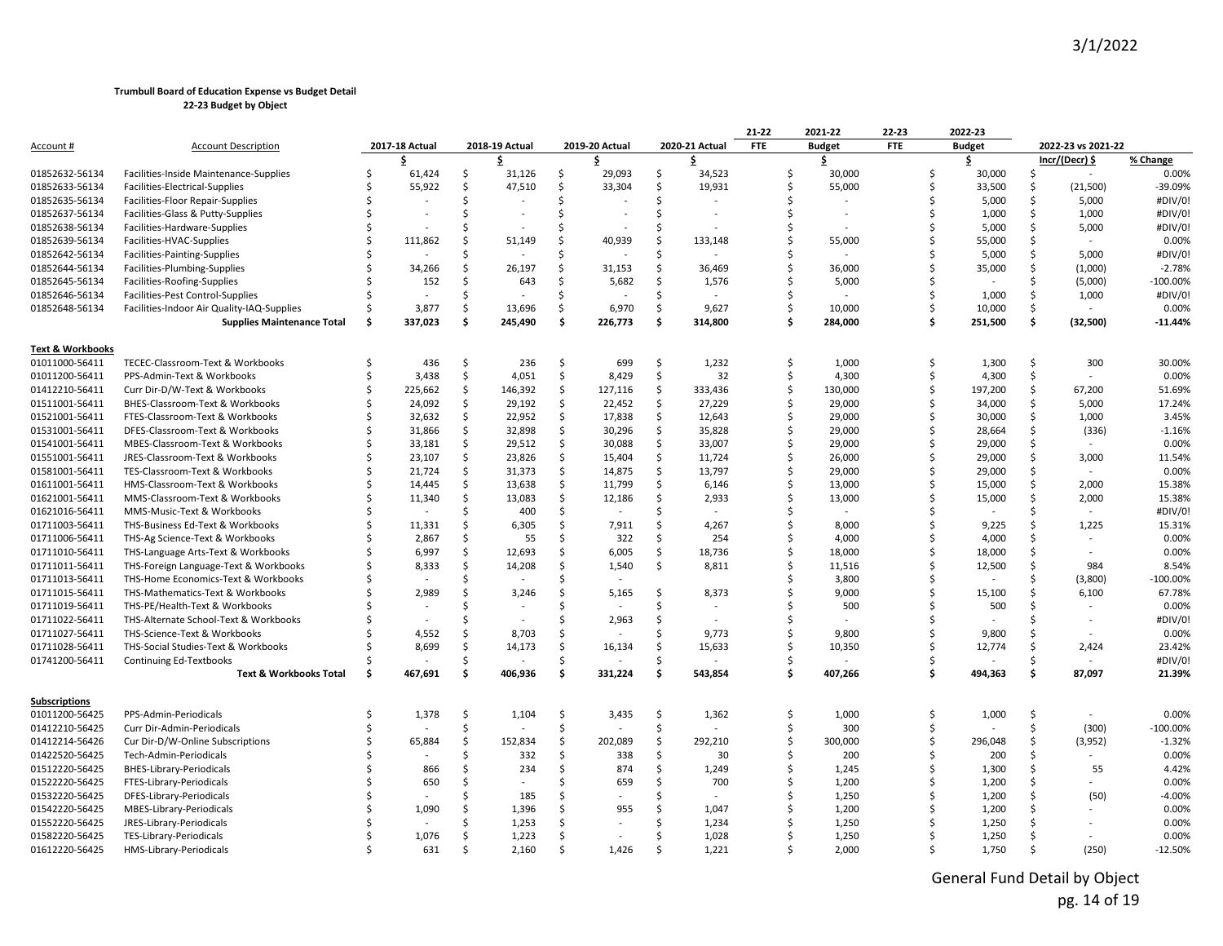|                  |                                            |    |                |    |                |               |                |    |                | 21-22      | 2021-22                  | 22-23 |    | 2022-23       |     |                    |            |
|------------------|--------------------------------------------|----|----------------|----|----------------|---------------|----------------|----|----------------|------------|--------------------------|-------|----|---------------|-----|--------------------|------------|
| Account #        | <b>Account Description</b>                 |    | 2017-18 Actual |    | 2018-19 Actual |               | 2019-20 Actual |    | 2020-21 Actual | <b>FTE</b> | <b>Budget</b>            | FTE   |    | <b>Budget</b> |     | 2022-23 vs 2021-22 |            |
|                  |                                            |    | \$             |    | \$.            |               | \$             |    | \$             |            | \$                       |       |    | \$            |     | Incr/(Decr) \$     | % Change   |
| 01852632-56134   | Facilities-Inside Maintenance-Supplies     |    | 61,424         | Ś. | 31,126         | Ŝ.            | 29,093         | Ŝ. | 34,523         | Ŝ.         | 30,000                   |       | Ŝ  | 30,000        | Ŝ   |                    | 0.00%      |
| 01852633-56134   | Facilities-Electrical-Supplies             |    | 55,922         | Ŝ. | 47,510         | Ŝ.            | 33,304         | Ŝ  | 19,931         | Ŝ.         | 55,000                   |       | Ŝ. | 33,500        | Ŝ   | (21,500)           | -39.09%    |
| 01852635-56134   | Facilities-Floor Repair-Supplies           |    |                | Ś  |                | Ŝ             |                | Ś  |                | ς          |                          |       | S, | 5,000         | \$  | 5,000              | #DIV/0!    |
| 01852637-56134   | Facilities-Glass & Putty-Supplies          |    |                | Ś  |                | Ś             |                | Ś  |                | Ś          | $\overline{\phantom{a}}$ |       |    | 1,000         | Ŝ   | 1,000              | #DIV/0!    |
| 01852638-56134   | Facilities-Hardware-Supplies               |    |                |    |                | Ŝ             |                | Ś  |                |            |                          |       |    | 5,000         | Ŝ.  | 5,000              | #DIV/0!    |
| 01852639-56134   | Facilities-HVAC-Supplies                   |    | 111,862        | Ŝ. | 51,149         | Ŝ.            | 40,939         | Ŝ  | 133,148        | Ŝ.         | 55,000                   |       |    | 55,000        | Ŝ.  |                    | 0.00%      |
| 01852642-56134   | Facilities-Painting-Supplies               |    |                |    |                |               |                |    |                |            |                          |       |    | 5,000         | Ŝ   | 5,000              | #DIV/0!    |
| 01852644-56134   | Facilities-Plumbing-Supplies               |    | 34,266         | Ŝ. | 26,197         | Ŝ.            | 31,153         | Ŝ. | 36,469         | Ŝ.         | 36,000                   |       |    | 35,000        | Ŝ.  | (1,000)            | $-2.78%$   |
| 01852645-56134   | Facilities-Roofing-Supplies                |    | 152            | Ś. | 643            | Ŝ             | 5,682          | Ŝ. | 1,576          |            | 5,000                    |       |    |               | Ŝ.  | (5,000)            | $-100.00%$ |
| 01852646-56134   | Facilities-Pest Control-Supplies           |    |                | Ś  |                |               |                | Ś  |                |            |                          |       |    | 1,000         | Ŝ.  | 1,000              | #DIV/0!    |
| 01852648-56134   | Facilities-Indoor Air Quality-IAQ-Supplies |    | 3,877          | \$ | 13,696         | Ŝ.            | 6,970          | Ŝ  | 9,627          | \$         | 10,000                   |       |    | 10,000        | Ś.  |                    | 0.00%      |
|                  | <b>Supplies Maintenance Total</b>          | .s | 337,023        | Ŝ. | 245,490        | Ŝ.            | 226,773        | Ŝ. | 314,800        | \$.        | 284,000                  |       | Ŝ  | 251,500       | \$. | (32, 500)          | $-11.44%$  |
| Text & Workbooks |                                            |    |                |    |                |               |                |    |                |            |                          |       |    |               |     |                    |            |
| 01011000-56411   | TECEC-Classroom-Text & Workbooks           |    | 436            | \$ | 236            | \$            | 699            | Ŝ  | 1,232          | \$.        | 1,000                    |       | Ŝ  | 1,300         | \$  | 300                | 30.00%     |
| 01011200-56411   | PPS-Admin-Text & Workbooks                 |    | 3,438          | \$ | 4,051          | \$            | 8,429          | \$ | 32             | Ś.         | 4,300                    |       | Ŝ  | 4,300         | Ś.  |                    | 0.00%      |
| 01412210-56411   | Curr Dir-D/W-Text & Workbooks              |    | 225,662        | \$ | 146,392        | \$            | 127,116        | \$ | 333,436        | Ś.         | 130,000                  |       |    | 197,200       | Ś.  | 67,200             | 51.69%     |
| 01511001-56411   | BHES-Classroom-Text & Workbooks            |    | 24,092         | \$ | 29,192         | Ś.            | 22,452         | \$ | 27,229         | Ŝ.         | 29,000                   |       |    | 34,000        | Ŝ.  | 5,000              | 17.24%     |
| 01521001-56411   | FTES-Classroom-Text & Workbooks            |    | 32,632         | \$ | 22,952         | Ŝ.            | 17,838         | \$ | 12,643         |            | 29,000                   |       |    | 30,000        | Ŝ   | 1,000              | 3.45%      |
| 01531001-56411   | DFES-Classroom-Text & Workbooks            |    | 31,866         | \$ | 32,898         | Ś.            | 30,296         | \$ | 35,828         |            | 29,000                   |       |    | 28,664        | Ŝ.  | (336)              | $-1.16%$   |
| 01541001-56411   | MBES-Classroom-Text & Workbooks            |    | 33,181         | \$ | 29,512         | \$            | 30,088         | \$ | 33,007         | Ŝ.         | 29,000                   |       |    | 29,000        | Ś.  |                    | 0.00%      |
| 01551001-56411   | JRES-Classroom-Text & Workbooks            |    | 23,107         | \$ | 23,826         | Ś             | 15,404         | Ś. | 11,724         | Ś          | 26,000                   |       |    | 29,000        | Ŝ   | 3,000              | 11.54%     |
| 01581001-56411   | TES-Classroom-Text & Workbooks             |    | 21,724         | \$ | 31,373         | Ś.            | 14,875         | .S | 13,797         | S,         | 29,000                   |       |    | 29,000        | .S  |                    | 0.00%      |
| 01611001-56411   | HMS-Classroom-Text & Workbooks             |    | 14,445         | Ŝ. | 13,638         | Ś.            | 11,799         | Ŝ. | 6,146          | \$         | 13,000                   |       |    | 15,000        | Ŝ   | 2,000              | 15.38%     |
| 01621001-56411   | MMS-Classroom-Text & Workbooks             |    | 11,340         | Ś  | 13,083         | \$            | 12,186         | \$ | 2,933          | Ŝ          | 13,000                   |       |    | 15,000        | Ŝ   | 2,000              | 15.38%     |
| 01621016-56411   | MMS-Music-Text & Workbooks                 |    |                | Ś  | 400            | Ś.            |                | Ś  |                |            |                          |       |    |               | Ŝ   |                    | #DIV/0!    |
| 01711003-56411   | THS-Business Ed-Text & Workbooks           |    | 11,331         | \$ | 6,305          | Ś             | 7,911          | Ŝ. | 4,267          | Ś          | 8,000                    |       |    | 9,225         | Ŝ.  | 1,225              | 15.31%     |
| 01711006-56411   | THS-Ag Science-Text & Workbooks            |    | 2,867          | Ŝ. | 55             | Ś             | 322            | Ŝ. | 254            |            | 4,000                    |       |    | 4,000         | .S  |                    | 0.00%      |
| 01711010-56411   | THS-Language Arts-Text & Workbooks         |    | 6,997          | Ŝ. | 12,693         | Ŝ.            | 6,005          | Ŝ. | 18,736         | \$         | 18,000                   |       |    | 18,000        | Ŝ   |                    | 0.00%      |
| 01711011-56411   | THS-Foreign Language-Text & Workbooks      |    | 8,333          | Ś. | 14,208         | Ŝ             | 1,540          | \$ | 8,811          | Ŝ.         | 11,516                   |       |    | 12,500        | Ŝ   | 984                | 8.54%      |
| 01711013-56411   | THS-Home Economics-Text & Workbooks        |    |                | Ś  |                | Ś             |                |    |                |            | 3,800                    |       |    |               | Ŝ.  | (3,800)            | $-100.00%$ |
| 01711015-56411   | THS-Mathematics-Text & Workbooks           |    | 2,989          | Ś  | 3,246          | Ś             | 5,165          | Ŝ. | 8,373          |            | 9,000                    |       |    | 15,100        |     | 6,100              | 67.78%     |
| 01711019-56411   | THS-PE/Health-Text & Workbooks             |    |                | Ś  |                |               |                |    |                |            | 500                      |       |    | 500           |     |                    | 0.00%      |
| 01711022-56411   | THS-Alternate School-Text & Workbooks      |    |                | Ś  |                | Ŝ             | 2,963          | Ŝ  |                |            |                          |       |    |               |     |                    | #DIV/0!    |
| 01711027-56411   | THS-Science-Text & Workbooks               |    | 4,552          | Ś  | 8,703          | -Ś            |                |    | 9.773          | ς.         | 9.800                    |       |    | 9,800         | .S  |                    | 0.00%      |
| 01711028-56411   | THS-Social Studies-Text & Workbooks        |    | 8,699          | Ŝ. | 14,173         | Ŝ.            | 16,134         | Ŝ. | 15,633         | ς.         | 10,350                   |       |    | 12,774        | Ŝ.  | 2,424              | 23.42%     |
| 01741200-56411   | <b>Continuing Ed-Textbooks</b>             |    |                | Ś  |                | <sup>\$</sup> |                | Ś  |                |            |                          |       |    |               | Ŝ.  |                    | #DIV/0!    |
|                  | <b>Text &amp; Workbooks Total</b>          | Ŝ. | 467,691        | Ŝ. | 406,936        | \$.           | 331,224        | Ś. | 543,854        | Ś          | 407,266                  |       | Ŝ  | 494,363       | \$  | 87,097             | 21.39%     |
|                  |                                            |    |                |    |                |               |                |    |                |            |                          |       |    |               |     |                    |            |
| Subscriptions    |                                            |    |                |    |                |               |                |    |                |            |                          |       |    |               |     |                    |            |
| 01011200-56425   | PPS-Admin-Periodicals                      |    | 1,378          | \$ | 1,104          | \$            | 3,435          | \$ | 1,362          | \$         | 1,000                    |       | Ŝ  | 1,000         | \$  |                    | 0.00%      |
| 01412210-56425   | Curr Dir-Admin-Periodicals                 |    |                | Ś. |                | Ś.            |                | Ś  |                | Ŝ.         | 300                      |       | Ŝ  |               | Ś.  | (300)              | $-100.00%$ |
| 01412214-56426   | Cur Dir-D/W-Online Subscriptions           |    | 65,884         | Ś. | 152,834        | \$            | 202,089        | \$ | 292,210        | Ŝ          | 300,000                  |       |    | 296,048       | Ŝ.  | (3,952)            | $-1.32%$   |
| 01422520-56425   | Tech-Admin-Periodicals                     |    |                | Ś  | 332            | Ś.            | 338            | \$ | 30             |            | 200                      |       |    | 200           | Ś.  |                    | 0.00%      |
| 01512220-56425   | BHES-Library-Periodicals                   |    | 866            | Ś  | 234            | Ŝ.            | 874            | \$ | 1,249          |            | 1,245                    |       |    | 1,300         | Ŝ   | 55                 | 4.42%      |
| 01522220-56425   | FTES-Library-Periodicals                   |    | 650            | ς. |                |               | 659            | Ŝ  | 700            |            | 1,200                    |       |    | 1,200         | .S  |                    | 0.00%      |
| 01532220-56425   | DFES-Library-Periodicals                   |    |                | Ś  | 185            | Ŝ.            |                | Ś  |                | ς          | 1,250                    |       |    | 1,200         | Ŝ   | (50)               | $-4.00%$   |
| 01542220-56425   | MBES-Library-Periodicals                   |    | 1,090          | Ś  | 1,396          |               | 955            |    | 1,047          |            | 1,200                    |       |    | 1,200         |     |                    | 0.00%      |
| 01552220-56425   | JRES-Library-Periodicals                   |    |                |    | 1,253          |               |                |    | 1,234          |            | 1,250                    |       |    | 1,250         |     |                    | 0.00%      |
| 01582220-56425   | TES-Library-Periodicals                    |    | 1,076          | Ŝ. | 1,223          | -Ś            |                |    | 1,028          |            | 1,250                    |       |    | 1,250         |     |                    | 0.00%      |
| 01612220-56425   | HMS-Library-Periodicals                    |    | 631            |    | 2,160          |               | 1.426          |    | 1,221          |            | 2,000                    |       |    | 1,750         |     | (250)              | $-12.50%$  |

General Fund Detail by Object pg. 14 of 19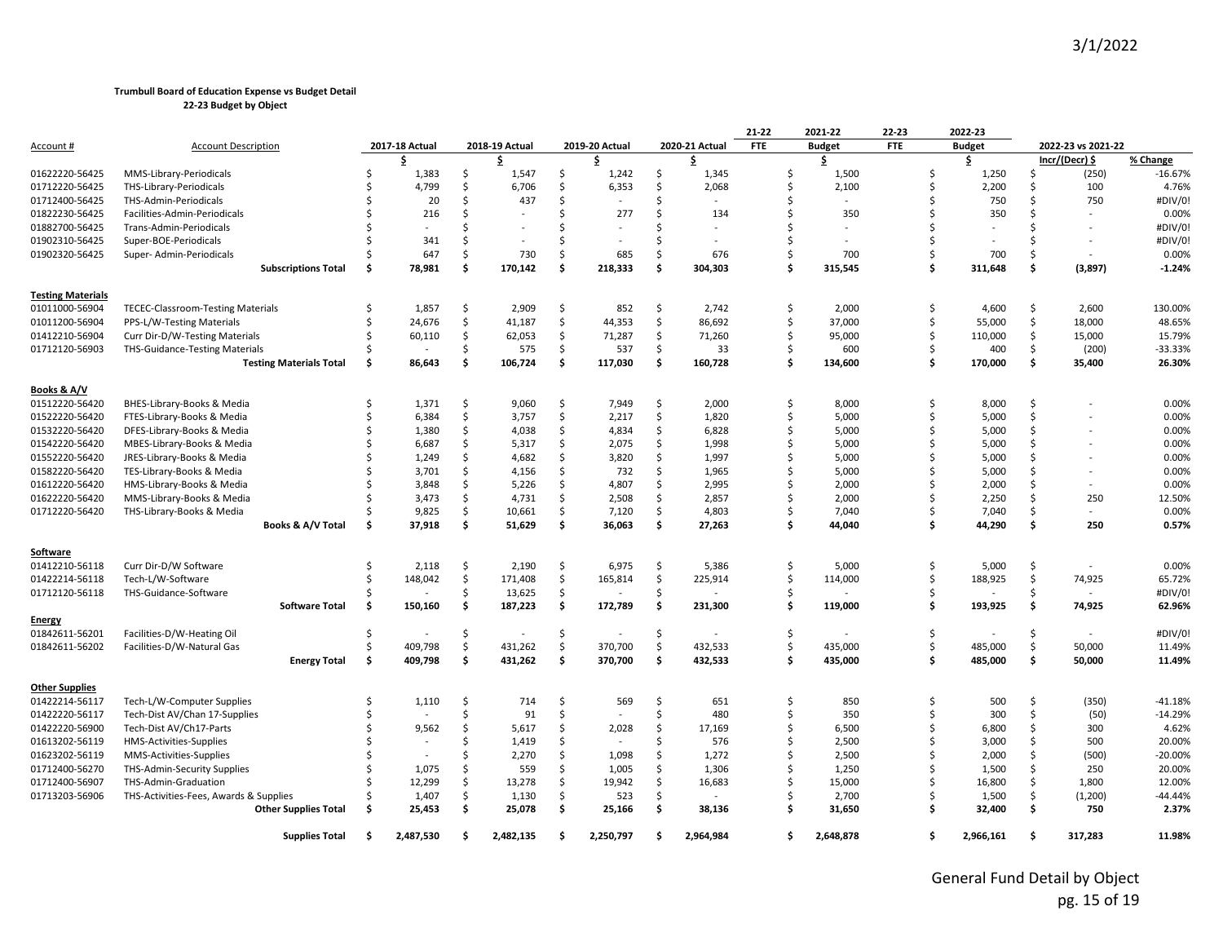|                          |                                          |     |                |               |                |    |                |     |                          | 21-22      | 2021-22       | 22-23      |    | 2022-23       |     |                    |           |
|--------------------------|------------------------------------------|-----|----------------|---------------|----------------|----|----------------|-----|--------------------------|------------|---------------|------------|----|---------------|-----|--------------------|-----------|
| <u>Account #</u>         | <b>Account Description</b>               |     | 2017-18 Actual |               | 2018-19 Actual |    | 2019-20 Actual |     | 2020-21 Actual           | <b>FTE</b> | <b>Budget</b> | <b>FTE</b> |    | <b>Budget</b> |     | 2022-23 vs 2021-22 |           |
|                          |                                          |     | \$.            |               | \$             |    | \$             |     | \$                       |            | \$            |            |    | \$            |     | Incr/(Decr) \$     | % Change  |
| 01622220-56425           | MMS-Library-Periodicals                  | Ś   | 1,383          | Ŝ.            | 1,547          | Ś. | 1,242          | Ŝ.  | 1,345                    | Ś          | 1,500         |            |    | 1,250         | ς.  | (250)              | $-16.67%$ |
| 01712220-56425           | THS-Library-Periodicals                  | Š,  | 4,799          | Ŝ.            | 6,706          | Ś. | 6,353          | Ŝ   | 2,068                    | Ś          | 2,100         |            | ς. | 2,200         | Ŝ   | 100                | 4.76%     |
| 01712400-56425           | THS-Admin-Periodicals                    |     | 20             | Ŝ.            | 437            | Ś  |                | Ŝ   |                          | Ś          |               |            |    | 750           | Ŝ   | 750                | #DIV/0!   |
| 01822230-56425           | Facilities-Admin-Periodicals             |     | 216            | Ŝ.            |                | Ŝ. | 277            | Ŝ.  | 134                      | Ś          | 350           |            |    | 350           |     |                    | 0.00%     |
| 01882700-56425           | Trans-Admin-Periodicals                  |     |                |               |                | Ŝ  |                | ς   |                          | Ś          |               |            |    |               | ς.  |                    | #DIV/0!   |
| 01902310-56425           | Super-BOE-Periodicals                    |     | 341            | $\zeta$       |                | Ŝ. |                |     | $\overline{\phantom{a}}$ | Ś          |               |            |    |               |     | $\sim$             | #DIV/0!   |
| 01902320-56425           | Super- Admin-Periodicals                 |     | 647            | Ŝ.            | 730            | Ŝ. | 685            | Ŝ   | 676                      | Ś          | 700           |            | \$ | 700           | Ŝ   |                    | 0.00%     |
|                          | <b>Subscriptions Total</b>               | \$. | 78,981         | \$            | 170,142        | Ś  | 218,333        | \$  | 304,303                  | Ś          | 315,545       |            | Ŝ. | 311,648       | \$  | (3, 897)           | $-1.24%$  |
| <b>Testing Materials</b> |                                          |     |                |               |                |    |                |     |                          |            |               |            |    |               |     |                    |           |
| 01011000-56904           | <b>TECEC-Classroom-Testing Materials</b> | -S  | 1,857          | \$            | 2,909          | \$ | 852            | \$  | 2,742                    | \$         | 2,000         |            | Ŝ. | 4,600         | \$  | 2,600              | 130.00%   |
| 01011200-56904           | PPS-L/W-Testing Materials                |     | 24,676         | \$            | 41,187         | \$ | 44,353         | Ś   | 86,692                   | \$         | 37,000        |            | \$ | 55,000        | \$  | 18,000             | 48.65%    |
| 01412210-56904           | Curr Dir-D/W-Testing Materials           |     | 60,110         | \$            | 62,053         | \$ | 71,287         | \$  | 71,260                   | \$         | 95,000        |            | \$ | 110,000       | \$  | 15,000             | 15.79%    |
| 01712120-56903           | <b>THS-Guidance-Testing Materials</b>    |     |                | Ŝ.            | 575            | Ś. | 537            | Ŝ   | 33                       | Ś          | 600           |            |    | 400           | Ŝ.  | (200)              | -33.33%   |
|                          | <b>Testing Materials Total</b>           | \$. | 86,643         | \$            | 106,724        | \$ | 117,030        | \$  | 160,728                  | Ś          | 134,600       |            | Ŝ. | 170,000       | \$  | 35,400             | 26.30%    |
| Books & A/V              |                                          |     |                |               |                |    |                |     |                          |            |               |            |    |               |     |                    |           |
| 01512220-56420           | BHES-Library-Books & Media               | Ś   | 1,371          | Ŝ.            | 9,060          | Ś. | 7,949          | Ś.  | 2,000                    | Ś          | 8,000         |            | \$ | 8.000         | Ŝ   |                    | 0.00%     |
| 01522220-56420           | FTES-Library-Books & Media               | Ś   | 6,384          | \$            | 3,757          | \$ | 2,217          | \$  | 1,820                    | Ś          | 5,000         |            | \$ | 5,000         | Ŝ.  |                    | 0.00%     |
| 01532220-56420           | DFES-Library-Books & Media               |     | 1,380          | \$            | 4,038          | Ś  | 4,834          | \$  | 6,828                    | \$         | 5,000         |            | \$ | 5,000         | Ś.  |                    | 0.00%     |
| 01542220-56420           | MBES-Library-Books & Media               |     | 6,687          | $\zeta$       | 5,317          | Ś. | 2,075          | Ŝ   | 1,998                    | \$         | 5,000         |            |    | 5,000         | Ŝ.  |                    | 0.00%     |
| 01552220-56420           | JRES-Library-Books & Media               |     | 1,249          | Ś.            | 4,682          | Ś. | 3,820          | Ŝ   | 1,997                    | Ś          | 5,000         |            |    | 5,000         | Ŝ   |                    | 0.00%     |
| 01582220-56420           | TES-Library-Books & Media                |     | 3,701          | <sup>\$</sup> | 4,156          | Ś. | 732            | Ŝ   | 1,965                    | \$         | 5,000         |            |    | 5,000         | Ś   |                    | 0.00%     |
| 01612220-56420           | HMS-Library-Books & Media                |     | 3,848          | Ś.            | 5,226          | Ś  | 4,807          | Ś.  | 2,995                    | Ś          | 2,000         |            |    | 2,000         | Ŝ.  | $\sim$             | 0.00%     |
| 01622220-56420           | MMS-Library-Books & Media                |     | 3,473          | \$            | 4,731          | \$ | 2,508          | \$  | 2,857                    | \$         | 2,000         |            | \$ | 2,250         | \$  | 250                | 12.50%    |
| 01712220-56420           | THS-Library-Books & Media                |     | 9,825          | \$            | 10,661         | Ś  | 7,120          | Ś.  | 4,803                    | Ś          | 7,040         |            | \$ | 7,040         | Ś.  | $\sim$             | 0.00%     |
|                          | Books & A/V Total                        | \$. | 37,918         | \$            | 51,629         | \$ | 36,063         | \$. | 27,263                   | Ś          | 44,040        |            | Ŝ. | 44,290        | \$. | 250                | 0.57%     |
| Software                 |                                          |     |                |               |                |    |                |     |                          |            |               |            |    |               |     |                    |           |
| 01412210-56118           | Curr Dir-D/W Software                    | Ś   | 2,118          | \$            | 2,190          | Ś. | 6,975          | Ś.  | 5,386                    | Ś          | 5,000         |            | Ŝ. | 5,000         | Ś.  |                    | 0.00%     |
| 01422214-56118           | Tech-L/W-Software                        | -Ś  | 148,042        | \$            | 171,408        | \$ | 165,814        | \$  | 225,914                  | Ś          | 114,000       |            | \$ | 188,925       | \$  | 74,925             | 65.72%    |
| 01712120-56118           | THS-Guidance-Software                    | \$  |                | <sup>\$</sup> | 13,625         | \$ |                | Ś.  |                          | Ś          |               |            | Ś  |               | Ś.  |                    | #DIV/0!   |
| Energy                   | <b>Software Total</b>                    | \$. | 150,160        | Ś.            | 187,223        | \$ | 172,789        | \$  | 231,300                  | \$         | 119,000       |            | \$ | 193,925       | \$  | 74,925             | 62.96%    |
| 01842611-56201           | Facilities-D/W-Heating Oil               | Ŝ.  |                | Ŝ.            |                | Ś. |                | Ś.  |                          | Ś          |               |            | Ś  |               | Ś.  |                    | #DIV/0!   |
| 01842611-56202           | Facilities-D/W-Natural Gas               | Ś   | 409,798        | \$            | 431,262        | \$ | 370,700        | \$  | 432,533                  | Ś          | 435,000       |            | Ś. | 485,000       | Ś.  | 50,000             | 11.49%    |
|                          |                                          | \$  | 409,798        | \$            | 431,262        | \$ | 370,700        | \$  | 432,533                  | \$         | 435,000       |            | \$ | 485,000       | \$  | 50,000             | 11.49%    |
|                          | <b>Energy Total</b>                      |     |                |               |                |    |                |     |                          |            |               |            |    |               |     |                    |           |
| <b>Other Supplies</b>    |                                          |     |                |               |                |    |                |     |                          |            |               |            |    |               |     |                    |           |
| 01422214-56117           | Tech-L/W-Computer Supplies               | Ś   | 1,110          | \$            | 714            | \$ | 569            | \$  | 651                      | \$         | 850           |            | Ŝ. | 500           | Ś.  | (350)              | $-41.18%$ |
| 01422220-56117           | Tech-Dist AV/Chan 17-Supplies            |     |                | Ś.            | 91             | Ś. |                | Ś.  | 480                      | \$         | 350           |            | Ś  | 300           | \$  | (50)               | $-14.29%$ |
| 01422220-56900           | Tech-Dist AV/Ch17-Parts                  |     | 9,562          | Ŝ.            | 5,617          | Ś. | 2,028          | Ŝ   | 17,169                   | Ś.         | 6,500         |            |    | 6,800         | Ŝ.  | 300                | 4.62%     |
| 01613202-56119           | HMS-Activities-Supplies                  |     |                | $\zeta$       | 1,419          | Ś. |                | Ŝ   | 576                      | Ś          | 2,500         |            |    | 3,000         | Ŝ.  | 500                | 20.00%    |
| 01623202-56119           | MMS-Activities-Supplies                  |     |                | <sup>\$</sup> | 2,270          | Ś  | 1,098          | Ś.  | 1,272                    | Ś          | 2,500         |            |    | 2,000         | Ś.  | (500)              | -20.00%   |
| 01712400-56270           | THS-Admin-Security Supplies              |     | 1,075          | Ś             | 559            | \$ | 1,005          | \$  | 1,306                    | \$         | 1,250         |            |    | 1,500         | Ŝ.  | 250                | 20.00%    |
| 01712400-56907           | THS-Admin-Graduation                     |     | 12,299         | \$            | 13.278         | \$ | 19.942         | Ś.  | 16,683                   | Ś          | 15,000        |            | \$ | 16,800        | Ś.  | 1,800              | 12.00%    |
| 01713203-56906           | THS-Activities-Fees, Awards & Supplies   |     | 1,407          | \$            | 1,130          | Ś. | 523            | Ŝ   |                          | Ś          | 2,700         |            | \$ | 1,500         | Ŝ.  | (1,200)            | -44.44%   |
|                          | <b>Other Supplies Total</b>              | .\$ | 25,453         | \$            | 25,078         | \$ | 25,166         | \$  | 38,136                   | Ś          | 31,650        |            | Ŝ. | 32,400        | \$  | 750                | 2.37%     |
|                          | <b>Supplies Total</b>                    | Ŝ.  | 2.487.530      | ¢.            | 2.482.135      | ¢. | 2.250.797      | ¢,  | 2.964.984                | \$.        | 2.648.878     |            |    | 2,966,161     | \$. | 317.283            | 11.98%    |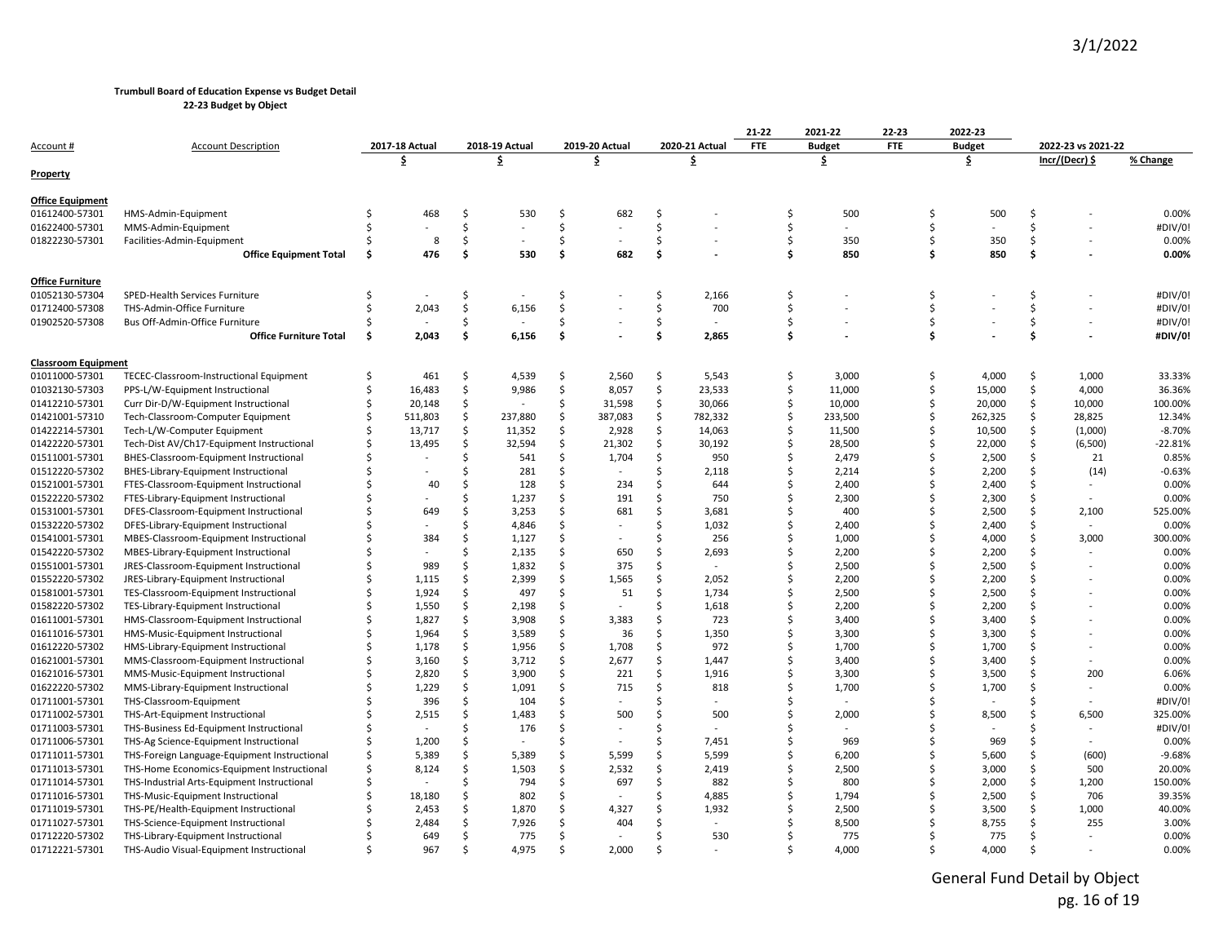**22-23 Budget by Object**

|                                  |                                              |     |                |         |                |         |                |          |                | 21-22      | 2021-22       | 22-23      |               | 2022-23      |         |                    |                 |
|----------------------------------|----------------------------------------------|-----|----------------|---------|----------------|---------|----------------|----------|----------------|------------|---------------|------------|---------------|--------------|---------|--------------------|-----------------|
| Account #                        | <b>Account Description</b>                   |     | 2017-18 Actual |         | 2018-19 Actual |         | 2019-20 Actual |          | 2020-21 Actual | <b>FTE</b> | <b>Budget</b> | <b>FTE</b> | <b>Budget</b> |              |         | 2022-23 vs 2021-22 |                 |
|                                  |                                              |     | \$             | \$      |                |         | \$             |          | \$             |            | \$            |            | \$            |              |         | Incr/(Decr) \$     | % Change        |
| <b>Property</b>                  |                                              |     |                |         |                |         |                |          |                |            |               |            |               |              |         |                    |                 |
| <b>Office Equipment</b>          |                                              |     |                |         |                |         |                |          |                |            |               |            |               |              |         |                    |                 |
| 01612400-57301                   | HMS-Admin-Equipment                          |     | 468            | \$      | 530            | Ś       | 682            | \$       |                | Ś          | 500           |            | Ŝ             | 500          | Ś.      |                    | 0.00%           |
| 01622400-57301                   | MMS-Admin-Equipment                          | Ś   |                | \$      |                | Ś       |                | \$       |                | Ś          |               |            | Ŝ.            |              | Ś.      |                    | #DIV/0!         |
| 01822230-57301                   | Facilities-Admin-Equipment                   | Ś   | 8              | Ś.      |                | Ś       |                | \$       |                | Ś          | 350           |            | Ŝ             | 350          | Ŝ.      |                    | 0.00%           |
|                                  | <b>Office Equipment Total</b>                | \$  | 476            | \$      | 530            | \$      | 682            | \$       |                | \$         | 850           |            | \$.           | 850          | \$      |                    | 0.00%           |
| Office Furniture                 |                                              |     |                |         |                |         |                |          |                |            |               |            |               |              |         |                    |                 |
| 01052130-57304                   | SPED-Health Services Furniture               |     |                | Ś       |                | Ŝ       |                | Ś        | 2,166          | Ś          |               |            | Ŝ             |              | Ŝ       |                    | #DIV/0!         |
| 01712400-57308                   | THS-Admin-Office Furniture                   | Ŝ   | 2,043          | \$      | 6,156          | Ś       |                | \$       | 700            | Ś          |               |            | Ŝ.            |              | Ŝ.      |                    | #DIV/0!         |
| 01902520-57308                   | Bus Off-Admin-Office Furniture               |     |                | \$      |                | \$      |                | \$       | $\sim$         | Ś          |               |            | Ś             |              | \$      |                    | #DIV/0!         |
|                                  | <b>Office Furniture Total</b>                | \$. | 2,043          | Ś       | 6,156          | Ś       |                | \$.      | 2,865          | Ś          |               |            | Ŝ             |              | \$      |                    | #DIV/0!         |
| <b>Classroom Equipment</b>       |                                              |     |                |         |                |         |                |          |                |            |               |            |               |              |         |                    |                 |
| 01011000-57301                   | TECEC-Classroom-Instructional Equipment      | \$  | 461            | \$      | 4,539          | \$      | 2,560          | \$       | 5,543          | \$         | 3,000         |            | \$            | 4,000        | \$      | 1,000              | 33.33%          |
| 01032130-57303                   | PPS-L/W-Equipment Instructional              | Ś   | 16,483         | \$      | 9,986          | \$      | 8,057          | \$       | 23,533         | \$         | 11,000        |            | Ŝ.            | 15,000       | Ś.      | 4,000              | 36.36%          |
| 01412210-57301                   | Curr Dir-D/W-Equipment Instructional         | Ś   | 20,148         | \$      |                | Ś       | 31,598         | \$       | 30,066         | Ś.         | 10,000        |            | Ś.            | 20,000       | Ś.      | 10,000             | 100.00%         |
| 01421001-57310                   | Tech-Classroom-Computer Equipment            | Ś   | 511,803        | \$      | 237,880        | \$      | 387,083        | \$       | 782,332        | Ś.         | 233,500       |            | <sup>\$</sup> | 262,325      | Ś.      | 28,825             | 12.34%          |
| 01422214-57301                   | Tech-L/W-Computer Equipment                  |     | 13,717         | \$      | 11,352         | Ś       | 2,928          | \$       | 14,063         | Ś          | 11,500        |            | Ŝ             | 10,500       | Ŝ.      | (1,000)            | $-8.70%$        |
| 01422220-57301                   | Tech-Dist AV/Ch17-Equipment Instructional    |     | 13,495         | \$      | 32,594         | \$      | 21,302         | \$       | 30,192         | Ś          | 28,500        |            | Ŝ.            | 22,000       | \$      | (6,500)            | $-22.81%$       |
| 01511001-57301                   | BHES-Classroom-Equipment Instructional       | Ś   |                | Ś       | 541            | \$      | 1,704          | \$       | 950            | Ś          | 2,479         |            |               | 2,500        | Ŝ.      | 21                 | 0.85%           |
| 01512220-57302                   | BHES-Library-Equipment Instructional         |     |                | Ś       | 281            | Ś.      |                | \$       | 2,118          | Ś          | 2,214         |            |               | 2,200        | Ś.      | (14)               | $-0.63%$        |
| 01521001-57301                   | FTES-Classroom-Equipment Instructional       | Ś   | 40             | Ś       | 128            | Ś.      | 234            | Ŝ.       | 644            | Ś          | 2,400         |            | Ŝ             | 2,400        | Ŝ.      |                    | 0.00%           |
| 01522220-57302                   | FTES-Library-Equipment Instructional         |     |                | Ś       | 1,237          | Ś.      | 191            | \$       | 750            | Ś          | 2,300         |            | Ŝ             | 2,300        | Ŝ       |                    | 0.00%           |
| 01531001-57301                   | DFES-Classroom-Equipment Instructional       | Ś   | 649            | Ś.      | 3,253          | Ś.      | 681            | \$       | 3,681          | Ś          | 400           |            | <sup>\$</sup> | 2,500        | Ś.      | 2,100              | 525.00%         |
| 01532220-57302                   | DFES-Library-Equipment Instructional         | Ś   |                | Ś       | 4,846          | Ś.      |                | \$       | 1,032          | Ś          | 2,400         |            |               | 2,400        | Ŝ.      |                    | 0.00%           |
| 01541001-57301                   | MBES-Classroom-Equipment Instructional       | Ś   | 384            | Ś       | 1,127          | Ś       | $\sim$         | \$       | 256            | Ś          | 1,000         |            | <sup>\$</sup> | 4,000        | Ŝ.      | 3,000              | 300.00%         |
| 01542220-57302                   | MBES-Library-Equipment Instructional         | Ś   |                | Ś       | 2,135          | Ś.      | 650            | Ś        | 2,693          | Ś          | 2,200         |            | Ŝ             | 2,200        | Ŝ       |                    | 0.00%           |
| 01551001-57301                   | JRES-Classroom-Equipment Instructional       | Ś   | 989            | \$      | 1,832          | Ś.      | 375            | \$       |                | Ś          | 2,500         |            |               | 2,500        | Ŝ.      |                    | 0.00%           |
| 01552220-57302                   | JRES-Library-Equipment Instructional         | Ś   | 1,115          | Ś.      | 2,399          | Ś.      | 1,565          | \$       | 2,052          | Ś          | 2,200         |            | Ŝ             | 2,200        | Ŝ       |                    | 0.00%           |
| 01581001-57301                   | TES-Classroom-Equipment Instructional        | Ś   | 1,924          | \$      | 497            | Ś       | 51             | \$       | 1,734          | Ś          | 2,500         |            | $\zeta$       | 2,500        | Ŝ.      |                    | 0.00%           |
| 01582220-57302                   | TES-Library-Equipment Instructional          | S   | 1,550          | \$      | 2,198          | Ś.      |                | Ś        | 1,618          | Ś          | 2,200         |            | Ŝ             | 2,200        | Ŝ       |                    | 0.00%           |
| 01611001-57301                   | HMS-Classroom-Equipment Instructional        |     | 1,827          | Ś.      | 3,908          | Ś.      | 3,383          | Ś        | 723            | Ś          | 3,400         |            |               | 3,400        | Ŝ       |                    | 0.00%           |
| 01611016-57301                   | HMS-Music-Equipment Instructional            | Ś   | 1,964          | \$      | 3,589          | \$      | 36             | \$       | 1,350          | Ś          | 3,300         |            |               | 3,300        |         |                    | 0.00%           |
| 01612220-57302                   | HMS-Library-Equipment Instructional          |     | 1,178          | Ś.      | 1,956          | Ś.      | 1,708          | \$       | 972            |            | 1,700         |            |               | 1,700        | Ŝ       |                    | 0.00%           |
| 01621001-57301                   | MMS-Classroom-Equipment Instructional        | Ś   | 3,160          | \$      | 3,712          | Ś       | 2,677          | \$       | 1,447          | Ś          | 3,400         |            | <sup>\$</sup> | 3,400        | Ś.      |                    | 0.00%           |
| 01621016-57301                   | MMS-Music-Equipment Instructional            |     | 2,820          | Ś.      | 3,900          | Ś.      | 221            | \$.      | 1,916          |            | 3,300         |            |               | 3,500        | Ŝ       | 200                | 6.06%           |
| 01622220-57302                   | MMS-Library-Equipment Instructional          |     | 1,229          | \$      | 1,091          | \$      | 715            | Ŝ        | 818            | Ś          | 1,700         |            |               | 1,700        | Ŝ       | $\sim$             | 0.00%           |
| 01711001-57301                   | THS-Classroom-Equipment                      | Ś   | 396            | \$      | 104            | Ś       |                | Ś        |                | Ś          |               |            |               |              | Ŝ       |                    | #DIV/0!         |
| 01711002-57301                   | THS-Art-Equipment Instructional              | Ś   | 2,515          | Ś.      | 1,483          | Ś.      | 500            | Ś        | 500            | Ś          | 2,000         |            |               | 8,500        | Ŝ.      | 6,500              | 325.00%         |
| 01711003-57301                   | THS-Business Ed-Equipment Instructional      | Ś   |                | \$      | 176            | Ś       |                | \$       |                | Ś          |               |            |               |              | Ŝ       |                    | #DIV/0!         |
| 01711006-57301                   | THS-Ag Science-Equipment Instructional       | Ś   | 1,200          | Ś.      |                | Ś       |                | \$       | 7,451          | Ś          | 969           |            | ς.            | 969          | Ŝ       | $\sim$             | 0.00%           |
| 01711011-57301                   | THS-Foreign Language-Equipment Instructional | Ś.  | 5,389          | \$      | 5,389          | Ś.      | 5,599          | \$       | 5,599          | Ś          | 6,200         |            | Ŝ             | 5,600        | Ŝ.      | (600)              | $-9.68%$        |
| 01711013-57301                   | THS-Home Economics-Equipment Instructional   | Ś   | 8,124          | \$      | 1,503          | Ś.      | 2,532          | \$       | 2,419          | Ś          | 2,500         |            | Ŝ             | 3,000        | Ś.      | 500                | 20.00%          |
| 01711014-57301                   | THS-Industrial Arts-Equipment Instructional  | Ś   |                | Ś<br>Ś. | 794            | Ś.<br>Ś | 697            | \$<br>Ś. | 882            | Ś<br>Ś     | 800           |            | Ŝ             | 2,000        | Ś.<br>Ŝ | 1,200              | 150.00%         |
| 01711016-57301                   | THS-Music-Equipment Instructional            |     | 18,180         | Ś.      | 802            | Ś       |                | Ś        | 4,885          |            | 1,794         |            |               | 2,500        | ς.      | 706                | 39.35%          |
| 01711019-57301                   | THS-PE/Health-Equipment Instructional        |     | 2,453          | Ś.      | 1,870          | Ś       | 4,327          | Ś        | 1,932          |            | 2,500         |            |               | 3,500        |         | 1,000              | 40.00%<br>3.00% |
| 01711027-57301<br>01712220-57302 | THS-Science-Equipment Instructional          |     | 2,484<br>649   | \$      | 7,926<br>775   | Ś       | 404            | Ś        | 530            | Ś          | 8,500<br>775  |            |               | 8,755<br>775 | Ŝ       | 255                | 0.00%           |
|                                  | THS-Library-Equipment Instructional          | \$  | 967            | \$      | 4.975          | $\zeta$ | 2.000          | $\zeta$  |                | ς          | 4.000         |            | $\zeta$       | 4.000        | $\zeta$ |                    | 0.00%           |
| 01712221-57301                   | THS-Audio Visual-Equipment Instructional     |     |                |         |                |         |                |          |                |            |               |            |               |              |         |                    |                 |

General Fund Detail by Object pg. 16 of 19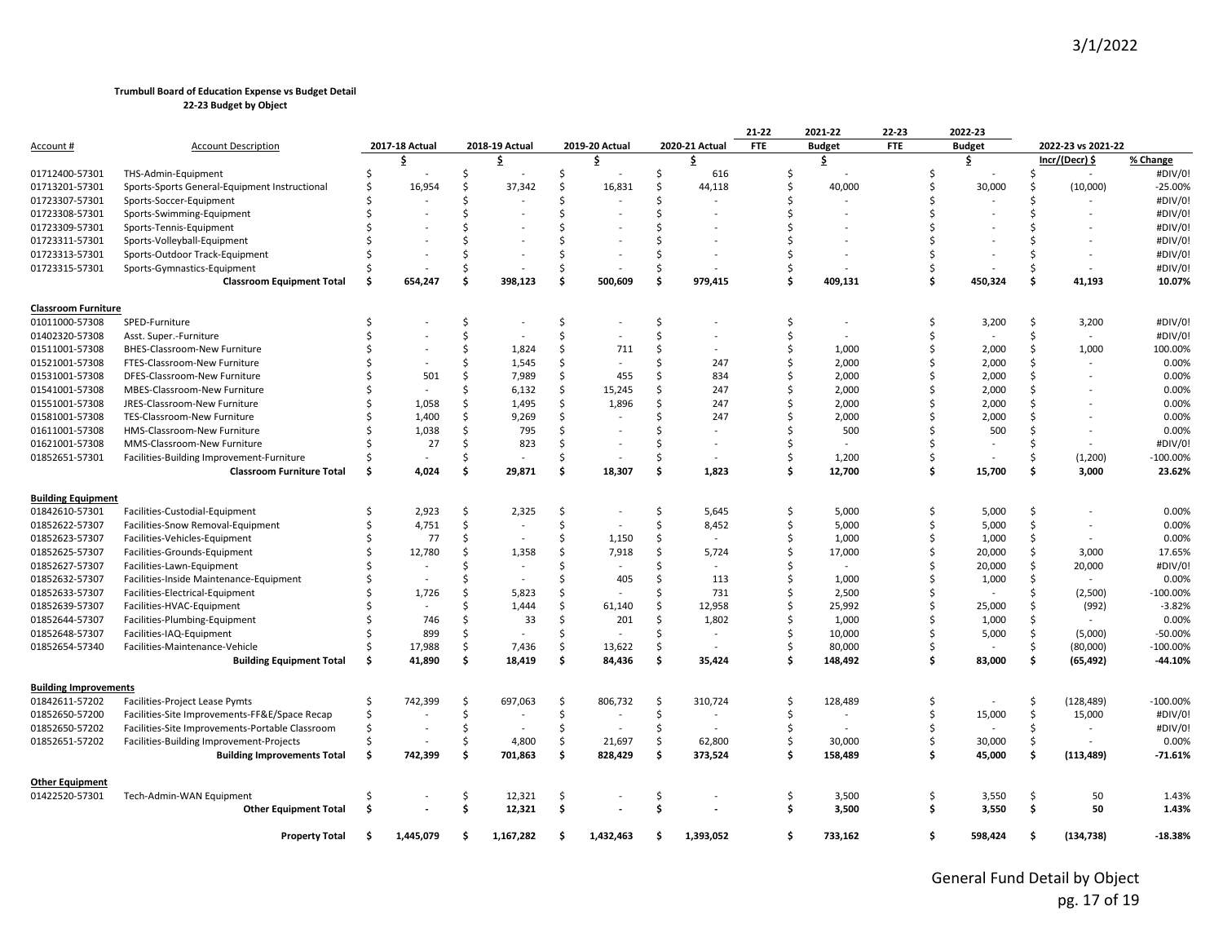|                              |                                                 |     |                |               |                |     |                |    |                | 21-22      | 2021-22       | $22 - 23$  |     | 2022-23                  |                    |                    |            |
|------------------------------|-------------------------------------------------|-----|----------------|---------------|----------------|-----|----------------|----|----------------|------------|---------------|------------|-----|--------------------------|--------------------|--------------------|------------|
| <u>Account #</u>             | <b>Account Description</b>                      |     | 2017-18 Actual |               | 2018-19 Actual |     | 2019-20 Actual |    | 2020-21 Actual | <b>FTE</b> | <b>Budget</b> | <b>FTE</b> |     | <b>Budget</b>            |                    | 2022-23 vs 2021-22 |            |
|                              |                                                 |     | \$             |               | \$             |     | \$             |    | \$             |            | \$.           |            |     | \$                       |                    | Incr/(Decr) \$     | % Change   |
| 01712400-57301               | THS-Admin-Equipment                             | Ŝ.  |                |               |                | Ś.  |                | Ŝ. | 616            | Ś.         |               |            |     |                          | Ś                  |                    | #DIV/0!    |
| 01713201-57301               | Sports-Sports General-Equipment Instructional   | Ś   | 16,954         | Ŝ.            | 37,342         | Ś   | 16,831         | Ś  | 44,118         | Ŝ.         | 40,000        |            | S   | 30,000                   | Ś                  | (10,000)           | $-25.00%$  |
| 01723307-57301               | Sports-Soccer-Equipment                         |     |                |               |                | Ś   |                | Ŝ  |                | Ś          |               |            |     |                          | Ś                  |                    | #DIV/0!    |
| 01723308-57301               | Sports-Swimming-Equipment                       |     |                |               |                | Ś   |                |    |                |            |               |            |     |                          | Ś                  |                    | #DIV/0!    |
| 01723309-57301               | Sports-Tennis-Equipment                         |     |                |               |                |     |                |    |                |            |               |            |     |                          |                    |                    | #DIV/0!    |
| 01723311-57301               | Sports-Volleyball-Equipment                     |     |                |               |                | Ś,  |                |    |                |            |               |            |     |                          |                    |                    | #DIV/0!    |
| 01723313-57301               | Sports-Outdoor Track-Equipment                  |     |                |               |                | ς.  |                |    |                | \$         |               |            |     |                          | ς                  |                    | #DIV/0!    |
| 01723315-57301               | Sports-Gymnastics-Equipment                     |     |                |               |                | Ś.  |                | Ś  |                | Ŝ          |               |            | Ŝ   |                          | Ś                  |                    | #DIV/0!    |
|                              | <b>Classroom Equipment Total</b>                | Ś   | 654,247        |               | 398,123        | Ś   | 500,609        | Ś  | 979,415        | Ŝ.         | 409,131       |            | Ŝ   | 450,324                  | Ś                  | 41,193             | 10.07%     |
| <b>Classroom Furniture</b>   |                                                 |     |                |               |                |     |                |    |                |            |               |            |     |                          |                    |                    |            |
| 01011000-57308               | SPED-Furniture                                  | Ŝ.  |                |               |                | Ś.  |                | Ś  |                | Ś          |               |            | Ś   | 3,200                    | \$                 | 3,200              | #DIV/0!    |
| 01402320-57308               | Asst. Super.-Furniture                          |     |                |               |                | Ś.  |                | Ś  |                | Ś          |               |            | Ś   |                          | Ś                  |                    | #DIV/0!    |
| 01511001-57308               | BHES-Classroom-New Furniture                    |     |                |               | 1,824          | \$  | 711            | Ŝ  |                | \$         | 1,000         |            |     | 2,000                    | Ś                  | 1,000              | 100.00%    |
| 01521001-57308               | FTES-Classroom-New Furniture                    |     |                |               | 1,545          | \$  |                | Ŝ  | 247            | \$         | 2,000         |            | S   | 2,000                    | Ś                  |                    | 0.00%      |
| 01531001-57308               | DFES-Classroom-New Furniture                    |     | 501            | ς.            | 7,989          | \$  | 455            | Ś  | 834            | Ś          | 2,000         |            |     | 2,000                    | Ś                  |                    | 0.00%      |
| 01541001-57308               | MBES-Classroom-New Furniture                    |     |                |               | 6,132          | \$. | 15,245         | Ŝ  | 247            | Ś          | 2,000         |            |     | 2,000                    | Ś                  |                    | 0.00%      |
| 01551001-57308               | JRES-Classroom-New Furniture                    |     | 1,058          | Ŝ.            | 1,495          | \$  | 1,896          | Ś  | 247            | Ś          | 2,000         |            |     | 2,000                    | Ś                  |                    | 0.00%      |
| 01581001-57308               | TES-Classroom-New Furniture                     |     | 1,400          | Ŝ.            | 9,269          | Ś.  |                | Ŝ  | 247            | Ś          | 2,000         |            |     | 2,000                    | Ś                  |                    | 0.00%      |
| 01611001-57308               | HMS-Classroom-New Furniture                     |     | 1,038          | Ŝ.            | 795            | Ś.  |                | S  |                | Ś          | 500           |            |     | 500                      | Ś                  |                    | 0.00%      |
| 01621001-57308               | MMS-Classroom-New Furniture                     |     | 27             | Ś             | 823            | \$  |                |    |                | Ś          |               |            |     |                          | Ś                  |                    | #DIV/0!    |
| 01852651-57301               | Facilities-Building Improvement-Furniture       |     |                |               |                | Ś.  |                | Ś  |                | Ś          | 1,200         |            | Ŝ   |                          | Ś                  | (1, 200)           | $-100.00%$ |
|                              | <b>Classroom Furniture Total</b>                | \$. | 4,024          | Ŝ.            | 29,871         | \$  | 18,307         | \$ | 1,823          | Ś.         | 12,700        |            | \$  | 15,700                   | \$                 | 3,000              | 23.62%     |
| <b>Building Equipment</b>    |                                                 |     |                |               |                |     |                |    |                |            |               |            |     |                          |                    |                    |            |
| 01842610-57301               | Facilities-Custodial-Equipment                  | Ŝ.  | 2,923          | S.            | 2,325          | \$  |                | \$ | 5,645          | -\$        | 5,000         |            | Ŝ   | 5,000                    | \$                 |                    | 0.00%      |
| 01852622-57307               | Facilities-Snow Removal-Equipment               |     | 4,751          | <sup>\$</sup> |                | Ś.  |                | Ŝ. | 8,452          | Ś          | 5,000         |            | ς.  | 5,000                    | \$                 | $\sim$             | 0.00%      |
| 01852623-57307               | Facilities-Vehicles-Equipment                   |     | 77             | Ŝ.            |                | Ś   | 1,150          | Ś  |                | Ŝ          | 1,000         |            | S   | 1,000                    | \$                 |                    | 0.00%      |
| 01852625-57307               | Facilities-Grounds-Equipment                    |     | 12,780         |               | 1,358          | Ś   | 7,918          | Ŝ  | 5,724          | Ŝ          | 17,000        |            |     | 20,000                   | Ś                  | 3,000              | 17.65%     |
| 01852627-57307               | Facilities-Lawn-Equipment                       |     |                |               |                | Ŝ   |                | S  |                | Ś          |               |            |     | 20,000                   | \$                 | 20,000             | #DIV/0!    |
| 01852632-57307               | Facilities-Inside Maintenance-Equipment         |     |                |               |                | Ś.  | 405            | Ś  | 113            | Ś          | 1,000         |            |     | 1,000                    | \$                 |                    | 0.00%      |
| 01852633-57307               | Facilities-Electrical-Equipment                 |     | 1,726          |               | 5,823          | Ś.  |                | Ś  | 731            | Ś          | 2,500         |            |     |                          | \$                 | (2,500)            | $-100.00%$ |
| 01852639-57307               | Facilities-HVAC-Equipment                       |     |                |               | 1,444          | \$  | 61,140         | Ś  | 12,958         | Ś          | 25,992        |            | Ś   | 25,000                   | \$                 | (992)              | $-3.82%$   |
| 01852644-57307               | Facilities-Plumbing-Equipment                   |     | 746            |               | 33             | Ś.  | 201            | Ś  | 1,802          | Ŝ.         | 1,000         |            |     | 1,000                    | \$                 |                    | 0.00%      |
| 01852648-57307               | Facilities-IAQ-Equipment                        |     | 899            | Ŝ.            |                | \$  |                | Ś  |                | Ś          | 10,000        |            | S   | 5,000                    | \$                 | (5,000)            | $-50.00%$  |
| 01852654-57340               | Facilities-Maintenance-Vehicle                  |     | 17,988         | <sup>\$</sup> | 7,436          | Ś.  | 13,622         | Ś  |                | Ś          | 80,000        |            | S   |                          | Ś.                 | (80,000)           | $-100.00%$ |
|                              | <b>Building Equipment Total</b>                 | -Ś  | 41,890         | Ŝ.            | 18,419         | \$  | 84,436         | Ś  | 35,424         | Ŝ.         | 148,492       |            | \$. | 83,000                   | \$                 | (65, 492)          | $-44.10%$  |
| <b>Building Improvements</b> |                                                 |     |                |               |                |     |                |    |                |            |               |            |     |                          |                    |                    |            |
| 01842611-57202               | Facilities-Project Lease Pymts                  | Ŝ   | 742,399        | -S            | 697,063        | \$  | 806,732        | \$ | 310,724        | Ŝ.         | 128,489       |            | S   |                          | Ŝ.                 | (128, 489)         | $-100.00%$ |
| 01852650-57200               | Facilities-Site Improvements-FF&E/Space Recap   | Ś   |                | Ŝ.            |                | \$  |                | Ś. |                | Ś          |               |            | S   | 15,000                   | $\mathsf{\hat{S}}$ | 15,000             | #DIV/0!    |
| 01852650-57202               | Facilities-Site Improvements-Portable Classroom | Ś   |                | Ŝ.            |                | Ś.  | $\sim$         | Ś. | $\sim$         | Ŝ.         |               |            |     | $\overline{\phantom{a}}$ | \$                 |                    | #DIV/0!    |
| 01852651-57202               | Facilities-Building Improvement-Projects        |     |                | Ŝ.            | 4,800          | \$  | 21,697         | \$ | 62,800         | \$         | 30,000        |            | \$  | 30,000                   | \$                 |                    | 0.00%      |
|                              | <b>Building Improvements Total</b>              | Ś.  | 742,399        | Ŝ.            | 701,863        | \$  | 828,429        | \$ | 373,524        | Ŝ.         | 158,489       |            | Ś   | 45,000                   | \$                 | (113, 489)         | $-71.61%$  |
| <b>Other Equipment</b>       |                                                 |     |                |               |                |     |                |    |                |            |               |            |     |                          |                    |                    |            |
| 01422520-57301               | Tech-Admin-WAN Equipment                        |     |                |               | 12,321         | \$  |                | Ś  |                | Ŝ.         | 3,500         |            | Ŝ   | 3,550                    | Ŝ.                 | 50                 | 1.43%      |
|                              | <b>Other Equipment Total</b>                    | Ŝ.  |                | Ŝ             | 12,321         | \$  |                | Ŝ  |                | -\$        | 3,500         |            | Ŝ   | 3,550                    | \$                 | 50                 | 1.43%      |
|                              | <b>Property Total</b>                           | \$. | 1,445,079      | S             | 1,167,282      | \$. | 1,432,463      | s  | 1,393,052      | Ŝ.         | 733,162       |            | Ŝ   | 598,424                  | Ŝ                  | (134, 738)         | $-18.38%$  |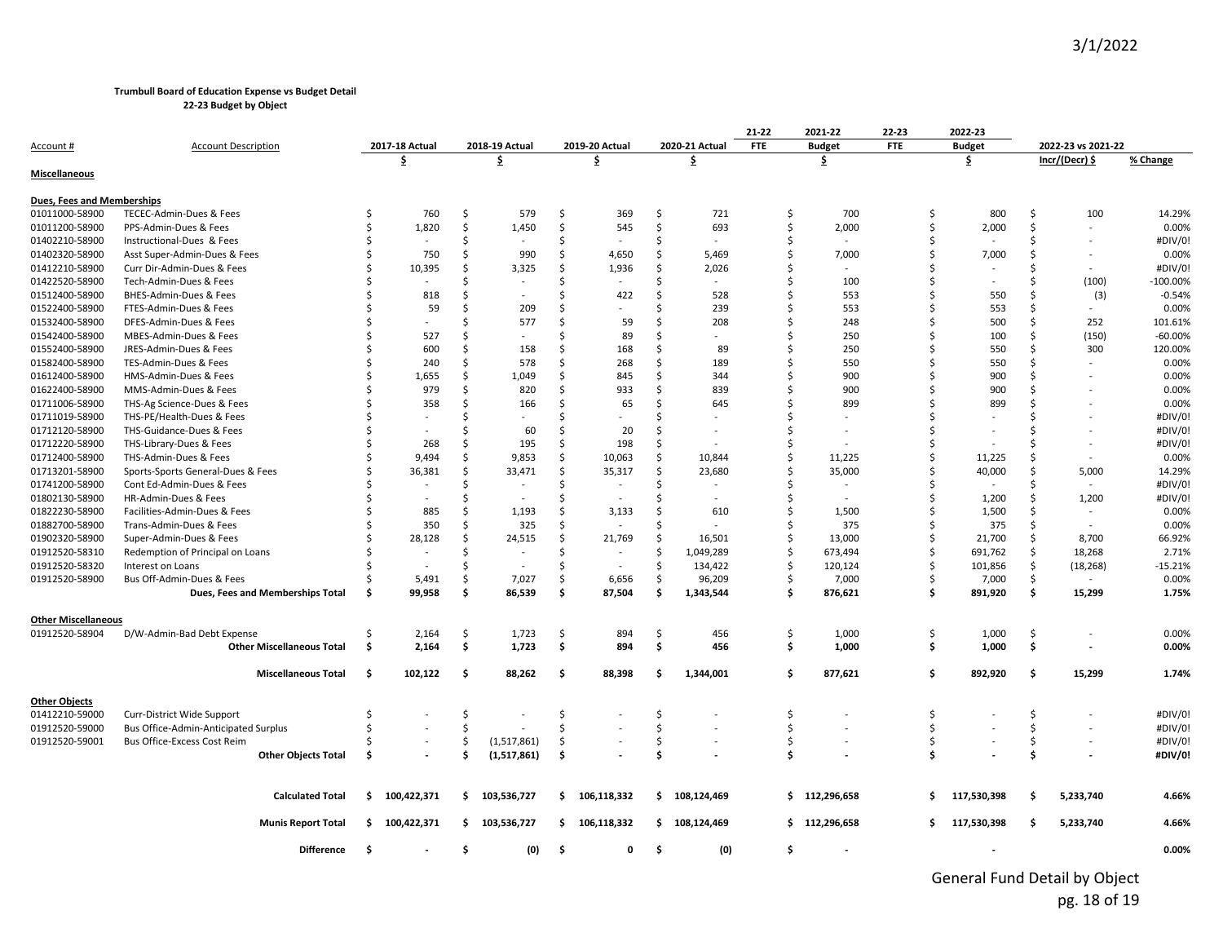**22-23 Budget by Object**

|                            |                                      |     |                          |     |                          |     |                          |    |                          | 21-22      | 2021-22                  | 22-23      |    | 2022-23       |     |                    |             |
|----------------------------|--------------------------------------|-----|--------------------------|-----|--------------------------|-----|--------------------------|----|--------------------------|------------|--------------------------|------------|----|---------------|-----|--------------------|-------------|
| Account #                  | <b>Account Description</b>           |     | 2017-18 Actual           |     | 2018-19 Actual           |     | 2019-20 Actual           |    | 2020-21 Actual           | <b>FTE</b> | <b>Budget</b>            | <b>FTE</b> |    | <b>Budget</b> |     | 2022-23 vs 2021-22 |             |
|                            |                                      |     | \$                       |     | \$                       |     | \$                       |    | £.                       |            | \$                       |            |    | \$            |     | Incr/(Decr) \$     | % Change    |
| <b>Miscellaneous</b>       |                                      |     |                          |     |                          |     |                          |    |                          |            |                          |            |    |               |     |                    |             |
|                            |                                      |     |                          |     |                          |     |                          |    |                          |            |                          |            |    |               |     |                    |             |
| Dues, Fees and Memberships |                                      |     |                          |     |                          |     |                          |    |                          |            |                          |            |    |               |     |                    |             |
| 01011000-58900             | TECEC-Admin-Dues & Fees              | Ŝ   | 760                      | \$  | 579                      | .\$ | 369                      | \$ | 721                      | Ś          | 700                      |            | \$ | 800           | \$  | 100                | 14.29%      |
| 01011200-58900             | PPS-Admin-Dues & Fees                | Ś   | 1,820                    | \$  | 1,450                    | \$  | 545                      | \$ | 693                      | \$         | 2,000                    |            | Ŝ. | 2,000         | Ŝ.  |                    | 0.00%       |
| 01402210-58900             | Instructional-Dues & Fees            |     | $\overline{\phantom{a}}$ | Ś   |                          | Ś   |                          | Ś  | $\overline{\phantom{a}}$ | Ś          |                          |            |    |               | Ŝ   |                    | #DIV/0!     |
| 01402320-58900             | Asst Super-Admin-Dues & Fees         |     | 750                      | Ś   | 990                      | Ś   | 4,650                    | Ś  | 5,469                    | Ś          | 7,000                    |            |    | 7,000         | .S  |                    | 0.00%       |
| 01412210-58900             | Curr Dir-Admin-Dues & Fees           |     | 10,395                   | Ś   | 3,325                    | Ś   | 1,936                    | Ŝ  | 2,026                    |            |                          |            |    |               | .S  |                    | #DIV/0!     |
| 01422520-58900             | Tech-Admin-Dues & Fees               |     |                          | Ś   |                          | Ś   |                          | Ś  |                          |            | 100                      |            |    |               | Ŝ   | (100)              | $-100.00\%$ |
| 01512400-58900             | BHES-Admin-Dues & Fees               |     | 818                      | Ś   |                          | \$  | 422                      | Ś  | 528                      |            | 553                      |            |    | 550           | Ŝ   | (3)                | $-0.54%$    |
| 01522400-58900             | FTES-Admin-Dues & Fees               |     | 59                       | Ś   | 209                      | Ŝ   |                          |    | 239                      |            | 553                      |            |    | 553           | Ŝ   | $\sim$             | 0.00%       |
| 01532400-58900             | DFES-Admin-Dues & Fees               |     |                          | Ś   | 577                      | Ś   | 59                       |    | 208                      | ς          | 248                      |            |    | 500           | Ŝ.  | 252                | 101.61%     |
| 01542400-58900             | MBES-Admin-Dues & Fees               |     | 527                      | Ś   |                          |     | 89                       |    | ÷                        |            | 250                      |            |    | 100           | Ŝ   | (150)              | $-60.00%$   |
| 01552400-58900             | JRES-Admin-Dues & Fees               |     | 600                      | Ś   | 158                      | Ś   | 168                      | Ś  | 89                       | Ś          | 250                      |            |    | 550           | Ŝ   | 300                | 120.00%     |
| 01582400-58900             | TES-Admin-Dues & Fees                |     | 240                      | Ś   | 578                      | ς.  | 268                      | ς  | 189                      | ς          | 550                      |            |    | 550           | ς.  |                    | 0.00%       |
| 01612400-58900             | HMS-Admin-Dues & Fees                |     | 1,655                    | Ś   | 1,049                    | Ś   | 845                      | Ŝ  | 344                      |            | 900                      |            |    | 900           | Ŝ   |                    | 0.00%       |
| 01622400-58900             | MMS-Admin-Dues & Fees                |     | 979                      | Ś   | 820                      | Ś   | 933                      | Ś  | 839                      |            | 900                      |            |    | 900           |     |                    | 0.00%       |
| 01711006-58900             | THS-Ag Science-Dues & Fees           |     | 358                      | Ś   | 166                      | Ś   | 65                       | Ś  | 645                      | Ś          | 899                      |            |    | 899           | Ŝ   |                    | 0.00%       |
| 01711019-58900             | THS-PE/Health-Dues & Fees            |     |                          | ς   |                          |     |                          |    |                          |            |                          |            |    |               | -S  |                    | #DIV/0!     |
| 01712120-58900             | THS-Guidance-Dues & Fees             |     |                          | Ś   | 60                       | Ś   | 20                       |    |                          | Ś          |                          |            |    |               |     |                    | #DIV/0!     |
| 01712220-58900             | THS-Library-Dues & Fees              |     | 268                      | Ś   | 195                      | Ś   | 198                      | Ŝ  |                          | Ś          |                          |            |    |               | -S  |                    | #DIV/0!     |
| 01712400-58900             | THS-Admin-Dues & Fees                |     | 9,494                    | Ś   | 9,853                    | Ś   | 10,063                   | Ś  | 10,844                   | Ś          | 11,225                   |            |    | 11,225        | Ŝ   | $\sim$             | 0.00%       |
| 01713201-58900             | Sports-Sports General-Dues & Fees    |     | 36,381                   | Ś.  | 33,471                   | Ś   | 35,317                   | Ś  | 23,680                   | Ś          | 35,000                   |            |    | 40,000        | Ŝ   | 5,000              | 14.29%      |
| 01741200-58900             | Cont Ed-Admin-Dues & Fees            |     |                          | Ś   |                          | \$  |                          |    |                          | Ś          | $\overline{\phantom{a}}$ |            |    |               |     | $\sim$             | #DIV/0!     |
| 01802130-58900             | HR-Admin-Dues & Fees                 |     |                          | Ś   | $\overline{\phantom{a}}$ | Ś   | $\overline{a}$           | Ś  |                          | Ś          | $\overline{\phantom{a}}$ |            |    | 1,200         | Ŝ.  | 1,200              | #DIV/0!     |
| 01822230-58900             | Facilities-Admin-Dues & Fees         |     | 885                      | Ś   | 1,193                    | Ś   | 3,133                    |    | 610                      | Ś          | 1,500                    |            |    | 1,500         | Ŝ.  | $\sim$             | 0.00%       |
| 01882700-58900             | Trans-Admin-Dues & Fees              |     | 350                      | Ś   | 325                      | Ś   | $\overline{\phantom{a}}$ |    |                          | Ś          | 375                      |            |    | 375           | Ŝ.  |                    | 0.00%       |
| 01902320-58900             | Super-Admin-Dues & Fees              |     | 28,128                   | \$  | 24,515                   | \$  | 21,769                   | \$ | 16,501                   | Ś          | 13,000                   |            | Ŝ  | 21,700        | \$  | 8,700              | 66.92%      |
| 01912520-58310             | Redemption of Principal on Loans     |     |                          | Ś   | $\overline{\phantom{a}}$ | Ś   |                          | Ś  | 1,049,289                | \$         | 673,494                  |            |    | 691,762       | Ś.  | 18,268             | 2.71%       |
| 01912520-58320             | Interest on Loans                    |     |                          | Ś   | $\overline{a}$           | Ś   |                          | Ŝ  | 134,422                  | ς          | 120,124                  |            | Ŝ  | 101,856       | Ŝ.  | (18, 268)          | $-15.21%$   |
| 01912520-58900             | Bus Off-Admin-Dues & Fees            |     | 5,491                    | \$  | 7,027                    | Ś.  | 6,656                    | Ś  | 96,209                   | Ś          | 7,000                    |            | Ŝ. | 7,000         | Ś.  |                    | 0.00%       |
|                            | Dues, Fees and Memberships Total     | Ŝ.  | 99,958                   | \$  | 86,539                   | Ś   | 87,504                   | \$ | 1,343,544                | Ŝ.         | 876,621                  |            | \$ | 891,920       | Ś   | 15,299             | 1.75%       |
| <b>Other Miscellaneous</b> |                                      |     |                          |     |                          |     |                          |    |                          |            |                          |            |    |               |     |                    |             |
| 01912520-58904             | D/W-Admin-Bad Debt Expense           | Ś   | 2,164                    | \$  | 1,723                    | \$  | 894                      | \$ | 456                      | \$         | 1,000                    |            | \$ | 1,000         | \$  |                    | 0.00%       |
|                            | <b>Other Miscellaneous Total</b>     | \$. | 2,164                    | \$  | 1,723                    | \$  | 894                      | \$ | 456                      | Ś.         | 1,000                    |            | \$ | 1,000         | \$  |                    | 0.00%       |
|                            |                                      |     |                          |     |                          |     |                          |    |                          |            |                          |            |    |               |     |                    |             |
|                            | <b>Miscellaneous Total</b>           | \$  | 102,122                  | \$. | 88,262                   | \$. | 88,398                   | Ś  | 1,344,001                | Ŝ.         | 877,621                  |            | \$ | 892,920       | \$  | 15,299             | 1.74%       |
| <b>Other Objects</b>       |                                      |     |                          |     |                          |     |                          |    |                          |            |                          |            |    |               |     |                    |             |
| 01412210-59000             | Curr-District Wide Support           | S   |                          | \$  |                          | \$  |                          | \$ |                          | \$         |                          |            | \$ |               | \$  |                    | #DIV/0!     |
| 01912520-59000             | Bus Office-Admin-Anticipated Surplus | Ś   |                          | Ś   |                          | Ś   |                          | Ś  |                          | Ŝ.         |                          |            | Ŝ. |               | Ś.  |                    | #DIV/0!     |
| 01912520-59001             | Bus Office-Excess Cost Reim          |     |                          | Ś   | (1,517,861)              | \$  |                          | Ś  |                          | Ś          |                          |            | Ŝ. |               | Ś.  |                    | #DIV/0!     |
|                            | <b>Other Objects Total</b>           | Ś   |                          | Ś   | (1,517,861)              | Ś.  |                          | Ś  |                          | Ś          |                          |            | \$ |               | \$  |                    | #DIV/0!     |
|                            |                                      |     |                          |     |                          |     |                          |    |                          |            |                          |            |    |               |     |                    |             |
|                            | <b>Calculated Total</b>              | Ŝ.  | 100,422,371              | \$  | 103,536,727              | \$  | 106,118,332              | \$ | 108,124,469              |            | \$112,296,658            |            | s. | 117,530,398   | \$. | 5,233,740          | 4.66%       |
|                            | <b>Munis Report Total</b>            |     | \$100,422,371            | \$  | 103,536,727              | \$  | 106,118,332              | Ś. | 108,124,469              |            | \$112,296,658            |            | s. | 117,530,398   | \$. | 5,233,740          | 4.66%       |
|                            | <b>Difference</b>                    | -\$ |                          | \$  | (0)                      | \$  | 0                        | \$ | (0)                      | \$         |                          |            |    |               |     |                    | 0.00%       |
|                            |                                      |     |                          |     |                          |     |                          |    |                          |            |                          |            |    |               |     |                    |             |

General Fund Detail by Object pg. 18 of 19